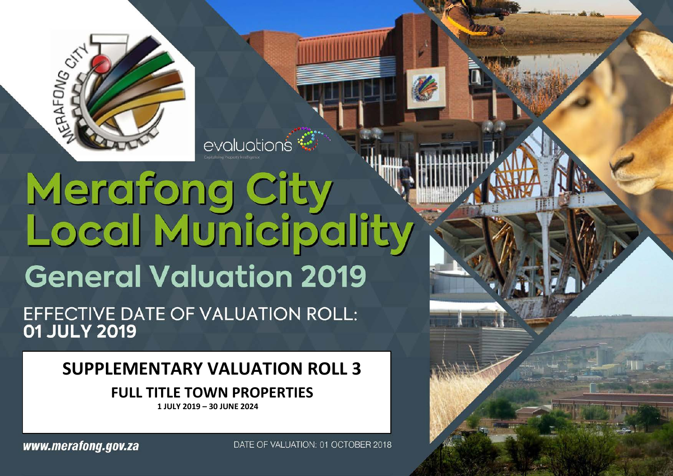

# Merafong City<br>Local Municipality **General Valuation 2019**

evaluations<sup>\*</sup>

EFFECTIVE DATE OF VALUATION ROLL: 01 JULY 2019

# **SUPPLEMENTARY VALUATION ROLL 3**

# **FULL TITLE TOWN PROPERTIES**

**1 JULY 2019 – 30 JUNE 2024**

DATE OF VALUATION: 01 OCTOBER 2018

www.merafong.gov.za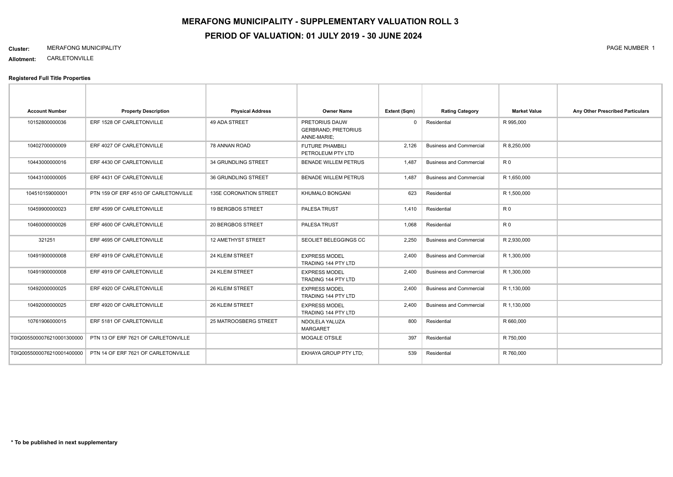# **MERAFONG MUNICIPALITY - SUPPLEMENTARY VALUATION ROLL 3 PERIOD OF VALUATION: 01 JULY 2019 - 30 JUNE 2024**

#### **Cluster:** MERAFONG MUNICIPALITY PAGE NUMBER 1

**Allotment:** CARLETONVILLE

| <b>Account Number</b>      | <b>Property Description</b>          | <b>Physical Address</b>       | <b>Owner Name</b>                                           | Extent (Sqm) | <b>Rating Category</b>         | <b>Market Value</b> | Any Other Prescribed Particulars |
|----------------------------|--------------------------------------|-------------------------------|-------------------------------------------------------------|--------------|--------------------------------|---------------------|----------------------------------|
| 10152800000036             | ERF 1528 OF CARLETONVILLE            | 49 ADA STREET                 | PRETORIUS DAUW<br><b>GERBRAND: PRETORIUS</b><br>ANNE-MARIE; | $\mathbf 0$  | Residential                    | R 995,000           |                                  |
| 10402700000009             | ERF 4027 OF CARLETONVILLE            | 78 ANNAN ROAD                 | <b>FUTURE PHAMBILI</b><br>PETROLEUM PTY LTD                 | 2,126        | <b>Business and Commercial</b> | R 8,250,000         |                                  |
| 10443000000016             | ERF 4430 OF CARLETONVILLE            | 34 GRUNDLING STREET           | <b>BENADE WILLEM PETRUS</b>                                 | 1,487        | <b>Business and Commercial</b> | R <sub>0</sub>      |                                  |
| 10443100000005             | ERF 4431 OF CARLETONVILLE            | 36 GRUNDLING STREET           | <b>BENADE WILLEM PETRUS</b>                                 | 1,487        | <b>Business and Commercial</b> | R 1,650,000         |                                  |
| 104510159000001            | PTN 159 OF ERF 4510 OF CARLETONVILLE | <b>135E CORONATION STREET</b> | KHUMALO BONGANI                                             | 623          | Residential                    | R 1,500,000         |                                  |
| 10459900000023             | ERF 4599 OF CARLETONVILLE            | 19 BERGBOS STREET             | PALESA TRUST                                                | 1,410        | Residential                    | R <sub>0</sub>      |                                  |
| 10460000000026             | ERF 4600 OF CARLETONVILLE            | 20 BERGBOS STREET             | PALESA TRUST                                                | 1,068        | Residential                    | R <sub>0</sub>      |                                  |
| 321251                     | ERF 4695 OF CARLETONVILLE            | <b>12 AMETHYST STREET</b>     | SEOLIET BELEGGINGS CC                                       | 2,250        | <b>Business and Commercial</b> | R 2,930,000         |                                  |
| 10491900000008             | ERF 4919 OF CARLETONVILLE            | 24 KLEIM STREET               | <b>EXPRESS MODEL</b><br>TRADING 144 PTY LTD                 | 2,400        | <b>Business and Commercial</b> | R 1,300,000         |                                  |
| 10491900000008             | ERF 4919 OF CARLETONVILLE            | 24 KLEIM STREET               | <b>EXPRESS MODEL</b><br><b>TRADING 144 PTY LTD</b>          | 2,400        | <b>Business and Commercial</b> | R 1,300,000         |                                  |
| 10492000000025             | ERF 4920 OF CARLETONVILLE            | 26 KLEIM STREET               | <b>EXPRESS MODEL</b><br>TRADING 144 PTY LTD                 | 2,400        | <b>Business and Commercial</b> | R 1,130,000         |                                  |
| 10492000000025             | ERF 4920 OF CARLETONVILLE            | 26 KLEIM STREET               | <b>EXPRESS MODEL</b><br><b>TRADING 144 PTY LTD</b>          | 2.400        | <b>Business and Commercial</b> | R 1.130,000         |                                  |
| 10761906000015             | ERF 5181 OF CARLETONVILLE            | 25 MATROOSBERG STREET         | NDOLELA YALUZA<br><b>MARGARET</b>                           | 800          | Residential                    | R 660,000           |                                  |
| T0IQ0055000076210001300000 | PTN 13 OF ERF 7621 OF CARLETONVILLE  |                               | <b>MOGALE OTSILE</b>                                        | 397          | Residential                    | R 750,000           |                                  |
| T0IQ0055000076210001400000 | PTN 14 OF ERF 7621 OF CARLETONVILLE  |                               | EKHAYA GROUP PTY LTD;                                       | 539          | Residential                    | R 760,000           |                                  |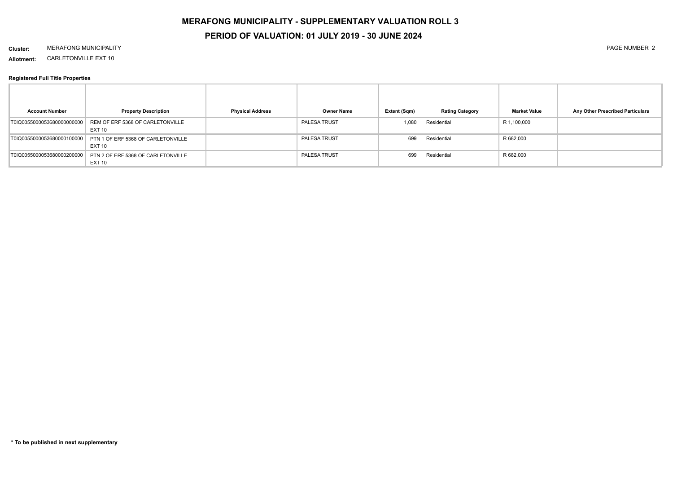## **PERIOD OF VALUATION: 01 JULY 2019 - 30 JUNE 2024**

#### **Cluster:** MERAFONG MUNICIPALITY PAGE NUMBER 2

**Allotment:** CARLETONVILLE EXT 10

| <b>Account Number</b>      | <b>Property Description</b>                                                  | <b>Physical Address</b> | Owner Name          | Extent (Sqm) | <b>Rating Category</b> | <b>Market Value</b> | Any Other Prescribed Particulars |
|----------------------------|------------------------------------------------------------------------------|-------------------------|---------------------|--------------|------------------------|---------------------|----------------------------------|
|                            | T0IQ0055000053680000000000 REM OF ERF 5368 OF CARLETONVILLE<br><b>EXT 10</b> |                         | PALESA TRUST        | 080,1        | Residential            | R 1,100,000         |                                  |
| T0IQ0055000053680000100000 | PTN 1 OF ERF 5368 OF CARLETONVILLE<br><b>EXT 10</b>                          |                         | <b>PALESA TRUST</b> | 699          | Residential            | R 682,000           |                                  |
| T0IQ0055000053680000200000 | PTN 2 OF ERF 5368 OF CARLETONVILLE<br><b>EXT 10</b>                          |                         | PALESA TRUST        | 699          | Residential            | R 682,000           |                                  |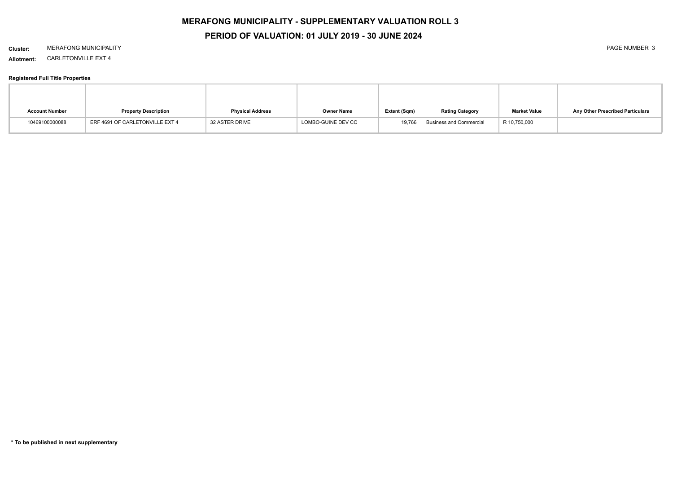# **PERIOD OF VALUATION: 01 JULY 2019 - 30 JUNE 2024**

#### **Cluster:** MERAFONG MUNICIPALITY PAGE NUMBER 3

**Allotment:** CARLETONVILLE EXT 4

| <b>Account Number</b> | <b>Property Description</b>     | <b>Physical Address</b> | Owner Name         | Extent (Sqm) | <b>Rating Category</b>         | <b>Market Value</b> | Any Other Prescribed Particulars |
|-----------------------|---------------------------------|-------------------------|--------------------|--------------|--------------------------------|---------------------|----------------------------------|
| 10469100000088        | ERF 4691 OF CARLETONVILLE EXT 4 | <b>32 ASTER DRIVE</b>   | LOMBO-GUINE DEV CC | 19.766       | <b>Business and Commercial</b> | R 10,750,000        |                                  |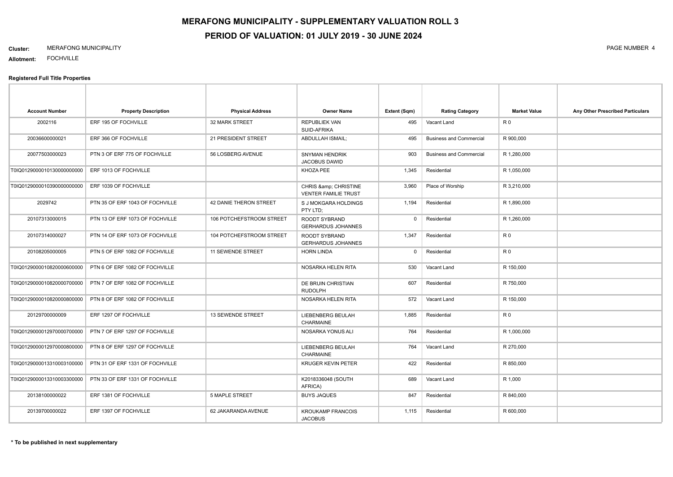#### **Cluster:** MERAFONG MUNICIPALITY PAGE NUMBER 4

**Allotment:** FOCHVILLE

| <b>Account Number</b>      | <b>Property Description</b>     | <b>Physical Address</b>  | <b>Owner Name</b>                                 | Extent (Sqm) | <b>Rating Category</b>         | <b>Market Value</b> | Any Other Prescribed Particulars |
|----------------------------|---------------------------------|--------------------------|---------------------------------------------------|--------------|--------------------------------|---------------------|----------------------------------|
| 2002116                    | ERF 195 OF FOCHVILLE            | 32 MARK STREET           | <b>REPUBLIEK VAN</b><br>SUID-AFRIKA               | 495          | Vacant Land                    | R <sub>0</sub>      |                                  |
| 20036600000021             | ERF 366 OF FOCHVILLE            | 21 PRESIDENT STREET      | <b>ABDULLAH ISMAIL:</b>                           | 495          | <b>Business and Commercial</b> | R 900,000           |                                  |
| 20077503000023             | PTN 3 OF ERF 775 OF FOCHVILLE   | 56 LOSBERG AVENUE        | <b>SNYMAN HENDRIK</b><br>JACOBUS DAWID            | 903          | <b>Business and Commercial</b> | R 1,280,000         |                                  |
| T0IQ0129000010130000000000 | ERF 1013 OF FOCHVILLE           |                          | KHOZA PEE                                         | 1,345        | Residential                    | R 1,050,000         |                                  |
| T0IQ0129000010390000000000 | ERF 1039 OF FOCHVILLE           |                          | CHRIS & CHRISTINE<br><b>VENTER FAMILIE TRUST</b>  | 3,960        | Place of Worship               | R 3,210,000         |                                  |
| 2029742                    | PTN 35 OF ERF 1043 OF FOCHVILLE | 42 DANIE THERON STREET   | S J MOKGARA HOLDINGS<br>PTY LTD:                  | 1,194        | Residential                    | R 1,890,000         |                                  |
| 20107313000015             | PTN 13 OF ERF 1073 OF FOCHVILLE | 106 POTCHEFSTROOM STREET | ROODT SYBRAND<br><b>GERHARDUS JOHANNES</b>        | $\mathbf 0$  | Residential                    | R 1,260,000         |                                  |
| 20107314000027             | PTN 14 OF ERF 1073 OF FOCHVILLE | 104 POTCHEFSTROOM STREET | <b>ROODT SYBRAND</b><br><b>GERHARDUS JOHANNES</b> | 1,347        | Residential                    | R <sub>0</sub>      |                                  |
| 20108205000005             | PTN 5 OF ERF 1082 OF FOCHVILLE  | <b>11 SEWENDE STREET</b> | <b>HORN LINDA</b>                                 | 0            | Residential                    | R <sub>0</sub>      |                                  |
| T0IQ0129000010820000600000 | PTN 6 OF ERF 1082 OF FOCHVILLE  |                          | NOSARKA HELEN RITA                                | 530          | Vacant Land                    | R 150,000           |                                  |
| T0IQ0129000010820000700000 | PTN 7 OF ERF 1082 OF FOCHVILLE  |                          | DE BRUIN CHRISTIAN<br><b>RUDOLPH</b>              | 607          | Residential                    | R 750,000           |                                  |
| T0IQ0129000010820000800000 | PTN 8 OF ERF 1082 OF FOCHVILLE  |                          | NOSARKA HELEN RITA                                | 572          | Vacant Land                    | R 150,000           |                                  |
| 20129700000009             | ERF 1297 OF FOCHVILLE           | 13 SEWENDE STREET        | LIEBENBERG BEULAH<br><b>CHARMAINE</b>             | 1,885        | Residential                    | R <sub>0</sub>      |                                  |
| T0IQ0129000012970000700000 | PTN 7 OF ERF 1297 OF FOCHVILLE  |                          | NOSARKA YONUS ALI                                 | 764          | Residential                    | R 1,000,000         |                                  |
| T0IQ0129000012970000800000 | PTN 8 OF ERF 1297 OF FOCHVILLE  |                          | LIEBENBERG BEULAH<br>CHARMAINE                    | 764          | Vacant Land                    | R 270,000           |                                  |
| T0IQ0129000013310003100000 | PTN 31 OF ERF 1331 OF FOCHVILLE |                          | <b>KRUGER KEVIN PETER</b>                         | 422          | Residential                    | R 850,000           |                                  |
| T0IQ0129000013310003300000 | PTN 33 OF ERF 1331 OF FOCHVILLE |                          | K2018336048 (SOUTH<br>AFRICA)                     | 689          | Vacant Land                    | R 1,000             |                                  |
| 20138100000022             | ERF 1381 OF FOCHVILLE           | <b>5 MAPLE STREET</b>    | <b>BUYS JAQUES</b>                                | 847          | Residential                    | R 840,000           |                                  |
| 20139700000022             | ERF 1397 OF FOCHVILLE           | 62 JAKARANDA AVENUE      | <b>KROUKAMP FRANCOIS</b><br><b>JACOBUS</b>        | 1,115        | Residential                    | R 600,000           |                                  |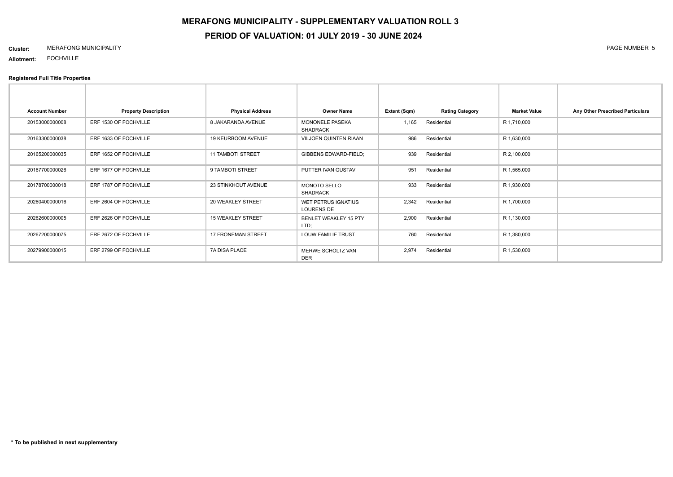# **MERAFONG MUNICIPALITY - SUPPLEMENTARY VALUATION ROLL 3 PERIOD OF VALUATION: 01 JULY 2019 - 30 JUNE 2024**

#### **Cluster:** MERAFONG MUNICIPALITY PAGE NUMBER 5

**Allotment:** FOCHVILLE

| <b>Account Number</b> | <b>Property Description</b> | <b>Physical Address</b>  | <b>Owner Name</b>                               | Extent (Sqm) | <b>Rating Category</b> | <b>Market Value</b> | Any Other Prescribed Particulars |
|-----------------------|-----------------------------|--------------------------|-------------------------------------------------|--------------|------------------------|---------------------|----------------------------------|
| 20153000000008        | ERF 1530 OF FOCHVILLE       | 8 JAKARANDA AVENUE       | <b>MONONELE PASEKA</b><br><b>SHADRACK</b>       | 1,165        | Residential            | R 1,710,000         |                                  |
| 20163300000038        | ERF 1633 OF FOCHVILLE       | 19 KEURBOOM AVENUE       | <b>VILJOEN QUINTEN RIAAN</b>                    | 986          | Residential            | R 1,630,000         |                                  |
| 20165200000035        | ERF 1652 OF FOCHVILLE       | <b>11 TAMBOTI STREET</b> | GIBBENS EDWARD-FIELD;                           | 939          | Residential            | R 2,100,000         |                                  |
| 20167700000026        | ERF 1677 OF FOCHVILLE       | 9 TAMBOTI STREET         | PUTTER IVAN GUSTAV                              | 951          | Residential            | R 1,565,000         |                                  |
| 20178700000018        | ERF 1787 OF FOCHVILLE       | 23 STINKHOUT AVENUE      | <b>MONOTO SELLO</b><br><b>SHADRACK</b>          | 933          | Residential            | R 1,930,000         |                                  |
| 20260400000016        | ERF 2604 OF FOCHVILLE       | 20 WEAKLEY STREET        | <b>WET PETRUS IGNATIUS</b><br><b>LOURENS DE</b> | 2,342        | Residential            | R 1,700,000         |                                  |
| 20262600000005        | ERF 2626 OF FOCHVILLE       | <b>15 WEAKLEY STREET</b> | BENLET WEAKLEY 15 PTY<br>LTD;                   | 2,900        | Residential            | R 1,130,000         |                                  |
| 20267200000075        | ERF 2672 OF FOCHVILLE       | 17 FRONEMAN STREET       | LOUW FAMILIE TRUST                              | 760          | Residential            | R 1,380,000         |                                  |
| 20279900000015        | ERF 2799 OF FOCHVILLE       | 7A DISA PLACE            | MERWE SCHOLTZ VAN<br><b>DER</b>                 | 2,974        | Residential            | R 1,530,000         |                                  |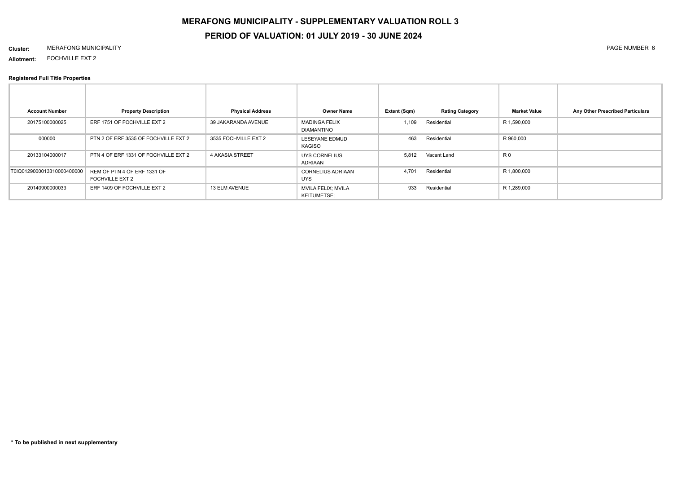# **PERIOD OF VALUATION: 01 JULY 2019 - 30 JUNE 2024**

#### **Cluster:** MERAFONG MUNICIPALITY PAGE NUMBER 6

**Allotment:** FOCHVILLE EXT 2

| <b>Account Number</b>      | <b>Property Description</b>                    | <b>Physical Address</b> | <b>Owner Name</b>                               | Extent (Sqm) | <b>Rating Category</b> | <b>Market Value</b> | Any Other Prescribed Particulars |
|----------------------------|------------------------------------------------|-------------------------|-------------------------------------------------|--------------|------------------------|---------------------|----------------------------------|
| 20175100000025             | ERF 1751 OF FOCHVILLE EXT 2                    | 39 JAKARANDA AVENUE     | <b>MADINGA FELIX</b><br><b>DIAMANTINO</b>       | 1,109        | Residential            | R 1,590,000         |                                  |
| 000000                     | PTN 2 OF ERF 3535 OF FOCHVILLE EXT 2           | 3535 FOCHVILLE EXT 2    | LESEYANE EDMUD<br>KAGISO                        | 463          | Residential            | R 960,000           |                                  |
| 20133104000017             | PTN 4 OF ERF 1331 OF FOCHVILLE EXT 2           | <b>4 AKASIA STREET</b>  | UYS CORNELIUS<br>ADRIAAN                        | 5,812        | Vacant Land            | R <sub>0</sub>      |                                  |
| T0IQ0129000013310000400000 | REM OF PTN 4 OF ERF 1331 OF<br>FOCHVILLE EXT 2 |                         | <b>CORNELIUS ADRIAAN</b><br><b>UYS</b>          | 4.701        | Residential            | R 1,800,000         |                                  |
| 20140900000033             | ERF 1409 OF FOCHVILLE EXT 2                    | 13 ELM AVENUE           | <b>MVILA FELIX; MVILA</b><br><b>KEITUMETSE:</b> | 933          | Residential            | R 1,289,000         |                                  |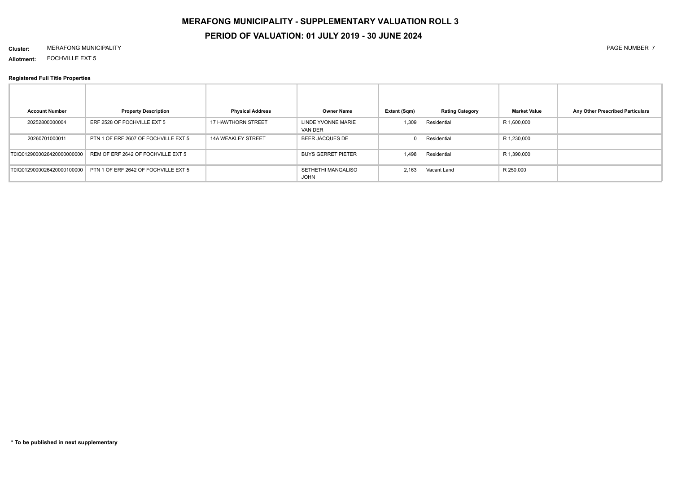# **PERIOD OF VALUATION: 01 JULY 2019 - 30 JUNE 2024**

#### **Cluster:** MERAFONG MUNICIPALITY PAGE NUMBER 7

**Allotment:** FOCHVILLE EXT 5

| <b>Account Number</b>      | <b>Property Description</b>          | <b>Physical Address</b>   | <b>Owner Name</b>                 | Extent (Sqm) | <b>Rating Category</b> | <b>Market Value</b> | Any Other Prescribed Particulars |
|----------------------------|--------------------------------------|---------------------------|-----------------------------------|--------------|------------------------|---------------------|----------------------------------|
| 20252800000004             | ERF 2528 OF FOCHVILLE EXT 5          | <b>17 HAWTHORN STREET</b> | LINDE YVONNE MARIE<br>VAN DER     | 1,309        | Residential            | R 1,600,000         |                                  |
| 20260701000011             | PTN 1 OF ERF 2607 OF FOCHVILLE EXT 5 | <b>14A WEAKLEY STREET</b> | BEER JACQUES DE                   |              | Residential            | R 1,230,000         |                                  |
| T0IQ0129000026420000000000 | REM OF ERF 2642 OF FOCHVILLE EXT 5   |                           | <b>BUYS GERRET PIETER</b>         | 1,498        | Residential            | R 1,390,000         |                                  |
| T0IQ0129000026420000100000 | PTN 1 OF ERF 2642 OF FOCHVILLE EXT 5 |                           | SETHETHI MANGALISO<br><b>JOHN</b> | 2,163        | Vacant Land            | R 250,000           |                                  |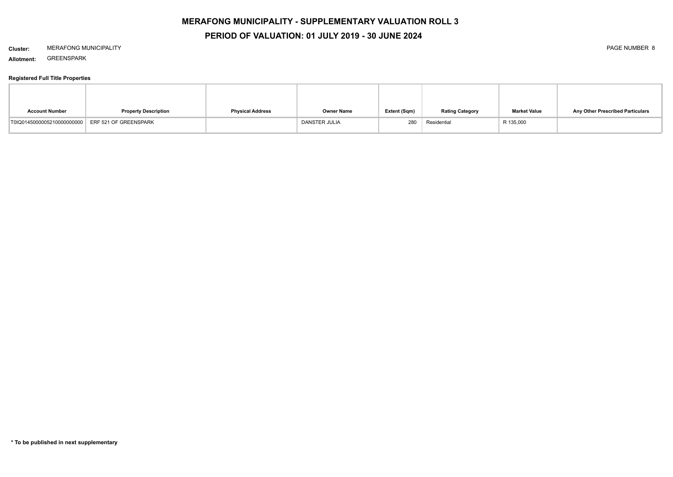## **PERIOD OF VALUATION: 01 JULY 2019 - 30 JUNE 2024**

#### **Cluster:** MERAFONG MUNICIPALITY PAGE NUMBER 8

**Allotment:** GREENSPARK

| <b>Account Number</b>                            | <b>Property Description</b> | <b>Physical Address</b> | <b>Owner Name</b> | Extent (Sqm) | <b>Rating Category</b> | <b>Market Value</b> | Any Other Prescribed Particulars |
|--------------------------------------------------|-----------------------------|-------------------------|-------------------|--------------|------------------------|---------------------|----------------------------------|
| T0IQ0145000005210000000000 ERF 521 OF GREENSPARK |                             |                         | DANSTER JULIA     | 280          | Residential            | R 135,000           |                                  |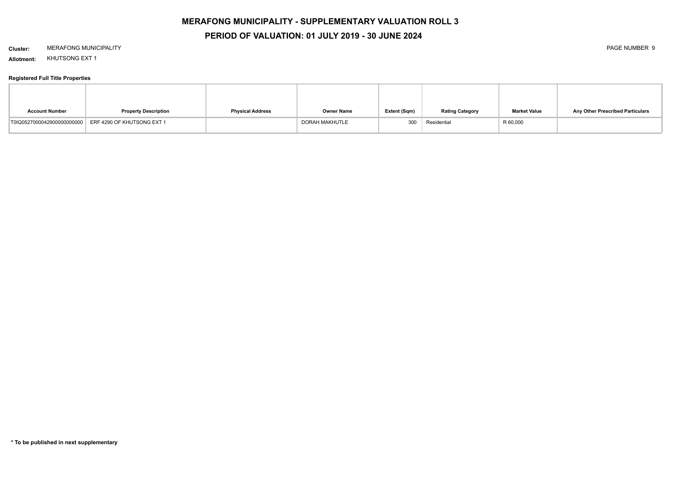## **PERIOD OF VALUATION: 01 JULY 2019 - 30 JUNE 2024**

#### **Cluster:** MERAFONG MUNICIPALITY PAGE NUMBER 9

**Allotment:** KHUTSONG EXT 1

| <b>Account Number</b> | <b>Property Description</b>                           | <b>Physical Address</b> | <b>Owner Name</b> | Extent (Sqm) | <b>Rating Category</b> | <b>Market Value</b> | Any Other Prescribed Particulars |
|-----------------------|-------------------------------------------------------|-------------------------|-------------------|--------------|------------------------|---------------------|----------------------------------|
|                       | T0IQ0527000042900000000000 ERF 4290 OF KHUTSONG EXT 1 |                         | DORAH MAKHUTLE    | 300          | Residential            | R 60,000            |                                  |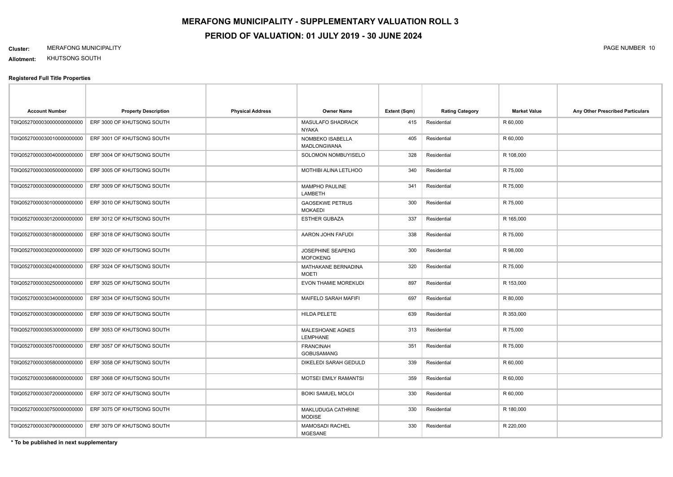#### **Cluster:** MERAFONG MUNICIPALITY PAGE NUMBER 10

**Allotment:** KHUTSONG SOUTH

#### **Registered Full Title Properties**

| <b>Account Number</b>       | <b>Property Description</b> | <b>Physical Address</b> | <b>Owner Name</b>                        | Extent (Sqm) | <b>Rating Category</b> | <b>Market Value</b> | Any Other Prescribed Particulars |
|-----------------------------|-----------------------------|-------------------------|------------------------------------------|--------------|------------------------|---------------------|----------------------------------|
| T0IQ05270000300000000000000 | ERF 3000 OF KHUTSONG SOUTH  |                         | <b>MASULAFO SHADRACK</b><br><b>NYAKA</b> | 415          | Residential            | R 60,000            |                                  |
| T0IQ0527000030010000000000  | ERF 3001 OF KHUTSONG SOUTH  |                         | NOMBEKO ISABELLA<br><b>MADLONGWANA</b>   | 405          | Residential            | R 60,000            |                                  |
| T0IQ0527000030040000000000  | ERF 3004 OF KHUTSONG SOUTH  |                         | SOLOMON NOMBUYISELO                      | 328          | Residential            | R 108,000           |                                  |
| T0IQ05270000300500000000000 | ERF 3005 OF KHUTSONG SOUTH  |                         | <b>MOTHIBI ALINA LETLHOO</b>             | 340          | Residential            | R 75,000            |                                  |
| T0IQ05270000300900000000000 | ERF 3009 OF KHUTSONG SOUTH  |                         | MAMPHO PAULINE<br>LAMBETH                | 341          | Residential            | R 75,000            |                                  |
| T0IQ05270000301000000000000 | ERF 3010 OF KHUTSONG SOUTH  |                         | <b>GAOSEKWE PETRUS</b><br><b>MOKAEDI</b> | 300          | Residential            | R 75,000            |                                  |
| T0IQ0527000030120000000000  | ERF 3012 OF KHUTSONG SOUTH  |                         | <b>ESTHER GUBAZA</b>                     | 337          | Residential            | R 165,000           |                                  |
| T0IQ0527000030180000000000  | ERF 3018 OF KHUTSONG SOUTH  |                         | AARON JOHN FAFUDI                        | 338          | Residential            | R 75,000            |                                  |
| T0IQ05270000302000000000000 | ERF 3020 OF KHUTSONG SOUTH  |                         | JOSEPHINE SEAPENG<br><b>MOFOKENG</b>     | 300          | Residential            | R 98,000            |                                  |
| T0IQ0527000030240000000000  | ERF 3024 OF KHUTSONG SOUTH  |                         | MATHAKANE BERNADINA<br><b>MOETI</b>      | 320          | Residential            | R 75,000            |                                  |
| T0IQ05270000302500000000000 | ERF 3025 OF KHUTSONG SOUTH  |                         | EVON THAMIE MOREKUDI                     | 897          | Residential            | R 153,000           |                                  |
| T0IQ0527000030340000000000  | ERF 3034 OF KHUTSONG SOUTH  |                         | MAIFELO SARAH MAFIFI                     | 697          | Residential            | R 80,000            |                                  |
| T0IQ05270000303900000000000 | ERF 3039 OF KHUTSONG SOUTH  |                         | <b>HILDA PELETE</b>                      | 639          | Residential            | R 353,000           |                                  |
| T0IQ0527000030530000000000  | ERF 3053 OF KHUTSONG SOUTH  |                         | MALESHOANE AGNES<br><b>LEMPHANE</b>      | 313          | Residential            | R 75,000            |                                  |
| T0IQ0527000030570000000000  | ERF 3057 OF KHUTSONG SOUTH  |                         | <b>FRANCINAH</b><br>GOBUSAMANG           | 351          | Residential            | R 75,000            |                                  |
| T0IQ0527000030580000000000  | ERF 3058 OF KHUTSONG SOUTH  |                         | DIKELEDI SARAH GEDULD                    | 339          | Residential            | R 60,000            |                                  |
| T0IQ0527000030680000000000  | ERF 3068 OF KHUTSONG SOUTH  |                         | MOTSEI EMILY RAMANTSI                    | 359          | Residential            | R 60,000            |                                  |
| T0IQ0527000030720000000000  | ERF 3072 OF KHUTSONG SOUTH  |                         | <b>BOIKI SAMUEL MOLOI</b>                | 330          | Residential            | R 60,000            |                                  |
| T0IQ0527000030750000000000  | ERF 3075 OF KHUTSONG SOUTH  |                         | MAKLUDUGA CATHRINE<br><b>MODISE</b>      | 330          | Residential            | R 180,000           |                                  |
| T0IQ0527000030790000000000  | ERF 3079 OF KHUTSONG SOUTH  |                         | <b>MAMOSADI RACHEL</b><br><b>MGESANE</b> | 330          | Residential            | R 220,000           |                                  |

**\* To be published in next supplementary**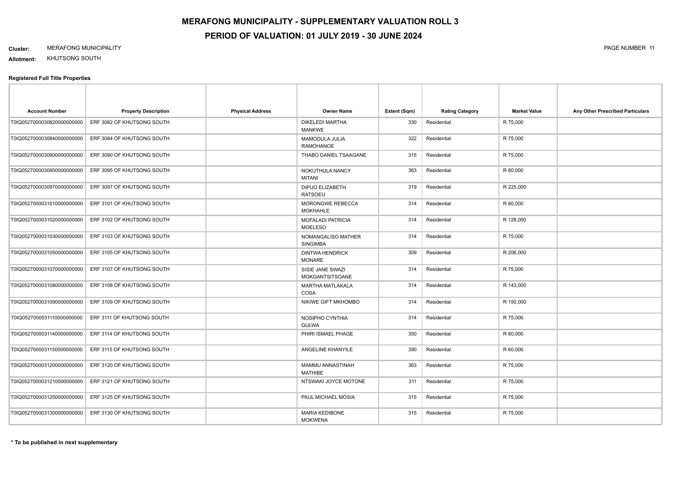#### **Cluster:** MERAFONG MUNICIPALITY PAGE NUMBER 11

**Allotment:** KHUTSONG SOUTH

| <b>Account Number</b>       | <b>Property Description</b> | <b>Physical Address</b> | <b>Owner Name</b>                          | Extent (Sqm) | <b>Rating Category</b> | <b>Market Value</b> | Any Other Prescribed Particulars |
|-----------------------------|-----------------------------|-------------------------|--------------------------------------------|--------------|------------------------|---------------------|----------------------------------|
| T0IQ0527000030820000000000  | ERF 3082 OF KHUTSONG SOUTH  |                         | <b>DIKELEDI MARTHA</b><br><b>MANKWE</b>    | 330          | Residential            | R 75,000            |                                  |
| T0IQ0527000030840000000000  | ERF 3084 OF KHUTSONG SOUTH  |                         | MAMODULA JULIA<br><b>RAMOHANOE</b>         | 322          | Residential            | R 75,000            |                                  |
| T0IQ05270000309000000000000 | ERF 3090 OF KHUTSONG SOUTH  |                         | THABO DANIEL TSAAGANE                      | 315          | Residential            | R 75,000            |                                  |
| T0IQ05270000309500000000000 | ERF 3095 OF KHUTSONG SOUTH  |                         | NOKUTHULA NANCY<br><b>MITANI</b>           | 363          | Residential            | R 60,000            |                                  |
| T0IQ0527000030970000000000  | ERF 3097 OF KHUTSONG SOUTH  |                         | DIPUO ELIZABETH<br><b>RATSOEU</b>          | 319          | Residential            | R 225,000           |                                  |
| T0IQ0527000031010000000000  | ERF 3101 OF KHUTSONG SOUTH  |                         | <b>MORONGWE REBECCA</b><br><b>MOKHAHLE</b> | 314          | Residential            | R 60,000            |                                  |
| T0IQ0527000031020000000000  | ERF 3102 OF KHUTSONG SOUTH  |                         | <b>MOFALADI PATRICIA</b><br><b>MOELESO</b> | 314          | Residential            | R 128,000           |                                  |
| T0IQ05270000310300000000000 | ERF 3103 OF KHUTSONG SOUTH  |                         | NOMANGALISO MATHER<br><b>SINGIMBA</b>      | 314          | Residential            | R 75,000            |                                  |
| T0IQ0527000031050000000000  | ERF 3105 OF KHUTSONG SOUTH  |                         | <b>DINTWA HENDRICK</b><br><b>MONARE</b>    | 309          | Residential            | R 206,000           |                                  |
| T0IQ0527000031070000000000  | ERF 3107 OF KHUTSONG SOUTH  |                         | SISIE JANE SWAZI<br>MOKGANTSITSOANE        | 314          | Residential            | R 75,000            |                                  |
| T0IQ0527000031080000000000  | ERF 3108 OF KHUTSONG SOUTH  |                         | MARTHA MATLAKALA<br><b>COSA</b>            | 314          | Residential            | R 143,000           |                                  |
| T0IQ0527000031090000000000  | ERF 3109 OF KHUTSONG SOUTH  |                         | NIKIWE GIFT MKHOMBO                        | 314          | Residential            | R 150,000           |                                  |
| T0IQ0527000031110000000000  | ERF 3111 OF KHUTSONG SOUTH  |                         | NOSIPHO CYNTHIA<br><b>GULWA</b>            | 314          | Residential            | R 75,000            |                                  |
| T0IQ0527000031140000000000  | ERF 3114 OF KHUTSONG SOUTH  |                         | PHIRI ISMAEL PHAGE                         | 350          | Residential            | R 60,000            |                                  |
| T0IQ0527000031150000000000  | ERF 3115 OF KHUTSONG SOUTH  |                         | ANGELINE KHANYILE                          | 390          | Residential            | R 60,000            |                                  |
| T0IQ0527000031200000000000  | ERF 3120 OF KHUTSONG SOUTH  |                         | MAMMU ANNASTINAH<br><b>MATHIBE</b>         | 363          | Residential            | R 75,000            |                                  |
| T0IQ0527000031210000000000  | ERF 3121 OF KHUTSONG SOUTH  |                         | NTSWAKI JOYCE MOTONE                       | 311          | Residential            | R 75,000            |                                  |
| T0IQ0527000031250000000000  | ERF 3125 OF KHUTSONG SOUTH  |                         | PAUL MICHAEL MOSIA                         | 315          | Residential            | R 75,000            |                                  |
| T0IQ0527000031300000000000  | ERF 3130 OF KHUTSONG SOUTH  |                         | <b>MARIA KEDIBONE</b><br><b>MOKWENA</b>    | 315          | Residential            | R 75,000            |                                  |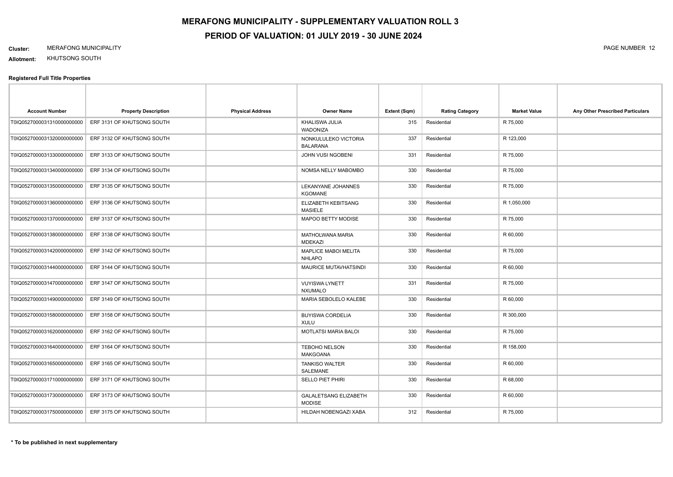#### **Cluster:** MERAFONG MUNICIPALITY PAGE NUMBER 12

**Allotment:** KHUTSONG SOUTH

| <b>Account Number</b>      | <b>Property Description</b> | <b>Physical Address</b> | <b>Owner Name</b>                             | Extent (Sqm) | <b>Rating Category</b> | <b>Market Value</b> | Any Other Prescribed Particulars |
|----------------------------|-----------------------------|-------------------------|-----------------------------------------------|--------------|------------------------|---------------------|----------------------------------|
| T0IQ0527000031310000000000 | ERF 3131 OF KHUTSONG SOUTH  |                         | KHALISWA JULIA<br>WADONIZA                    | 315          | Residential            | R 75,000            |                                  |
| T0IQ0527000031320000000000 | ERF 3132 OF KHUTSONG SOUTH  |                         | NONKULULEKO VICTORIA<br><b>BALARANA</b>       | 337          | Residential            | R 123,000           |                                  |
| T0IQ0527000031330000000000 | ERF 3133 OF KHUTSONG SOUTH  |                         | JOHN VUSI NGOBENI                             | 331          | Residential            | R 75,000            |                                  |
| T0IQ0527000031340000000000 | ERF 3134 OF KHUTSONG SOUTH  |                         | NOMSA NELLY MABOMBO                           | 330          | Residential            | R 75,000            |                                  |
| T0IQ0527000031350000000000 | ERF 3135 OF KHUTSONG SOUTH  |                         | LEKANYANE JOHANNES<br><b>KGOMANE</b>          | 330          | Residential            | R 75,000            |                                  |
| T0IQ0527000031360000000000 | ERF 3136 OF KHUTSONG SOUTH  |                         | ELIZABETH KEBITSANG<br><b>MASIELE</b>         | 330          | Residential            | R 1,050,000         |                                  |
| T0IQ0527000031370000000000 | ERF 3137 OF KHUTSONG SOUTH  |                         | MAPOO BETTY MODISE                            | 330          | Residential            | R 75,000            |                                  |
| T0IQ0527000031380000000000 | ERF 3138 OF KHUTSONG SOUTH  |                         | MATHOLWANA MARIA<br><b>MDEKAZI</b>            | 330          | Residential            | R 60,000            |                                  |
| T0IQ0527000031420000000000 | ERF 3142 OF KHUTSONG SOUTH  |                         | <b>MAPLICE MABOI MELITA</b><br><b>NHLAPO</b>  | 330          | Residential            | R 75,000            |                                  |
| T0IQ0527000031440000000000 | ERF 3144 OF KHUTSONG SOUTH  |                         | MAURICE MUTAVHATSINDI                         | 330          | Residential            | R 60,000            |                                  |
| T0IQ0527000031470000000000 | ERF 3147 OF KHUTSONG SOUTH  |                         | <b>VUYISWA LYNETT</b><br><b>NXUMALO</b>       | 331          | Residential            | R 75,000            |                                  |
| T0IQ0527000031490000000000 | ERF 3149 OF KHUTSONG SOUTH  |                         | MARIA SEBOLELO KALEBE                         | 330          | Residential            | R 60,000            |                                  |
| T0IQ0527000031580000000000 | ERF 3158 OF KHUTSONG SOUTH  |                         | <b>BUYISWA CORDELIA</b><br><b>XULU</b>        | 330          | Residential            | R 300,000           |                                  |
| T0IQ0527000031620000000000 | ERF 3162 OF KHUTSONG SOUTH  |                         | <b>MOTLATSI MARIA BALOI</b>                   | 330          | Residential            | R 75,000            |                                  |
| T0IQ0527000031640000000000 | ERF 3164 OF KHUTSONG SOUTH  |                         | <b>TEBOHO NELSON</b><br><b>MAKGOANA</b>       | 330          | Residential            | R 158,000           |                                  |
| T0IQ0527000031650000000000 | ERF 3165 OF KHUTSONG SOUTH  |                         | <b>TANKISO WALTER</b><br>SALEMANE             | 330          | Residential            | R 60,000            |                                  |
| T0IQ0527000031710000000000 | ERF 3171 OF KHUTSONG SOUTH  |                         | SELLO PIET PHIRI                              | 330          | Residential            | R 68,000            |                                  |
| T0IQ0527000031730000000000 | ERF 3173 OF KHUTSONG SOUTH  |                         | <b>GALALETSANG ELIZABETH</b><br><b>MODISE</b> | 330          | Residential            | R 60,000            |                                  |
| T0IQ0527000031750000000000 | ERF 3175 OF KHUTSONG SOUTH  |                         | HILDAH NOBENGAZI XABA                         | 312          | Residential            | R 75,000            |                                  |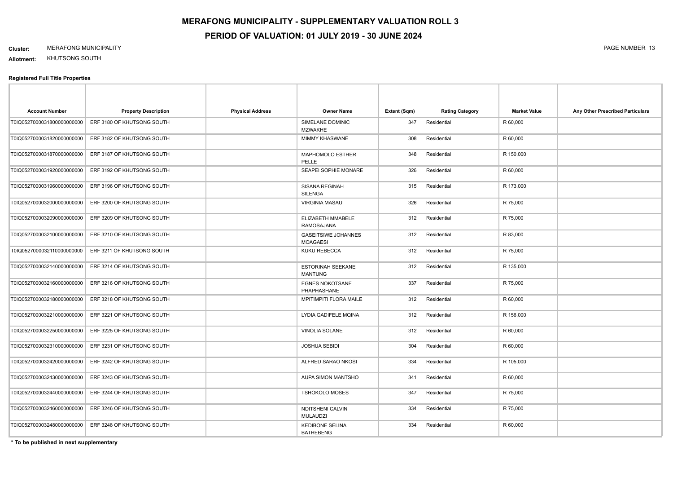#### **Cluster:** MERAFONG MUNICIPALITY PAGE NUMBER 13

**Allotment:** KHUTSONG SOUTH

#### **Registered Full Title Properties**

| <b>Account Number</b>       | <b>Property Description</b> | <b>Physical Address</b> | <b>Owner Name</b>                             | Extent (Sqm) | <b>Rating Category</b> | <b>Market Value</b> | Any Other Prescribed Particulars |
|-----------------------------|-----------------------------|-------------------------|-----------------------------------------------|--------------|------------------------|---------------------|----------------------------------|
| T0IQ0527000031800000000000  | ERF 3180 OF KHUTSONG SOUTH  |                         | SIMELANE DOMINIC<br><b>MZWAKHE</b>            | 347          | Residential            | R 60,000            |                                  |
| T0IQ0527000031820000000000  | ERF 3182 OF KHUTSONG SOUTH  |                         | <b>MIMMY KHASWANE</b>                         | 308          | Residential            | R 60,000            |                                  |
| T0IQ0527000031870000000000  | ERF 3187 OF KHUTSONG SOUTH  |                         | MAPHOMOLO ESTHER<br>PELLE                     | 348          | Residential            | R 150,000           |                                  |
| T0IQ0527000031920000000000  | ERF 3192 OF KHUTSONG SOUTH  |                         | SEAPEI SOPHIE MONARE                          | 326          | Residential            | R 60,000            |                                  |
| T0IQ0527000031960000000000  | ERF 3196 OF KHUTSONG SOUTH  |                         | SISANA REGINAH<br>SILENGA                     | 315          | Residential            | R 173,000           |                                  |
| T0IQ05270000320000000000000 | ERF 3200 OF KHUTSONG SOUTH  |                         | <b>VIRGINIA MASAU</b>                         | 326          | Residential            | R 75,000            |                                  |
| T0IQ05270000320900000000000 | ERF 3209 OF KHUTSONG SOUTH  |                         | ELIZABETH MMABELE<br>RAMOSAJANA               | 312          | Residential            | R 75,000            |                                  |
| T0IQ05270000321000000000000 | ERF 3210 OF KHUTSONG SOUTH  |                         | <b>GASEITSIWE JOHANNES</b><br><b>MOAGAESI</b> | 312          | Residential            | R 83,000            |                                  |
| T0IQ0527000032110000000000  | ERF 3211 OF KHUTSONG SOUTH  |                         | KUKU REBECCA                                  | 312          | Residential            | R 75,000            |                                  |
| T0IQ0527000032140000000000  | ERF 3214 OF KHUTSONG SOUTH  |                         | <b>ESTORINAH SEEKANE</b><br><b>MANTUNG</b>    | 312          | Residential            | R 135,000           |                                  |
| T0IQ0527000032160000000000  | ERF 3216 OF KHUTSONG SOUTH  |                         | <b>EGNES NOKOTSANE</b><br>PHAPHASHANE         | 337          | Residential            | R 75,000            |                                  |
| T0IQ0527000032180000000000  | ERF 3218 OF KHUTSONG SOUTH  |                         | <b>MPITIMPITI FLORA MAILE</b>                 | 312          | Residential            | R 60,000            |                                  |
| T0IQ0527000032210000000000  | ERF 3221 OF KHUTSONG SOUTH  |                         | LYDIA GADIFELE MQINA                          | 312          | Residential            | R 156,000           |                                  |
| T0IQ0527000032250000000000  | ERF 3225 OF KHUTSONG SOUTH  |                         | VINOLIA SOLANE                                | 312          | Residential            | R 60,000            |                                  |
| T0IQ0527000032310000000000  | ERF 3231 OF KHUTSONG SOUTH  |                         | <b>JOSHUA SEBIDI</b>                          | 304          | Residential            | R 60,000            |                                  |
| T0IQ0527000032420000000000  | ERF 3242 OF KHUTSONG SOUTH  |                         | ALFRED SARAO NKOSI                            | 334          | Residential            | R 105,000           |                                  |
| T0IQ0527000032430000000000  | ERF 3243 OF KHUTSONG SOUTH  |                         | AUPA SIMON MANTSHO                            | 341          | Residential            | R 60,000            |                                  |
| T0IQ0527000032440000000000  | ERF 3244 OF KHUTSONG SOUTH  |                         | <b>TSHOKOLO MOSES</b>                         | 347          | Residential            | R 75,000            |                                  |
| T0IQ0527000032460000000000  | ERF 3246 OF KHUTSONG SOUTH  |                         | NDITSHENI CALVIN<br><b>MULAUDZI</b>           | 334          | Residential            | R 75,000            |                                  |
| T0IQ0527000032480000000000  | ERF 3248 OF KHUTSONG SOUTH  |                         | <b>KEDIBONE SELINA</b><br><b>BATHEBENG</b>    | 334          | Residential            | R 60,000            |                                  |

**\* To be published in next supplementary**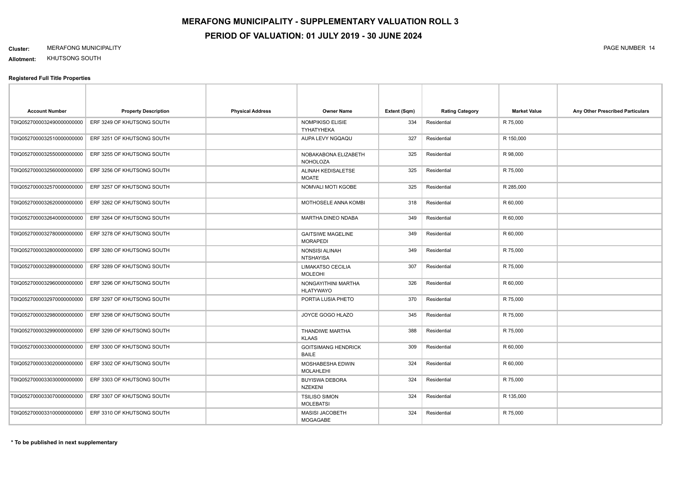#### **Cluster:** MERAFONG MUNICIPALITY PAGE NUMBER 14

**Allotment:** KHUTSONG SOUTH

| <b>Account Number</b>       | <b>Property Description</b> | <b>Physical Address</b> | <b>Owner Name</b>                           | Extent (Sqm) | <b>Rating Category</b> | <b>Market Value</b> | Any Other Prescribed Particulars |
|-----------------------------|-----------------------------|-------------------------|---------------------------------------------|--------------|------------------------|---------------------|----------------------------------|
| T0IQ0527000032490000000000  | ERF 3249 OF KHUTSONG SOUTH  |                         | NOMPIKISO ELISIE<br><b>TYHATYHEKA</b>       | 334          | Residential            | R 75,000            |                                  |
| T0IQ0527000032510000000000  | ERF 3251 OF KHUTSONG SOUTH  |                         | AUPA LEVY NGQAQU                            | 327          | Residential            | R 150,000           |                                  |
| T0IQ0527000032550000000000  | ERF 3255 OF KHUTSONG SOUTH  |                         | NOBAKABONA ELIZABETH<br><b>NOHOLOZA</b>     | 325          | Residential            | R 98,000            |                                  |
| T0IQ0527000032560000000000  | ERF 3256 OF KHUTSONG SOUTH  |                         | ALINAH KEDISALETSE<br><b>MOATE</b>          | 325          | Residential            | R 75,000            |                                  |
| T0IQ0527000032570000000000  | ERF 3257 OF KHUTSONG SOUTH  |                         | NOMVALI MOTI KGOBE                          | 325          | Residential            | R 285,000           |                                  |
| T0IQ0527000032620000000000  | ERF 3262 OF KHUTSONG SOUTH  |                         | MOTHOSELE ANNA KOMBI                        | 318          | Residential            | R 60,000            |                                  |
| T0IQ0527000032640000000000  | ERF 3264 OF KHUTSONG SOUTH  |                         | MARTHA DINEO NDABA                          | 349          | Residential            | R 60,000            |                                  |
| T0IQ0527000032780000000000  | ERF 3278 OF KHUTSONG SOUTH  |                         | <b>GAITSIWE MAGELINE</b><br><b>MORAPEDI</b> | 349          | Residential            | R 60,000            |                                  |
| T0IQ0527000032800000000000  | ERF 3280 OF KHUTSONG SOUTH  |                         | NONSISI ALINAH<br><b>NTSHAYISA</b>          | 349          | Residential            | R 75,000            |                                  |
| T0IQ0527000032890000000000  | ERF 3289 OF KHUTSONG SOUTH  |                         | <b>LIMAKATSO CECILIA</b><br><b>MOLEOHI</b>  | 307          | Residential            | R 75,000            |                                  |
| T0IQ0527000032960000000000  | ERF 3296 OF KHUTSONG SOUTH  |                         | NONGAYITHINI MARTHA<br><b>HLATYWAYO</b>     | 326          | Residential            | R 60,000            |                                  |
| T0IQ0527000032970000000000  | ERF 3297 OF KHUTSONG SOUTH  |                         | PORTIA LUSIA PHETO                          | 370          | Residential            | R 75,000            |                                  |
| T0IQ0527000032980000000000  | ERF 3298 OF KHUTSONG SOUTH  |                         | JOYCE GOGO HLAZO                            | 345          | Residential            | R 75,000            |                                  |
| T0IQ0527000032990000000000  | ERF 3299 OF KHUTSONG SOUTH  |                         | THANDIWE MARTHA<br><b>KLAAS</b>             | 388          | Residential            | R 75,000            |                                  |
| T0IQ0527000033000000000000  | ERF 3300 OF KHUTSONG SOUTH  |                         | <b>GOITSIMANG HENDRICK</b><br><b>BAILE</b>  | 309          | Residential            | R 60,000            |                                  |
| T0IQ0527000033020000000000  | ERF 3302 OF KHUTSONG SOUTH  |                         | MOSHABESHA EDWIN<br><b>MOLAHLEHI</b>        | 324          | Residential            | R 60,000            |                                  |
| T0IQ05270000330300000000000 | ERF 3303 OF KHUTSONG SOUTH  |                         | <b>BUYISWA DEBORA</b><br><b>NZEKENI</b>     | 324          | Residential            | R 75,000            |                                  |
| T0IQ0527000033070000000000  | ERF 3307 OF KHUTSONG SOUTH  |                         | <b>TSILISO SIMON</b><br><b>MOLEBATSI</b>    | 324          | Residential            | R 135,000           |                                  |
| T0IQ0527000033100000000000  | ERF 3310 OF KHUTSONG SOUTH  |                         | <b>MASISI JACOBETH</b><br>MOGAGABE          | 324          | Residential            | R 75,000            |                                  |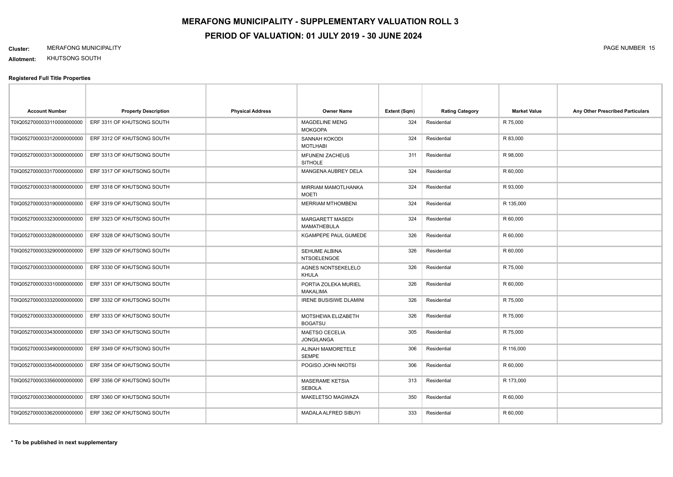#### **Cluster:** MERAFONG MUNICIPALITY PAGE NUMBER 15

**Allotment:** KHUTSONG SOUTH

| <b>Account Number</b>       | <b>Property Description</b> | <b>Physical Address</b> | <b>Owner Name</b>                             | Extent (Sqm) | <b>Rating Category</b> | <b>Market Value</b> | Any Other Prescribed Particulars |
|-----------------------------|-----------------------------|-------------------------|-----------------------------------------------|--------------|------------------------|---------------------|----------------------------------|
| T0IQ0527000033110000000000  | ERF 3311 OF KHUTSONG SOUTH  |                         | <b>MAGDELINE MENG</b><br><b>MOKGOPA</b>       | 324          | Residential            | R 75,000            |                                  |
| T0IQ0527000033120000000000  | ERF 3312 OF KHUTSONG SOUTH  |                         | SANNAH KOKODI<br><b>MOTLHABI</b>              | 324          | Residential            | R 83,000            |                                  |
| T0IQ0527000033130000000000  | ERF 3313 OF KHUTSONG SOUTH  |                         | <b>MFUNENI ZACHEUS</b><br><b>SITHOLE</b>      | 311          | Residential            | R 98,000            |                                  |
| T0IQ0527000033170000000000  | ERF 3317 OF KHUTSONG SOUTH  |                         | MANGENA AUBREY DELA                           | 324          | Residential            | R 60,000            |                                  |
| T0IQ0527000033180000000000  | ERF 3318 OF KHUTSONG SOUTH  |                         | MIRRIAM MAMOTLHANKA<br><b>MOETI</b>           | 324          | Residential            | R 93,000            |                                  |
| T0IQ0527000033190000000000  | ERF 3319 OF KHUTSONG SOUTH  |                         | <b>MERRIAM MTHOMBENI</b>                      | 324          | Residential            | R 135,000           |                                  |
| T0IQ0527000033230000000000  | ERF 3323 OF KHUTSONG SOUTH  |                         | <b>MARGARETT MASEDI</b><br><b>MAMATHEBULA</b> | 324          | Residential            | R 60,000            |                                  |
| T0IQ0527000033280000000000  | ERF 3328 OF KHUTSONG SOUTH  |                         | KGAMPEPE PAUL GUMEDE                          | 326          | Residential            | R 60,000            |                                  |
| T0IQ0527000033290000000000  | ERF 3329 OF KHUTSONG SOUTH  |                         | SEHUME ALBINA<br><b>NTSOELENGOE</b>           | 326          | Residential            | R 60,000            |                                  |
| T0IQ0527000033300000000000  | ERF 3330 OF KHUTSONG SOUTH  |                         | AGNES NONTSEKELELO<br><b>KHULA</b>            | 326          | Residential            | R 75,000            |                                  |
| T0IQ0527000033310000000000  | ERF 3331 OF KHUTSONG SOUTH  |                         | PORTIA ZOLEKA MURIEL<br><b>MAKALIMA</b>       | 326          | Residential            | R 60,000            |                                  |
| T0IQ0527000033320000000000  | ERF 3332 OF KHUTSONG SOUTH  |                         | <b>IRENE BUSISIWE DLAMINI</b>                 | 326          | Residential            | R 75,000            |                                  |
| T0IQ0527000033330000000000  | ERF 3333 OF KHUTSONG SOUTH  |                         | MOTSHEWA ELIZABETH<br><b>BOGATSU</b>          | 326          | Residential            | R 75,000            |                                  |
| T0IQ0527000033430000000000  | ERF 3343 OF KHUTSONG SOUTH  |                         | <b>MAETSO CECELIA</b><br><b>JONGILANGA</b>    | 305          | Residential            | R 75,000            |                                  |
| T0IQ0527000033490000000000  | ERF 3349 OF KHUTSONG SOUTH  |                         | <b>ALINAH MAMORETELE</b><br><b>SEMPE</b>      | 306          | Residential            | R 116,000           |                                  |
| T0IQ0527000033540000000000  | ERF 3354 OF KHUTSONG SOUTH  |                         | POGISO JOHN NKOTSI                            | 306          | Residential            | R 60,000            |                                  |
| T0IQ0527000033560000000000  | ERF 3356 OF KHUTSONG SOUTH  |                         | <b>MASERAME KETSIA</b><br><b>SEBOLA</b>       | 313          | Residential            | R 173,000           |                                  |
| T0IQ05270000336000000000000 | ERF 3360 OF KHUTSONG SOUTH  |                         | MAKELETSO MAGWAZA                             | 350          | Residential            | R 60,000            |                                  |
| T0IQ0527000033620000000000  | ERF 3362 OF KHUTSONG SOUTH  |                         | MADALA ALFRED SIBUYI                          | 333          | Residential            | R 60,000            |                                  |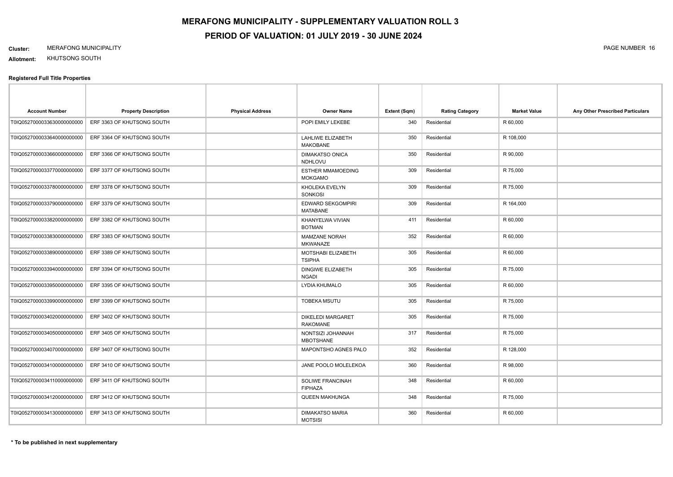#### **Cluster:** MERAFONG MUNICIPALITY PAGE NUMBER 16

**Allotment:** KHUTSONG SOUTH

| <b>Account Number</b>       | <b>Property Description</b> | <b>Physical Address</b> | <b>Owner Name</b>                           | Extent (Sqm) | <b>Rating Category</b> | <b>Market Value</b> | Any Other Prescribed Particulars |
|-----------------------------|-----------------------------|-------------------------|---------------------------------------------|--------------|------------------------|---------------------|----------------------------------|
| T0IQ0527000033630000000000  | ERF 3363 OF KHUTSONG SOUTH  |                         | POPI EMILY LEKEBE                           | 340          | Residential            | R 60,000            |                                  |
| T0IQ0527000033640000000000  | ERF 3364 OF KHUTSONG SOUTH  |                         | LAHLIWE ELIZABETH<br><b>MAKOBANE</b>        | 350          | Residential            | R 108,000           |                                  |
| T0IQ05270000336600000000000 | ERF 3366 OF KHUTSONG SOUTH  |                         | <b>DIMAKATSO ONICA</b><br>NDHLOVU           | 350          | Residential            | R 90,000            |                                  |
| T0IQ0527000033770000000000  | ERF 3377 OF KHUTSONG SOUTH  |                         | <b>ESTHER MMAMOEDING</b><br><b>MOKGAMO</b>  | 309          | Residential            | R 75,000            |                                  |
| T0IQ0527000033780000000000  | ERF 3378 OF KHUTSONG SOUTH  |                         | KHOLEKA EVELYN<br>SONKOSI                   | 309          | Residential            | R 75,000            |                                  |
| T0IQ0527000033790000000000  | ERF 3379 OF KHUTSONG SOUTH  |                         | EDWARD SEKGOMPIRI<br><b>MATABANE</b>        | 309          | Residential            | R 164,000           |                                  |
| T0IQ0527000033820000000000  | ERF 3382 OF KHUTSONG SOUTH  |                         | KHANYELWA VIVIAN<br><b>BOTMAN</b>           | 411          | Residential            | R 60,000            |                                  |
| T0IQ0527000033830000000000  | ERF 3383 OF KHUTSONG SOUTH  |                         | MAMZANE NORAH<br>MKWANAZE                   | 352          | Residential            | R 60,000            |                                  |
| T0IQ0527000033890000000000  | ERF 3389 OF KHUTSONG SOUTH  |                         | MOTSHABI ELIZABETH<br><b>TSIPHA</b>         | 305          | Residential            | R 60,000            |                                  |
| T0IQ0527000033940000000000  | ERF 3394 OF KHUTSONG SOUTH  |                         | <b>DINGIWE ELIZABETH</b><br><b>NGADI</b>    | 305          | Residential            | R 75,000            |                                  |
| T0IQ0527000033950000000000  | ERF 3395 OF KHUTSONG SOUTH  |                         | LYDIA KHUMALO                               | 305          | Residential            | R 60,000            |                                  |
| T0IQ0527000033990000000000  | ERF 3399 OF KHUTSONG SOUTH  |                         | <b>TOBEKA MSUTU</b>                         | 305          | Residential            | R 75,000            |                                  |
| T0IQ0527000034020000000000  | ERF 3402 OF KHUTSONG SOUTH  |                         | <b>DIKELEDI MARGARET</b><br><b>RAKOMANE</b> | 305          | Residential            | R 75,000            |                                  |
| T0IQ0527000034050000000000  | ERF 3405 OF KHUTSONG SOUTH  |                         | NONTSIZI JOHANNAH<br><b>MBOTSHANE</b>       | 317          | Residential            | R 75,000            |                                  |
| T0IQ0527000034070000000000  | ERF 3407 OF KHUTSONG SOUTH  |                         | MAPONTSHO AGNES PALO                        | 352          | Residential            | R 128,000           |                                  |
| T0IQ0527000034100000000000  | ERF 3410 OF KHUTSONG SOUTH  |                         | JANE POOLO MOLELEKOA                        | 360          | Residential            | R 98,000            |                                  |
| T0IQ0527000034110000000000  | ERF 3411 OF KHUTSONG SOUTH  |                         | SOLIWE FRANCINAH<br><b>FIPHAZA</b>          | 348          | Residential            | R 60,000            |                                  |
| T0IQ0527000034120000000000  | ERF 3412 OF KHUTSONG SOUTH  |                         | <b>QUEEN MAKHUNGA</b>                       | 348          | Residential            | R 75,000            |                                  |
| T0IQ0527000034130000000000  | ERF 3413 OF KHUTSONG SOUTH  |                         | <b>DIMAKATSO MARIA</b><br><b>MOTSISI</b>    | 360          | Residential            | R 60,000            |                                  |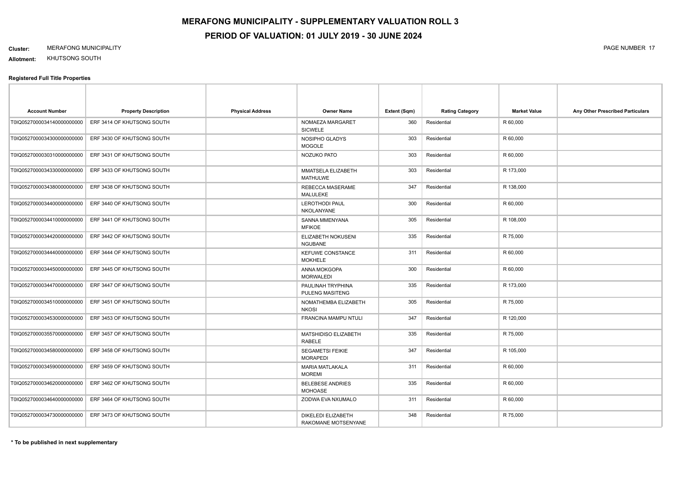#### **Cluster:** MERAFONG MUNICIPALITY PAGE NUMBER 17

**Allotment:** KHUTSONG SOUTH

| <b>Account Number</b>      | <b>Property Description</b> | <b>Physical Address</b> | <b>Owner Name</b>                           | Extent (Sqm) | <b>Rating Category</b> | <b>Market Value</b> | Any Other Prescribed Particulars |
|----------------------------|-----------------------------|-------------------------|---------------------------------------------|--------------|------------------------|---------------------|----------------------------------|
| T0IQ0527000034140000000000 | ERF 3414 OF KHUTSONG SOUTH  |                         | NOMAEZA MARGARET<br><b>SICWELE</b>          | 360          | Residential            | R 60,000            |                                  |
| T0IQ0527000034300000000000 | ERF 3430 OF KHUTSONG SOUTH  |                         | NOSIPHO GLADYS<br><b>MOGOLE</b>             | 303          | Residential            | R 60,000            |                                  |
| T0IQ0527000030310000000000 | ERF 3431 OF KHUTSONG SOUTH  |                         | NOZUKO PATO                                 | 303          | Residential            | R 60,000            |                                  |
| T0IQ0527000034330000000000 | ERF 3433 OF KHUTSONG SOUTH  |                         | MMATSELA ELIZABETH<br><b>MATHULWE</b>       | 303          | Residential            | R 173,000           |                                  |
| T0IQ0527000034380000000000 | ERF 3438 OF KHUTSONG SOUTH  |                         | REBECCA MASERAME<br>MALULEKE                | 347          | Residential            | R 138,000           |                                  |
| T0IQ0527000034400000000000 | ERF 3440 OF KHUTSONG SOUTH  |                         | <b>LEROTHODI PAUL</b><br><b>NKOLANYANE</b>  | 300          | Residential            | R 60,000            |                                  |
| T0IQ0527000034410000000000 | ERF 3441 OF KHUTSONG SOUTH  |                         | SANNA MMENYANA<br><b>MFIKOE</b>             | 305          | Residential            | R 108,000           |                                  |
| T0IQ0527000034420000000000 | ERF 3442 OF KHUTSONG SOUTH  |                         | ELIZABETH NOKUSENI<br><b>NGUBANE</b>        | 335          | Residential            | R 75,000            |                                  |
| T0IQ0527000034440000000000 | ERF 3444 OF KHUTSONG SOUTH  |                         | <b>KEFUWE CONSTANCE</b><br><b>MOKHELE</b>   | 311          | Residential            | R 60,000            |                                  |
| T0IQ0527000034450000000000 | ERF 3445 OF KHUTSONG SOUTH  |                         | ANNA MOKGOPA<br><b>MORWALEDI</b>            | 300          | Residential            | R 60,000            |                                  |
| T0IQ0527000034470000000000 | ERF 3447 OF KHUTSONG SOUTH  |                         | PAULINAH TRYPHINA<br><b>PULENG MASITENG</b> | 335          | Residential            | R 173,000           |                                  |
| T0IQ0527000034510000000000 | ERF 3451 OF KHUTSONG SOUTH  |                         | NOMATHEMBA ELIZABETH<br><b>NKOSI</b>        | 305          | Residential            | R 75,000            |                                  |
| T0IQ0527000034530000000000 | ERF 3453 OF KHUTSONG SOUTH  |                         | FRANCINA MAMPU NTULI                        | 347          | Residential            | R 120,000           |                                  |
| T0IQ0527000035570000000000 | ERF 3457 OF KHUTSONG SOUTH  |                         | MATSHIDISO ELIZABETH<br>RABELE              | 335          | Residential            | R 75,000            |                                  |
| T0IQ0527000034580000000000 | ERF 3458 OF KHUTSONG SOUTH  |                         | <b>SEGAMETSI FEIKIE</b><br><b>MORAPEDI</b>  | 347          | Residential            | R 105,000           |                                  |
| T0IQ0527000034590000000000 | ERF 3459 OF KHUTSONG SOUTH  |                         | <b>MARIA MATLAKALA</b><br><b>MOREMI</b>     | 311          | Residential            | R 60,000            |                                  |
| T0IQ0527000034620000000000 | ERF 3462 OF KHUTSONG SOUTH  |                         | <b>BELEBESE ANDRIES</b><br><b>MOHOASE</b>   | 335          | Residential            | R 60,000            |                                  |
| T0IQ0527000034640000000000 | ERF 3464 OF KHUTSONG SOUTH  |                         | ZODWA EVA NXUMALO                           | 311          | Residential            | R 60,000            |                                  |
| T0IQ0527000034730000000000 | ERF 3473 OF KHUTSONG SOUTH  |                         | DIKELEDI ELIZABETH<br>RAKOMANE MOTSENYANE   | 348          | Residential            | R 75,000            |                                  |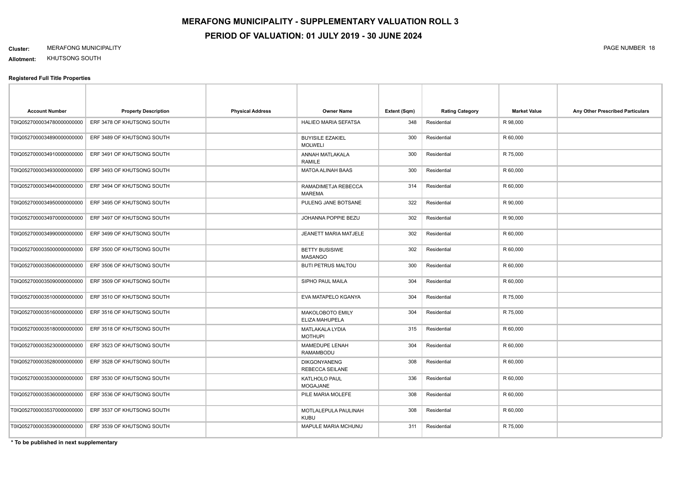#### **Cluster:** MERAFONG MUNICIPALITY PAGE NUMBER 18

**Allotment:** KHUTSONG SOUTH

#### **Registered Full Title Properties**

| <b>Account Number</b>       | <b>Property Description</b> | <b>Physical Address</b> | <b>Owner Name</b>                             | Extent (Sqm) | <b>Rating Category</b> | <b>Market Value</b> | Any Other Prescribed Particulars |
|-----------------------------|-----------------------------|-------------------------|-----------------------------------------------|--------------|------------------------|---------------------|----------------------------------|
| T0IQ0527000034780000000000  | ERF 3478 OF KHUTSONG SOUTH  |                         | HALIEO MARIA SEFATSA                          | 348          | Residential            | R 98,000            |                                  |
| T0IQ0527000034890000000000  | ERF 3489 OF KHUTSONG SOUTH  |                         | <b>BUYISILE EZAKIEL</b><br><b>MOLWELI</b>     | 300          | Residential            | R 60,000            |                                  |
| T0IQ0527000034910000000000  | ERF 3491 OF KHUTSONG SOUTH  |                         | ANNAH MATLAKALA<br>RAMILE                     | 300          | Residential            | R 75,000            |                                  |
| T0IQ0527000034930000000000  | ERF 3493 OF KHUTSONG SOUTH  |                         | <b>MATOA ALINAH BAAS</b>                      | 300          | Residential            | R 60,000            |                                  |
| T0IQ0527000034940000000000  | ERF 3494 OF KHUTSONG SOUTH  |                         | RAMADIMETJA REBECCA<br><b>MAREMA</b>          | 314          | Residential            | R 60,000            |                                  |
| T0IQ0527000034950000000000  | ERF 3495 OF KHUTSONG SOUTH  |                         | PULENG JANE BOTSANE                           | 322          | Residential            | R 90,000            |                                  |
| T0IQ0527000034970000000000  | ERF 3497 OF KHUTSONG SOUTH  |                         | JOHANNA POPPIE BEZU                           | 302          | Residential            | R 90,000            |                                  |
| T0IQ0527000034990000000000  | ERF 3499 OF KHUTSONG SOUTH  |                         | JEANETT MARIA MATJELE                         | 302          | Residential            | R 60,000            |                                  |
| T0IQ0527000035000000000000  | ERF 3500 OF KHUTSONG SOUTH  |                         | <b>BETTY BUSISIWE</b><br><b>MASANGO</b>       | 302          | Residential            | R 60,000            |                                  |
| T0IQ05270000350600000000000 | ERF 3506 OF KHUTSONG SOUTH  |                         | <b>BUTI PETRUS MALTOU</b>                     | 300          | Residential            | R 60,000            |                                  |
| T0IQ0527000035090000000000  | ERF 3509 OF KHUTSONG SOUTH  |                         | SIPHO PAUL MAILA                              | 304          | Residential            | R 60,000            |                                  |
| T0IQ0527000035100000000000  | ERF 3510 OF KHUTSONG SOUTH  |                         | EVA MATAPELO KGANYA                           | 304          | Residential            | R 75,000            |                                  |
| T0IQ0527000035160000000000  | ERF 3516 OF KHUTSONG SOUTH  |                         | MAKOLOBOTO EMILY<br>ELIZA MAHUPELA            | 304          | Residential            | R 75,000            |                                  |
| T0IQ0527000035180000000000  | ERF 3518 OF KHUTSONG SOUTH  |                         | MATLAKALA LYDIA<br><b>MOTHUPI</b>             | 315          | Residential            | R 60,000            |                                  |
| T0IQ0527000035230000000000  | ERF 3523 OF KHUTSONG SOUTH  |                         | MAMEDUPE LENAH<br><b>RAMAMBODU</b>            | 304          | Residential            | R 60,000            |                                  |
| T0IQ0527000035280000000000  | ERF 3528 OF KHUTSONG SOUTH  |                         | <b>DIKGONYANENG</b><br><b>REBECCA SEILANE</b> | 308          | Residential            | R 60,000            |                                  |
| T0IQ0527000035300000000000  | ERF 3530 OF KHUTSONG SOUTH  |                         | KATLHOLO PAUL<br><b>MOGAJANE</b>              | 336          | Residential            | R 60,000            |                                  |
| T0IQ0527000035360000000000  | ERF 3536 OF KHUTSONG SOUTH  |                         | PILE MARIA MOLEFE                             | 308          | Residential            | R 60,000            |                                  |
| T0IQ0527000035370000000000  | ERF 3537 OF KHUTSONG SOUTH  |                         | MOTLALEPULA PAULINAH<br><b>KUBU</b>           | 308          | Residential            | R 60,000            |                                  |
| T0IQ0527000035390000000000  | ERF 3539 OF KHUTSONG SOUTH  |                         | MAPULE MARIA MCHUNU                           | 311          | Residential            | R 75,000            |                                  |

**\* To be published in next supplementary**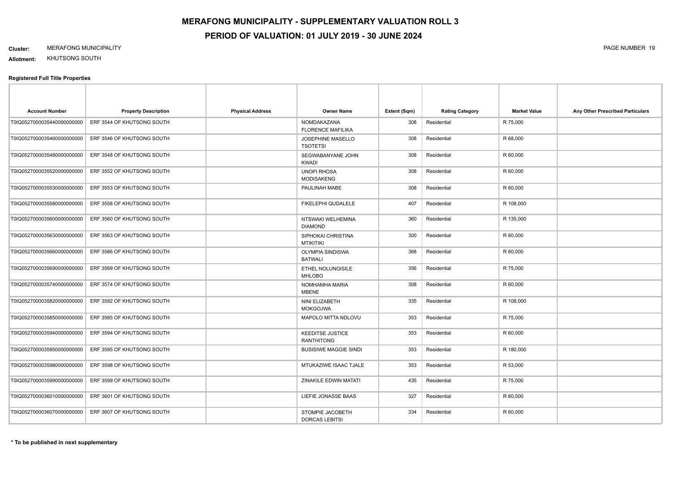#### **Cluster:** MERAFONG MUNICIPALITY PAGE NUMBER 19

**Allotment:** KHUTSONG SOUTH

| <b>Account Number</b>       | <b>Property Description</b> | <b>Physical Address</b> | <b>Owner Name</b>                            | Extent (Sqm) | <b>Rating Category</b> | <b>Market Value</b> | Any Other Prescribed Particulars |
|-----------------------------|-----------------------------|-------------------------|----------------------------------------------|--------------|------------------------|---------------------|----------------------------------|
| T0IQ0527000035440000000000  | ERF 3544 OF KHUTSONG SOUTH  |                         | NOMDAKAZANA<br><b>FLORENCE MAFILIKA</b>      | 308          | Residential            | R 75,000            |                                  |
| T0IQ0527000035460000000000  | ERF 3546 OF KHUTSONG SOUTH  |                         | <b>JOSEPHINE MASELLO</b><br><b>TSOTETSI</b>  | 308          | Residential            | R 68,000            |                                  |
| T0IQ0527000035480000000000  | ERF 3548 OF KHUTSONG SOUTH  |                         | SEGWABANYANE JOHN<br><b>KWADI</b>            | 308          | Residential            | R 60,000            |                                  |
| T0IQ0527000035520000000000  | ERF 3552 OF KHUTSONG SOUTH  |                         | <b>UNOPI RHOSA</b><br><b>MODISAKENG</b>      | 308          | Residential            | R 60,000            |                                  |
| T0IQ0527000035530000000000  | ERF 3553 OF KHUTSONG SOUTH  |                         | PAULINAH MABE                                | 308          | Residential            | R 60,000            |                                  |
| T0IQ0527000035580000000000  | ERF 3558 OF KHUTSONG SOUTH  |                         | FIKELEPHI QUDALELE                           | 407          | Residential            | R 108,000           |                                  |
| T0IQ05270000356000000000000 | ERF 3560 OF KHUTSONG SOUTH  |                         | NTSWAKI WELHEMINA<br><b>DIAMOND</b>          | 360          | Residential            | R 135,000           |                                  |
| T0IQ0527000035630000000000  | ERF 3563 OF KHUTSONG SOUTH  |                         | SIPHOKAI CHRISTINA<br><b>MTIKITIKI</b>       | 300          | Residential            | R 60,000            |                                  |
| T0IQ0527000035660000000000  | ERF 3566 OF KHUTSONG SOUTH  |                         | <b>OLYMPIA SINDISWA</b><br><b>BATWALI</b>    | 368          | Residential            | R 60,000            |                                  |
| T0IQ0527000035690000000000  | ERF 3569 OF KHUTSONG SOUTH  |                         | ETHEL NOLUNGISILE<br><b>MHLOBO</b>           | 356          | Residential            | R 75,000            |                                  |
| T0IQ0527000035740000000000  | ERF 3574 OF KHUTSONG SOUTH  |                         | NOMHAMHA MARIA<br><b>MBENE</b>               | 308          | Residential            | R 60,000            |                                  |
| T0IQ0527000035820000000000  | ERF 3582 OF KHUTSONG SOUTH  |                         | NINI ELIZABETH<br><b>MOKGOJWA</b>            | 335          | Residential            | R 108,000           |                                  |
| T0IQ0527000035850000000000  | ERF 3585 OF KHUTSONG SOUTH  |                         | MAPOLO MITTA NDLOVU                          | 353          | Residential            | R 75,000            |                                  |
| T0IQ0527000035940000000000  | ERF 3594 OF KHUTSONG SOUTH  |                         | <b>KEEDITSE JUSTICE</b><br><b>RANTHITONG</b> | 353          | Residential            | R 60,000            |                                  |
| T0IQ0527000035950000000000  | ERF 3595 OF KHUTSONG SOUTH  |                         | <b>BUSISIWE MAGGIE SINDI</b>                 | 353          | Residential            | R 180,000           |                                  |
| T0IQ0527000035980000000000  | ERF 3598 OF KHUTSONG SOUTH  |                         | MTUKAZIWE ISAAC TJALE                        | 353          | Residential            | R 53,000            |                                  |
| T0IQ0527000035990000000000  | ERF 3599 OF KHUTSONG SOUTH  |                         | ZINAKILE EDWIN MATATI                        | 435          | Residential            | R 75,000            |                                  |
| T0IQ0527000036010000000000  | ERF 3601 OF KHUTSONG SOUTH  |                         | LIEFIE JONASSE BAAS                          | 327          | Residential            | R 60,000            |                                  |
| T0IQ05270000360700000000000 | ERF 3607 OF KHUTSONG SOUTH  |                         | STOMPIE JACOBETH<br><b>DORCAS LEBITSI</b>    | 334          | Residential            | R 60,000            |                                  |
|                             |                             |                         |                                              |              |                        |                     |                                  |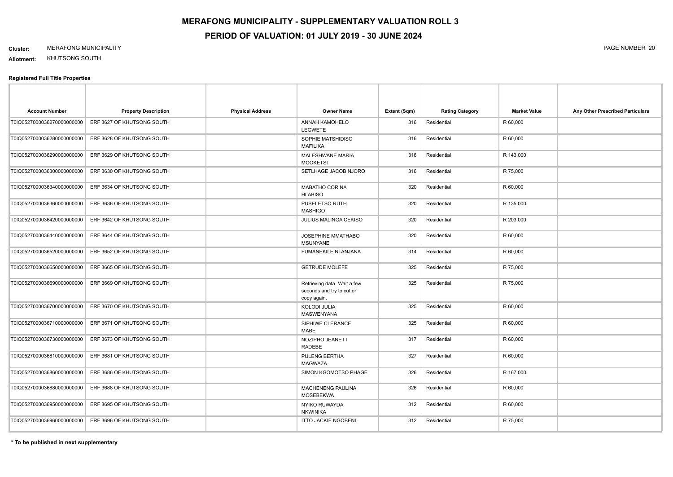#### **Cluster:** MERAFONG MUNICIPALITY PAGE NUMBER 20

**Allotment:** KHUTSONG SOUTH

| <b>Account Number</b>      | <b>Property Description</b> | <b>Physical Address</b> | <b>Owner Name</b>                                                       | Extent (Sqm) | <b>Rating Category</b> | <b>Market Value</b> | Any Other Prescribed Particulars |
|----------------------------|-----------------------------|-------------------------|-------------------------------------------------------------------------|--------------|------------------------|---------------------|----------------------------------|
| T0IQ0527000036270000000000 | ERF 3627 OF KHUTSONG SOUTH  |                         | ANNAH KAMOHELO<br><b>LEGWETE</b>                                        | 316          | Residential            | R 60,000            |                                  |
| T0IQ0527000036280000000000 | ERF 3628 OF KHUTSONG SOUTH  |                         | SOPHIE MATSHIDISO<br><b>MAFILIKA</b>                                    | 316          | Residential            | R 60,000            |                                  |
| T0IQ0527000036290000000000 | ERF 3629 OF KHUTSONG SOUTH  |                         | MALESHWANE MARIA<br><b>MOOKETSI</b>                                     | 316          | Residential            | R 143,000           |                                  |
| T0IQ0527000036300000000000 | ERF 3630 OF KHUTSONG SOUTH  |                         | SETLHAGE JACOB NJORO                                                    | 316          | Residential            | R 75,000            |                                  |
| T0IQ0527000036340000000000 | ERF 3634 OF KHUTSONG SOUTH  |                         | <b>MABATHO CORINA</b><br><b>HLABISO</b>                                 | 320          | Residential            | R 60,000            |                                  |
| T0IQ0527000036360000000000 | ERF 3636 OF KHUTSONG SOUTH  |                         | PUSELETSO RUTH<br><b>MASHIGO</b>                                        | 320          | Residential            | R 135,000           |                                  |
| T0IQ0527000036420000000000 | ERF 3642 OF KHUTSONG SOUTH  |                         | JULIUS MALINGA CEKISO                                                   | 320          | Residential            | R 203,000           |                                  |
| T0IQ0527000036440000000000 | ERF 3644 OF KHUTSONG SOUTH  |                         | JOSEPHINE MMATHABO<br><b>MSUNYANE</b>                                   | 320          | Residential            | R 60,000            |                                  |
| T0IQ0527000036520000000000 | ERF 3652 OF KHUTSONG SOUTH  |                         | <b>FUMANEKILE NTANJANA</b>                                              | 314          | Residential            | R 60,000            |                                  |
| T0IQ0527000036650000000000 | ERF 3665 OF KHUTSONG SOUTH  |                         | <b>GETRUDE MOLEFE</b>                                                   | 325          | Residential            | R 75,000            |                                  |
| T0IQ0527000036690000000000 | ERF 3669 OF KHUTSONG SOUTH  |                         | Retrieving data. Wait a few<br>seconds and try to cut or<br>copy again. | 325          | Residential            | R 75,000            |                                  |
| T0IQ0527000036700000000000 | ERF 3670 OF KHUTSONG SOUTH  |                         | <b>KOLODI JULIA</b><br><b>MASWENYANA</b>                                | 325          | Residential            | R 60,000            |                                  |
| T0IQ0527000036710000000000 | ERF 3671 OF KHUTSONG SOUTH  |                         | SIPHIWE CLERANCE<br>MABE                                                | 325          | Residential            | R 60,000            |                                  |
| T0IQ0527000036730000000000 | ERF 3673 OF KHUTSONG SOUTH  |                         | NOZIPHO JEANETT<br><b>RADEBE</b>                                        | 317          | Residential            | R 60,000            |                                  |
| T0IQ0527000036810000000000 | ERF 3681 OF KHUTSONG SOUTH  |                         | PULENG BERTHA<br><b>MAGWAZA</b>                                         | 327          | Residential            | R 60,000            |                                  |
| T0IQ0527000036860000000000 | ERF 3686 OF KHUTSONG SOUTH  |                         | SIMON KGOMOTSO PHAGE                                                    | 326          | Residential            | R 167,000           |                                  |
| T0IQ0527000036880000000000 | ERF 3688 OF KHUTSONG SOUTH  |                         | MACHENENG PAULINA<br><b>MOSEBEKWA</b>                                   | 326          | Residential            | R 60,000            |                                  |
| T0IQ0527000036950000000000 | ERF 3695 OF KHUTSONG SOUTH  |                         | NYIKO RUWAYDA<br><b>NKWINIKA</b>                                        | 312          | Residential            | R 60,000            |                                  |
| T0IQ0527000036960000000000 | ERF 3696 OF KHUTSONG SOUTH  |                         | <b>ITTO JACKIE NGOBENI</b>                                              | 312          | Residential            | R 75,000            |                                  |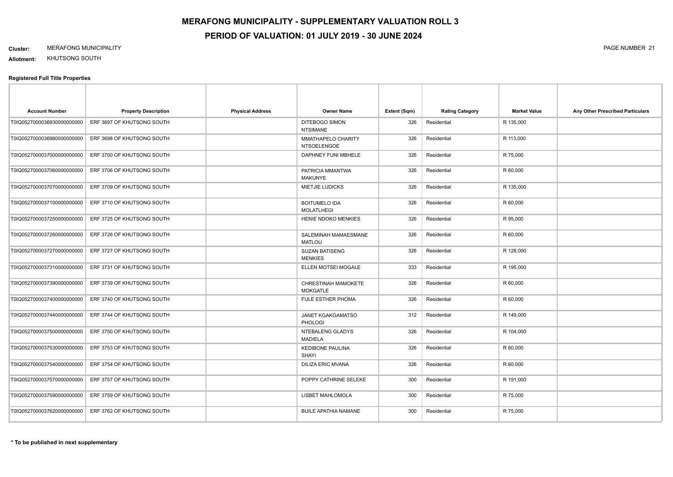#### **Cluster:** MERAFONG MUNICIPALITY PAGE NUMBER 21

**Allotment:** KHUTSONG SOUTH

| <b>Account Number</b>       | <b>Property Description</b> | <b>Physical Address</b> | <b>Owner Name</b>                         | Extent (Sqm) | <b>Rating Category</b> | <b>Market Value</b> | Any Other Prescribed Particulars |
|-----------------------------|-----------------------------|-------------------------|-------------------------------------------|--------------|------------------------|---------------------|----------------------------------|
| T0IQ05270000369300000000000 | ERF 3697 OF KHUTSONG SOUTH  |                         | <b>DITEBOGO SIMON</b><br><b>NTSIMANE</b>  | 326          | Residential            | R 135,000           |                                  |
| T0IQ0527000036980000000000  | ERF 3698 OF KHUTSONG SOUTH  |                         | MMATHAPELO CHARITY<br><b>NTSOELENGOE</b>  | 326          | Residential            | R 113,000           |                                  |
| T0IQ0527000037000000000000  | ERF 3700 OF KHUTSONG SOUTH  |                         | DAPHNEY FUNI MBHELE                       | 326          | Residential            | R 75,000            |                                  |
| T0IQ0527000037060000000000  | ERF 3706 OF KHUTSONG SOUTH  |                         | PATRICIA MMANTWA<br><b>MAKUNYE</b>        | 326          | Residential            | R 60,000            |                                  |
| T0IQ0527000037070000000000  | ERF 3709 OF KHUTSONG SOUTH  |                         | <b>MIETJIE LUDICKS</b>                    | 326          | Residential            | R 135,000           |                                  |
| T0IQ0527000037100000000000  | ERF 3710 OF KHUTSONG SOUTH  |                         | <b>BOITUMELO IDA</b><br><b>MOLATLHEGI</b> | 326          | Residential            | R 60,000            |                                  |
| T0IQ0527000037250000000000  | ERF 3725 OF KHUTSONG SOUTH  |                         | HENIE NDOKO MENKIES                       | 326          | Residential            | R 95,000            |                                  |
| T0IQ0527000037260000000000  | ERF 3726 OF KHUTSONG SOUTH  |                         | SALEMINAH MAMAESMANE<br><b>MATLOU</b>     | 326          | Residential            | R 60,000            |                                  |
| T0IQ0527000037270000000000  | ERF 3727 OF KHUTSONG SOUTH  |                         | <b>SUZAN BATISENG</b><br><b>MENKIES</b>   | 326          | Residential            | R 128,000           |                                  |
| T0IQ0527000037310000000000  | ERF 3731 OF KHUTSONG SOUTH  |                         | ELLEN MOTSEI MOGALE                       | 333          | Residential            | R 195,000           |                                  |
| T0IQ0527000037390000000000  | ERF 3739 OF KHUTSONG SOUTH  |                         | CHRESTINAH MAMOKETE<br>MOKGATLE           | 326          | Residential            | R 60,000            |                                  |
| T0IQ0527000037400000000000  | ERF 3740 OF KHUTSONG SOUTH  |                         | FULE ESTHER PHOMA                         | 326          | Residential            | R 60,000            |                                  |
| T0IQ0527000037440000000000  | ERF 3744 OF KHUTSONG SOUTH  |                         | JANET KGAKGAMATSO<br><b>PHOLOGI</b>       | 312          | Residential            | R 149,000           |                                  |
| T0IQ0527000037500000000000  | ERF 3750 OF KHUTSONG SOUTH  |                         | NTEBALENG GLADYS<br><b>MADIELA</b>        | 326          | Residential            | R 104,000           |                                  |
| T0IQ0527000037530000000000  | ERF 3753 OF KHUTSONG SOUTH  |                         | <b>KEDIBONE PAULINA</b><br><b>SHAYI</b>   | 326          | Residential            | R 60,000            |                                  |
| T0IQ0527000037540000000000  | ERF 3754 OF KHUTSONG SOUTH  |                         | <b>DILIZA ERIC MVANA</b>                  | 326          | Residential            | R 60,000            |                                  |
| T0IQ0527000037570000000000  | ERF 3757 OF KHUTSONG SOUTH  |                         | POPPY CATHRINE SELEKE                     | 300          | Residential            | R 191,000           |                                  |
| T0IQ0527000037590000000000  | ERF 3759 OF KHUTSONG SOUTH  |                         | LISBET MAHLOMOLA                          | 300          | Residential            | R 75,000            |                                  |
| T0IQ0527000037620000000000  | ERF 3762 OF KHUTSONG SOUTH  |                         | BUILE APATHIA NAMANE                      | 300          | Residential            | R 75,000            |                                  |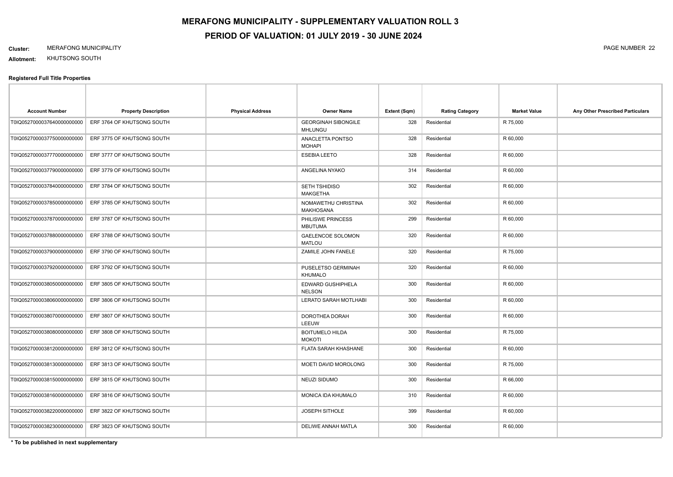#### **Cluster:** MERAFONG MUNICIPALITY PAGE NUMBER 22

**Allotment:** KHUTSONG SOUTH

#### **Registered Full Title Properties**

| <b>Account Number</b>       | <b>Property Description</b> | <b>Physical Address</b> | <b>Owner Name</b>                            | Extent (Sqm) | <b>Rating Category</b> | <b>Market Value</b> | Any Other Prescribed Particulars |
|-----------------------------|-----------------------------|-------------------------|----------------------------------------------|--------------|------------------------|---------------------|----------------------------------|
| T0IQ0527000037640000000000  | ERF 3764 OF KHUTSONG SOUTH  |                         | <b>GEORGINAH SIBONGILE</b><br><b>MHLUNGU</b> | 328          | Residential            | R 75,000            |                                  |
| T0IQ0527000037750000000000  | ERF 3775 OF KHUTSONG SOUTH  |                         | ANACLETTA PONTSO<br><b>MOHAPI</b>            | 328          | Residential            | R 60,000            |                                  |
| T0IQ0527000037770000000000  | ERF 3777 OF KHUTSONG SOUTH  |                         | <b>ESEBIA LEETO</b>                          | 328          | Residential            | R 60,000            |                                  |
| T0IQ05270000377900000000000 | ERF 3779 OF KHUTSONG SOUTH  |                         | ANGELINA NYAKO                               | 314          | Residential            | R 60,000            |                                  |
| T0IQ0527000037840000000000  | ERF 3784 OF KHUTSONG SOUTH  |                         | SETH TSHIDISO<br><b>MAKGETHA</b>             | 302          | Residential            | R 60,000            |                                  |
| T0IQ0527000037850000000000  | ERF 3785 OF KHUTSONG SOUTH  |                         | NOMAWETHU CHRISTINA<br><b>MAKHOSANA</b>      | 302          | Residential            | R 60,000            |                                  |
| T0IQ0527000037870000000000  | ERF 3787 OF KHUTSONG SOUTH  |                         | PHILISWE PRINCESS<br><b>MBUTUMA</b>          | 299          | Residential            | R 60,000            |                                  |
| T0IQ0527000037880000000000  | ERF 3788 OF KHUTSONG SOUTH  |                         | GAELENCOE SOLOMON<br><b>MATLOU</b>           | 320          | Residential            | R 60,000            |                                  |
| T0IQ05270000379000000000000 | ERF 3790 OF KHUTSONG SOUTH  |                         | ZAMILE JOHN FANELE                           | 320          | Residential            | R 75,000            |                                  |
| T0IQ0527000037920000000000  | ERF 3792 OF KHUTSONG SOUTH  |                         | PUSELETSO GERMINAH<br>KHUMALO                | 320          | Residential            | R 60,000            |                                  |
| T0IQ0527000038050000000000  | ERF 3805 OF KHUTSONG SOUTH  |                         | EDWARD GUSHIPHELA<br><b>NELSON</b>           | 300          | Residential            | R 60,000            |                                  |
| T0IQ05270000380600000000000 | ERF 3806 OF KHUTSONG SOUTH  |                         | LERATO SARAH MOTLHABI                        | 300          | Residential            | R 60,000            |                                  |
| T0IQ0527000038070000000000  | ERF 3807 OF KHUTSONG SOUTH  |                         | DOROTHEA DORAH<br>LEEUW                      | 300          | Residential            | R 60,000            |                                  |
| T0IQ05270000380800000000000 | ERF 3808 OF KHUTSONG SOUTH  |                         | <b>BOITUMELO HILDA</b><br><b>MOKOTI</b>      | 300          | Residential            | R 75,000            |                                  |
| T0IQ0527000038120000000000  | ERF 3812 OF KHUTSONG SOUTH  |                         | FLATA SARAH KHASHANE                         | 300          | Residential            | R 60,000            |                                  |
| T0IQ0527000038130000000000  | ERF 3813 OF KHUTSONG SOUTH  |                         | MOETI DAVID MOROLONG                         | 300          | Residential            | R 75,000            |                                  |
| T0IQ0527000038150000000000  | ERF 3815 OF KHUTSONG SOUTH  |                         | NEUZI SIDUMO                                 | 300          | Residential            | R 66,000            |                                  |
| T0IQ0527000038160000000000  | ERF 3816 OF KHUTSONG SOUTH  |                         | MONICA IDA KHUMALO                           | 310          | Residential            | R 60,000            |                                  |
| T0IQ0527000038220000000000  | ERF 3822 OF KHUTSONG SOUTH  |                         | <b>JOSEPH SITHOLE</b>                        | 399          | Residential            | R 60,000            |                                  |
| T0IQ0527000038230000000000  | ERF 3823 OF KHUTSONG SOUTH  |                         | DELIWE ANNAH MATLA                           | 300          | Residential            | R 60,000            |                                  |

**\* To be published in next supplementary**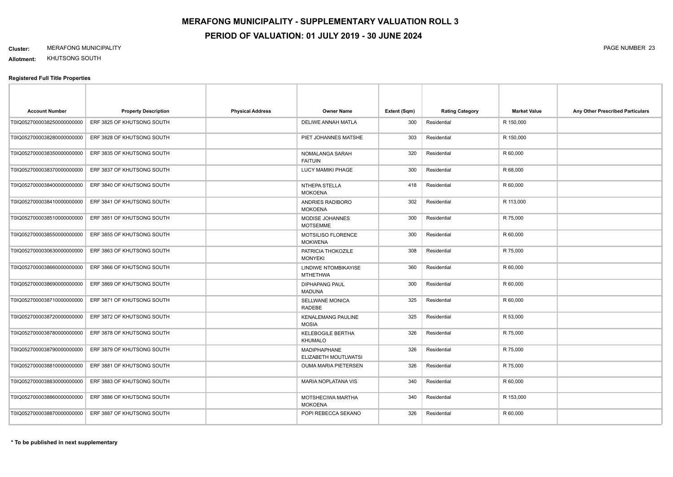#### **Cluster:** MERAFONG MUNICIPALITY PAGE NUMBER 23

**Allotment:** KHUTSONG SOUTH

| <b>Account Number</b>       | <b>Property Description</b> | <b>Physical Address</b> | <b>Owner Name</b>                           | Extent (Sqm) | <b>Rating Category</b> | <b>Market Value</b> | Any Other Prescribed Particulars |
|-----------------------------|-----------------------------|-------------------------|---------------------------------------------|--------------|------------------------|---------------------|----------------------------------|
| T0IQ0527000038250000000000  | ERF 3825 OF KHUTSONG SOUTH  |                         | DELIWE ANNAH MATLA                          | 300          | Residential            | R 150,000           |                                  |
| T0IQ0527000038280000000000  | ERF 3828 OF KHUTSONG SOUTH  |                         | PIET JOHANNES MATSHE                        | 303          | Residential            | R 150,000           |                                  |
| T0IQ0527000038350000000000  | ERF 3835 OF KHUTSONG SOUTH  |                         | NOMALANGA SARAH<br><b>FAITUIN</b>           | 320          | Residential            | R 60,000            |                                  |
| T0IQ0527000038370000000000  | ERF 3837 OF KHUTSONG SOUTH  |                         | LUCY MAMIKI PHAGE                           | 300          | Residential            | R 68,000            |                                  |
| T0IQ0527000038400000000000  | ERF 3840 OF KHUTSONG SOUTH  |                         | NTHEPA STELLA<br><b>MOKOENA</b>             | 418          | Residential            | R 60,000            |                                  |
| T0IQ0527000038410000000000  | ERF 3841 OF KHUTSONG SOUTH  |                         | ANDRIES RADIBORO<br><b>MOKOENA</b>          | 302          | Residential            | R 113,000           |                                  |
| T0IQ0527000038510000000000  | ERF 3851 OF KHUTSONG SOUTH  |                         | MODISE JOHANNES<br><b>MOTSEMME</b>          | 300          | Residential            | R 75,000            |                                  |
| T0IQ0527000038550000000000  | ERF 3855 OF KHUTSONG SOUTH  |                         | MOTSILISO FLORENCE<br><b>MOKWENA</b>        | 300          | Residential            | R 60,000            |                                  |
| T0IQ05270000306300000000000 | ERF 3863 OF KHUTSONG SOUTH  |                         | PATRICIA THOKOZILE<br><b>MONYEKI</b>        | 308          | Residential            | R 75,000            |                                  |
| T0IQ0527000038660000000000  | ERF 3866 OF KHUTSONG SOUTH  |                         | LINDIWE NTOMBIKAYISE<br><b>MTHETHWA</b>     | 360          | Residential            | R 60,000            |                                  |
| T0IQ0527000038690000000000  | ERF 3869 OF KHUTSONG SOUTH  |                         | <b>DIPHAPANG PAUL</b><br><b>MADUNA</b>      | 300          | Residential            | R 60,000            |                                  |
| T0IQ0527000038710000000000  | ERF 3871 OF KHUTSONG SOUTH  |                         | <b>SELLWANE MONICA</b><br>RADEBE            | 325          | Residential            | R 60,000            |                                  |
| T0IQ0527000038720000000000  | ERF 3872 OF KHUTSONG SOUTH  |                         | <b>KENALEMANG PAULINE</b><br><b>MOSIA</b>   | 325          | Residential            | R 53,000            |                                  |
| T0IQ0527000038780000000000  | ERF 3878 OF KHUTSONG SOUTH  |                         | <b>KELEBOGILE BERTHA</b><br><b>KHUMALO</b>  | 326          | Residential            | R 75,000            |                                  |
| T0IQ0527000038790000000000  | ERF 3879 OF KHUTSONG SOUTH  |                         | <b>MADIPHAPHANE</b><br>ELIZABETH MOUTLWATSI | 326          | Residential            | R 75,000            |                                  |
| T0IQ0527000038810000000000  | ERF 3881 OF KHUTSONG SOUTH  |                         | <b>OUMA MARIA PIETERSEN</b>                 | 326          | Residential            | R 75,000            |                                  |
| T0IQ0527000038830000000000  | ERF 3883 OF KHUTSONG SOUTH  |                         | <b>MARIA NOPLATANA VIS</b>                  | 340          | Residential            | R 60,000            |                                  |
| T0IQ0527000038860000000000  | ERF 3886 OF KHUTSONG SOUTH  |                         | MOTSHECIWA MARTHA<br><b>MOKOENA</b>         | 340          | Residential            | R 153,000           |                                  |
| T0IQ0527000038870000000000  | ERF 3887 OF KHUTSONG SOUTH  |                         | POPI REBECCA SEKANO                         | 326          | Residential            | R 60,000            |                                  |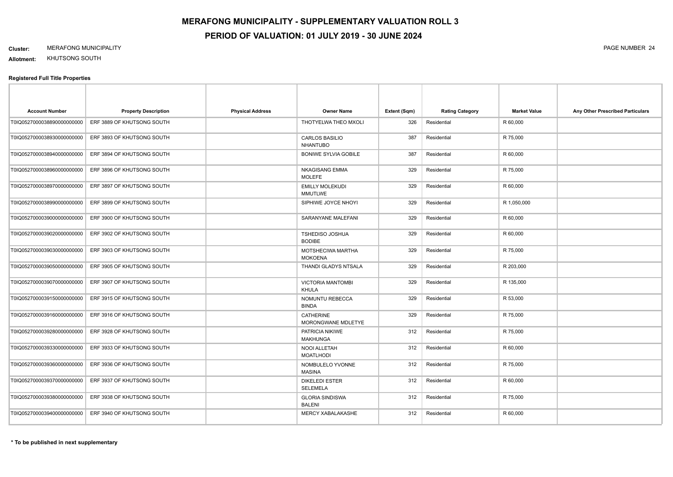#### **Cluster:** MERAFONG MUNICIPALITY PAGE NUMBER 24

**Allotment:** KHUTSONG SOUTH

| <b>Account Number</b>       | <b>Property Description</b> | <b>Physical Address</b> | <b>Owner Name</b>                        | Extent (Sqm) | <b>Rating Category</b> | <b>Market Value</b> | Any Other Prescribed Particulars |
|-----------------------------|-----------------------------|-------------------------|------------------------------------------|--------------|------------------------|---------------------|----------------------------------|
| T0IQ0527000038890000000000  | ERF 3889 OF KHUTSONG SOUTH  |                         | THOTYELWA THEO MXOLI                     | 326          | Residential            | R 60,000            |                                  |
| T0IQ0527000038930000000000  | ERF 3893 OF KHUTSONG SOUTH  |                         | <b>CARLOS BASILIO</b><br><b>NHANTUBO</b> | 387          | Residential            | R 75,000            |                                  |
| T0IQ0527000038940000000000  | ERF 3894 OF KHUTSONG SOUTH  |                         | <b>BONIWE SYLVIA GOBILE</b>              | 387          | Residential            | R 60,000            |                                  |
| T0IQ0527000038960000000000  | ERF 3896 OF KHUTSONG SOUTH  |                         | <b>NKAGISANG EMMA</b><br><b>MOLEFE</b>   | 329          | Residential            | R 75,000            |                                  |
| T0IQ0527000038970000000000  | ERF 3897 OF KHUTSONG SOUTH  |                         | <b>EMILLY MOLEKUDI</b><br><b>MMUTLWE</b> | 329          | Residential            | R 60,000            |                                  |
| T0IQ0527000038990000000000  | ERF 3899 OF KHUTSONG SOUTH  |                         | SIPHIWE JOYCE NHOYI                      | 329          | Residential            | R 1,050,000         |                                  |
| T0IQ0527000039000000000000  | ERF 3900 OF KHUTSONG SOUTH  |                         | SARANYANE MALEFANI                       | 329          | Residential            | R 60,000            |                                  |
| T0IQ0527000039020000000000  | ERF 3902 OF KHUTSONG SOUTH  |                         | <b>TSHEDISO JOSHUA</b><br><b>BODIBE</b>  | 329          | Residential            | R 60,000            |                                  |
| T0IQ0527000039030000000000  | ERF 3903 OF KHUTSONG SOUTH  |                         | MOTSHECIWA MARTHA<br><b>MOKOENA</b>      | 329          | Residential            | R 75,000            |                                  |
| T0IQ0527000039050000000000  | ERF 3905 OF KHUTSONG SOUTH  |                         | THANDI GLADYS NTSALA                     | 329          | Residential            | R 203,000           |                                  |
| T0IQ0527000039070000000000  | ERF 3907 OF KHUTSONG SOUTH  |                         | <b>VICTORIA MANTOMBI</b><br><b>KHULA</b> | 329          | Residential            | R 135,000           |                                  |
| T0IQ0527000039150000000000  | ERF 3915 OF KHUTSONG SOUTH  |                         | NOMUNTU REBECCA<br><b>BINDA</b>          | 329          | Residential            | R 53,000            |                                  |
| T0IQ0527000039160000000000  | ERF 3916 OF KHUTSONG SOUTH  |                         | <b>CATHERINE</b><br>MORONGWANE MDLETYE   | 329          | Residential            | R 75,000            |                                  |
| T0IQ0527000039280000000000  | ERF 3928 OF KHUTSONG SOUTH  |                         | PATRICIA NIKIWE<br><b>MAKHUNGA</b>       | 312          | Residential            | R 75,000            |                                  |
| T0IQ05270000393300000000000 | ERF 3933 OF KHUTSONG SOUTH  |                         | NOOI ALLETAH<br><b>MOATLHODI</b>         | 312          | Residential            | R 60,000            |                                  |
| T0IQ0527000039360000000000  | ERF 3936 OF KHUTSONG SOUTH  |                         | NOMBULELO YVONNE<br><b>MASINA</b>        | 312          | Residential            | R 75,000            |                                  |
| T0IQ0527000039370000000000  | ERF 3937 OF KHUTSONG SOUTH  |                         | <b>DIKELEDI ESTER</b><br><b>SELEMELA</b> | 312          | Residential            | R 60,000            |                                  |
| T0IQ0527000039380000000000  | ERF 3938 OF KHUTSONG SOUTH  |                         | <b>GLORIA SINDISWA</b><br><b>BALENI</b>  | 312          | Residential            | R 75,000            |                                  |
| T0IQ05270000394000000000000 | ERF 3940 OF KHUTSONG SOUTH  |                         | <b>MERCY XABALAKASHE</b>                 | 312          | Residential            | R 60,000            |                                  |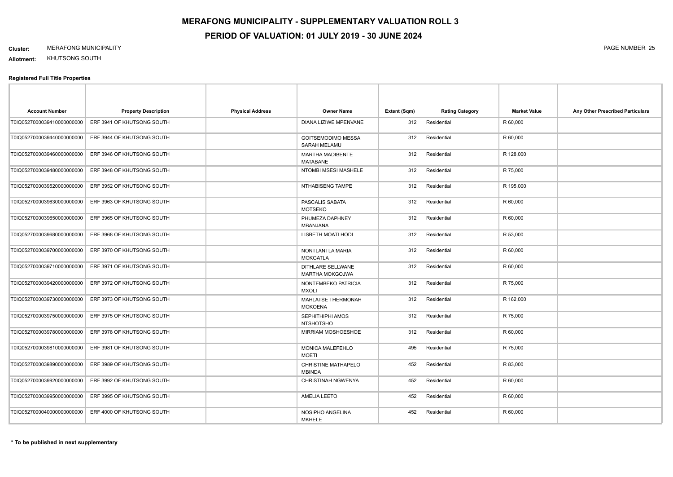#### **Cluster:** MERAFONG MUNICIPALITY PAGE NUMBER 25

**Allotment:** KHUTSONG SOUTH

| <b>Account Number</b>       | <b>Property Description</b> | <b>Physical Address</b> | <b>Owner Name</b>                                  | Extent (Sqm) | <b>Rating Category</b> | <b>Market Value</b> | Any Other Prescribed Particulars |
|-----------------------------|-----------------------------|-------------------------|----------------------------------------------------|--------------|------------------------|---------------------|----------------------------------|
| T0IQ0527000039410000000000  | ERF 3941 OF KHUTSONG SOUTH  |                         | DIANA LIZIWE MPENVANE                              | 312          | Residential            | R 60,000            |                                  |
| T0IQ0527000039440000000000  | ERF 3944 OF KHUTSONG SOUTH  |                         | <b>GOITSEMODIMO MESSA</b><br>SARAH MELAMU          | 312          | Residential            | R 60,000            |                                  |
| T0IQ0527000039460000000000  | ERF 3946 OF KHUTSONG SOUTH  |                         | <b>MARTHA MADIBENTE</b><br><b>MATABANE</b>         | 312          | Residential            | R 128,000           |                                  |
| T0IQ0527000039480000000000  | ERF 3948 OF KHUTSONG SOUTH  |                         | NTOMBI MSESI MASHELE                               | 312          | Residential            | R 75,000            |                                  |
| T0IQ0527000039520000000000  | ERF 3952 OF KHUTSONG SOUTH  |                         | NTHABISENG TAMPE                                   | 312          | Residential            | R 195,000           |                                  |
| T0IQ0527000039630000000000  | ERF 3963 OF KHUTSONG SOUTH  |                         | PASCALIS SABATA<br><b>MOTSEKO</b>                  | 312          | Residential            | R 60,000            |                                  |
| T0IQ0527000039650000000000  | ERF 3965 OF KHUTSONG SOUTH  |                         | PHUMEZA DAPHNEY<br>MBANJANA                        | 312          | Residential            | R 60,000            |                                  |
| T0IQ0527000039680000000000  | ERF 3968 OF KHUTSONG SOUTH  |                         | LISBETH MOATLHODI                                  | 312          | Residential            | R 53,000            |                                  |
| T0IQ0527000039700000000000  | ERF 3970 OF KHUTSONG SOUTH  |                         | NONTLANTLA MARIA<br><b>MOKGATLA</b>                | 312          | Residential            | R 60,000            |                                  |
| T0IQ0527000039710000000000  | ERF 3971 OF KHUTSONG SOUTH  |                         | <b>DITHLARE SELLWANE</b><br><b>MARTHA MOKGOJWA</b> | 312          | Residential            | R 60,000            |                                  |
| T0IQ0527000039420000000000  | ERF 3972 OF KHUTSONG SOUTH  |                         | NONTEMBEKO PATRICIA<br><b>MXOLI</b>                | 312          | Residential            | R 75,000            |                                  |
| T0IQ0527000039730000000000  | ERF 3973 OF KHUTSONG SOUTH  |                         | MAHLATSE THERMONAH<br><b>MOKOENA</b>               | 312          | Residential            | R 162,000           |                                  |
| T0IQ0527000039750000000000  | ERF 3975 OF KHUTSONG SOUTH  |                         | SEPHITHIPHI AMOS<br><b>NTSHOTSHO</b>               | 312          | Residential            | R 75,000            |                                  |
| T0IQ0527000039780000000000  | ERF 3978 OF KHUTSONG SOUTH  |                         | MIRRIAM MOSHOESHOE                                 | 312          | Residential            | R 60,000            |                                  |
| T0IQ0527000039810000000000  | ERF 3981 OF KHUTSONG SOUTH  |                         | MONICA MALEFEHLO<br><b>MOETI</b>                   | 495          | Residential            | R 75,000            |                                  |
| T0IQ0527000039890000000000  | ERF 3989 OF KHUTSONG SOUTH  |                         | <b>CHRISTINE MATHAPELO</b><br><b>MBINDA</b>        | 452          | Residential            | R 83,000            |                                  |
| T0IQ0527000039920000000000  | ERF 3992 OF KHUTSONG SOUTH  |                         | CHRISTINAH NGWENYA                                 | 452          | Residential            | R 60,000            |                                  |
| T0IQ0527000039950000000000  | ERF 3995 OF KHUTSONG SOUTH  |                         | AMELIA LEETO                                       | 452          | Residential            | R 60,000            |                                  |
| T0IQ05270000400000000000000 | ERF 4000 OF KHUTSONG SOUTH  |                         | NOSIPHO ANGELINA<br><b>MKHELE</b>                  | 452          | Residential            | R 60,000            |                                  |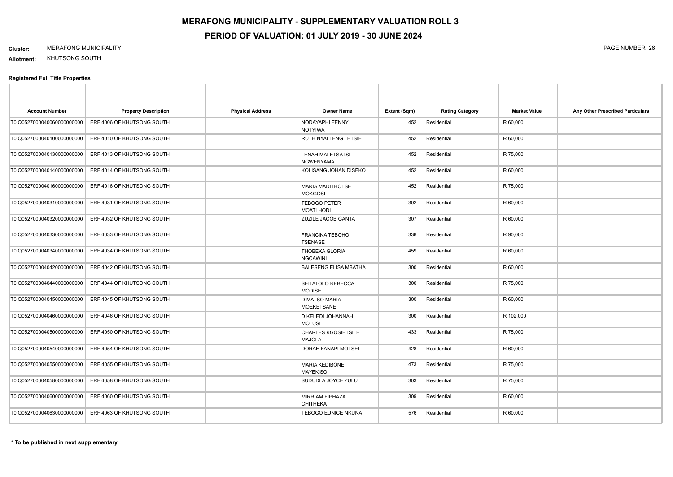#### **Cluster:** MERAFONG MUNICIPALITY PAGE NUMBER 26

**Allotment:** KHUTSONG SOUTH

| <b>Account Number</b>       | <b>Property Description</b> | <b>Physical Address</b> | <b>Owner Name</b>                           | Extent (Sqm) | <b>Rating Category</b> | <b>Market Value</b> | Any Other Prescribed Particulars |
|-----------------------------|-----------------------------|-------------------------|---------------------------------------------|--------------|------------------------|---------------------|----------------------------------|
| T0IQ05270000400600000000000 | ERF 4006 OF KHUTSONG SOUTH  |                         | NODAYAPHI FENNY<br><b>NOTYIWA</b>           | 452          | Residential            | R 60,000            |                                  |
| T0IQ0527000040100000000000  | ERF 4010 OF KHUTSONG SOUTH  |                         | RUTH NYALLENG LETSIE                        | 452          | Residential            | R 60,000            |                                  |
| T0IQ0527000040130000000000  | ERF 4013 OF KHUTSONG SOUTH  |                         | <b>LENAH MALETSATSI</b><br>NGWENYAMA        | 452          | Residential            | R 75,000            |                                  |
| T0IQ0527000040140000000000  | ERF 4014 OF KHUTSONG SOUTH  |                         | KOLISANG JOHAN DISEKO                       | 452          | Residential            | R 60,000            |                                  |
| T0IQ0527000040160000000000  | ERF 4016 OF KHUTSONG SOUTH  |                         | <b>MARIA MADITHOTSE</b><br><b>MOKGOSI</b>   | 452          | Residential            | R 75,000            |                                  |
| T0IQ0527000040310000000000  | ERF 4031 OF KHUTSONG SOUTH  |                         | <b>TEBOGO PETER</b><br><b>MOATLHODI</b>     | 302          | Residential            | R 60,000            |                                  |
| T0IQ0527000040320000000000  | ERF 4032 OF KHUTSONG SOUTH  |                         | ZUZILE JACOB GANTA                          | 307          | Residential            | R 60,000            |                                  |
| T0IQ0527000040330000000000  | ERF 4033 OF KHUTSONG SOUTH  |                         | <b>FRANCINA TEBOHO</b><br><b>TSENASE</b>    | 338          | Residential            | R 90,000            |                                  |
| T0IQ0527000040340000000000  | ERF 4034 OF KHUTSONG SOUTH  |                         | <b>THOBEKA GLORIA</b><br><b>NGCAWINI</b>    | 459          | Residential            | R 60,000            |                                  |
| T0IQ0527000040420000000000  | ERF 4042 OF KHUTSONG SOUTH  |                         | <b>BALESENG ELISA MBATHA</b>                | 300          | Residential            | R 60,000            |                                  |
| T0IQ0527000040440000000000  | ERF 4044 OF KHUTSONG SOUTH  |                         | SEITATOLO REBECCA<br><b>MODISE</b>          | 300          | Residential            | R 75,000            |                                  |
| T0IQ0527000040450000000000  | ERF 4045 OF KHUTSONG SOUTH  |                         | <b>DIMATSO MARIA</b><br><b>MOEKETSANE</b>   | 300          | Residential            | R 60,000            |                                  |
| T0IQ05270000404600000000000 | ERF 4046 OF KHUTSONG SOUTH  |                         | DIKELEDI JOHANNAH<br><b>MOLUSI</b>          | 300          | Residential            | R 102,000           |                                  |
| T0IQ05270000405000000000000 | ERF 4050 OF KHUTSONG SOUTH  |                         | <b>CHARLES KGOSIETSILE</b><br><b>MAJOLA</b> | 433          | Residential            | R 75,000            |                                  |
| T0IQ0527000040540000000000  | ERF 4054 OF KHUTSONG SOUTH  |                         | DORAH FANAPI MOTSEI                         | 428          | Residential            | R 60,000            |                                  |
| T0IQ0527000040550000000000  | ERF 4055 OF KHUTSONG SOUTH  |                         | <b>MARIA KEDIBONE</b><br><b>MAYEKISO</b>    | 473          | Residential            | R 75,000            |                                  |
| T0IQ0527000040580000000000  | ERF 4058 OF KHUTSONG SOUTH  |                         | SUDUDLA JOYCE ZULU                          | 303          | Residential            | R 75,000            |                                  |
| T0IQ0527000040600000000000  | ERF 4060 OF KHUTSONG SOUTH  |                         | <b>MIRRIAM FIPHAZA</b><br><b>CHITHEKA</b>   | 309          | Residential            | R 60,000            |                                  |
| T0IQ05270000406300000000000 | ERF 4063 OF KHUTSONG SOUTH  |                         | <b>TEBOGO EUNICE NKUNA</b>                  | 576          | Residential            | R 60,000            |                                  |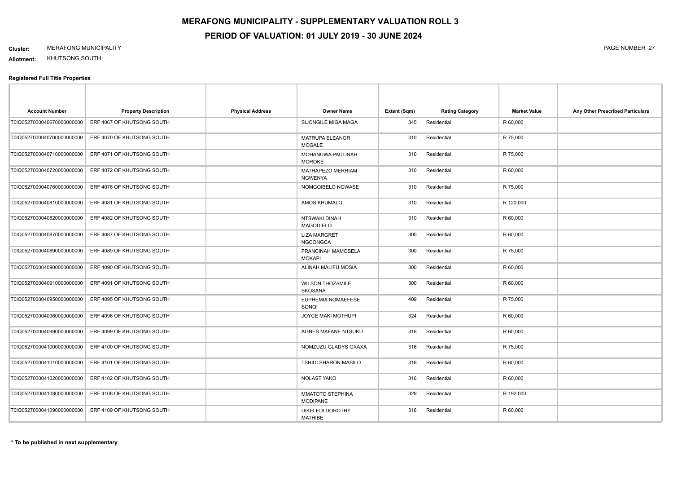#### **Cluster:** MERAFONG MUNICIPALITY PAGE NUMBER 27

**Allotment:** KHUTSONG SOUTH

| <b>Account Number</b>       | <b>Property Description</b> | <b>Physical Address</b> | <b>Owner Name</b>                          | Extent (Sqm) | <b>Rating Category</b> | <b>Market Value</b> | Any Other Prescribed Particulars |
|-----------------------------|-----------------------------|-------------------------|--------------------------------------------|--------------|------------------------|---------------------|----------------------------------|
| T0IQ0527000040670000000000  | ERF 4067 OF KHUTSONG SOUTH  |                         | SIJONGILE MIGA MAGA                        | 345          | Residential            | R 60,000            |                                  |
| T0IQ0527000040700000000000  | ERF 4070 OF KHUTSONG SOUTH  |                         | <b>MATRUPA ELEANOR</b><br><b>MOGALE</b>    | 310          | Residential            | R 75,000            |                                  |
| T0IQ0527000040710000000000  | ERF 4071 OF KHUTSONG SOUTH  |                         | MOHANUWA PAULINAH<br><b>MOROKE</b>         | 310          | Residential            | R 75,000            |                                  |
| T0IQ0527000040720000000000  | ERF 4072 OF KHUTSONG SOUTH  |                         | MATHAPEZO MERRIAM<br><b>NGWENYA</b>        | 310          | Residential            | R 60,000            |                                  |
| T0IQ0527000040760000000000  | ERF 4076 OF KHUTSONG SOUTH  |                         | NOMGQIBELO NGWASE                          | 310          | Residential            | R 75,000            |                                  |
| T0IQ0527000040810000000000  | ERF 4081 OF KHUTSONG SOUTH  |                         | AMOS KHUMALO                               | 310          | Residential            | R 120,000           |                                  |
| T0IQ0527000040820000000000  | ERF 4082 OF KHUTSONG SOUTH  |                         | NTSWAKI DINAH<br><b>MAGODIELO</b>          | 310          | Residential            | R 60,000            |                                  |
| T0IQ0527000040870000000000  | ERF 4087 OF KHUTSONG SOUTH  |                         | <b>LIZA MARGRET</b><br><b>NGCONGCA</b>     | 300          | Residential            | R 60,000            |                                  |
| T0IQ05270000408900000000000 | ERF 4089 OF KHUTSONG SOUTH  |                         | <b>FRANCINAH MAMOSELA</b><br><b>MOKAPI</b> | 300          | Residential            | R 75,000            |                                  |
| T0IQ05270000409000000000000 | ERF 4090 OF KHUTSONG SOUTH  |                         | ALINAH MALIFU MOSIA                        | 300          | Residential            | R 60,000            |                                  |
| T0IQ0527000040910000000000  | ERF 4091 OF KHUTSONG SOUTH  |                         | <b>WILSON THOZAMILE</b><br><b>SKOSANA</b>  | 300          | Residential            | R 60,000            |                                  |
| T0IQ0527000040950000000000  | ERF 4095 OF KHUTSONG SOUTH  |                         | EUPHEMIA NOMAEFESE<br>SONQI                | 409          | Residential            | R 75,000            |                                  |
| T0IQ0527000040960000000000  | ERF 4096 OF KHUTSONG SOUTH  |                         | <b>JOYCE MAKI MOTHUPI</b>                  | 324          | Residential            | R 60,000            |                                  |
| T0IQ05270000409900000000000 | ERF 4099 OF KHUTSONG SOUTH  |                         | AGNES MAFANE NTSUKU                        | 316          | Residential            | R 60,000            |                                  |
| T0IQ05270000410000000000000 | ERF 4100 OF KHUTSONG SOUTH  |                         | NOMZUZU GLADYS GXAXA                       | 316          | Residential            | R 75,000            |                                  |
| T0IQ0527000041010000000000  | ERF 4101 OF KHUTSONG SOUTH  |                         | <b>TSHIDI SHARON MASILO</b>                | 316          | Residential            | R 60,000            |                                  |
| T0IQ0527000041020000000000  | ERF 4102 OF KHUTSONG SOUTH  |                         | NOLAST YAKO                                | 316          | Residential            | R 60,000            |                                  |
| T0IQ0527000041080000000000  | ERF 4108 OF KHUTSONG SOUTH  |                         | MMATOTO STEPHINA<br><b>MODIPANE</b>        | 329          | Residential            | R 192,000           |                                  |
| T0IQ0527000041090000000000  | ERF 4109 OF KHUTSONG SOUTH  |                         | DIKELEDI DOROTHY<br><b>MATHIBE</b>         | 316          | Residential            | R 60,000            |                                  |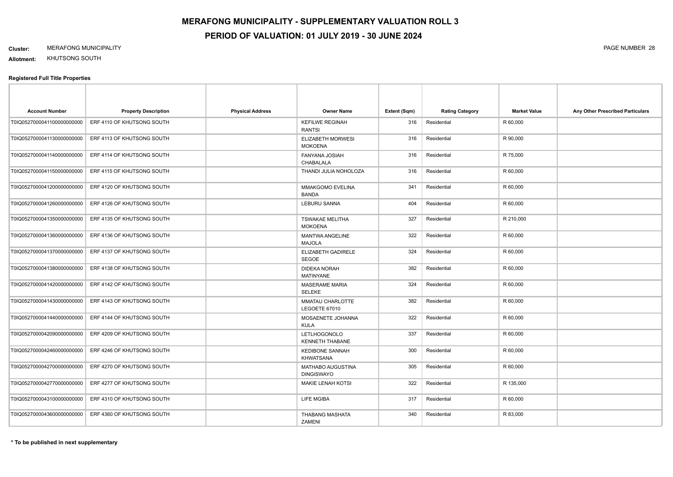#### **Cluster:** MERAFONG MUNICIPALITY PAGE NUMBER 28

**Allotment:** KHUTSONG SOUTH

| <b>Account Number</b>      | <b>Property Description</b> | <b>Physical Address</b> | <b>Owner Name</b>                          | Extent (Sqm) | <b>Rating Category</b> | <b>Market Value</b> | Any Other Prescribed Particulars |
|----------------------------|-----------------------------|-------------------------|--------------------------------------------|--------------|------------------------|---------------------|----------------------------------|
| T0IQ0527000041100000000000 | ERF 4110 OF KHUTSONG SOUTH  |                         | <b>KEFILWE REGINAH</b><br><b>RANTSI</b>    | 316          | Residential            | R 60,000            |                                  |
| T0IQ0527000041130000000000 | ERF 4113 OF KHUTSONG SOUTH  |                         | ELIZABETH MORWESI<br><b>MOKOENA</b>        | 316          | Residential            | R 90,000            |                                  |
| T0IQ0527000041140000000000 | ERF 4114 OF KHUTSONG SOUTH  |                         | FANYANA JOSIAH<br>CHABALALA                | 316          | Residential            | R 75,000            |                                  |
| T0IQ0527000041150000000000 | ERF 4115 OF KHUTSONG SOUTH  |                         | THANDI JULIA NOHOLOZA                      | 316          | Residential            | R 60,000            |                                  |
| T0IQ0527000041200000000000 | ERF 4120 OF KHUTSONG SOUTH  |                         | MMAKGOMO EVELINA<br><b>BANDA</b>           | 341          | Residential            | R 60,000            |                                  |
| T0IQ0527000041260000000000 | ERF 4126 OF KHUTSONG SOUTH  |                         | LEBURU SANNA                               | 404          | Residential            | R 60,000            |                                  |
| T0IQ0527000041350000000000 | ERF 4135 OF KHUTSONG SOUTH  |                         | <b>TSWAKAE MELITHA</b><br><b>MOKOENA</b>   | 327          | Residential            | R 210,000           |                                  |
| T0IQ0527000041360000000000 | ERF 4136 OF KHUTSONG SOUTH  |                         | MANTWA ANGELINE<br><b>MAJOLA</b>           | 322          | Residential            | R 60,000            |                                  |
| T0IQ0527000041370000000000 | ERF 4137 OF KHUTSONG SOUTH  |                         | <b>ELIZABETH GADIRELE</b><br><b>SEGOE</b>  | 324          | Residential            | R 60,000            |                                  |
| T0IQ0527000041380000000000 | ERF 4138 OF KHUTSONG SOUTH  |                         | <b>DIDEKA NORAH</b><br><b>MATINYANE</b>    | 382          | Residential            | R 60,000            |                                  |
| T0IQ0527000041420000000000 | ERF 4142 OF KHUTSONG SOUTH  |                         | <b>MASERAME MARIA</b><br><b>SELEKE</b>     | 324          | Residential            | R 60,000            |                                  |
| T0IQ0527000041430000000000 | ERF 4143 OF KHUTSONG SOUTH  |                         | MMATAU CHARLOTTE<br>LEGOETE 67010          | 382          | Residential            | R 60,000            |                                  |
| T0IQ0527000041440000000000 | ERF 4144 OF KHUTSONG SOUTH  |                         | MOSAENETE JOHANNA<br><b>KULA</b>           | 322          | Residential            | R 60,000            |                                  |
| T0IQ0527000042090000000000 | ERF 4209 OF KHUTSONG SOUTH  |                         | LETLHOGONOLO<br>KENNETH THABANE            | 337          | Residential            | R 60,000            |                                  |
| T0IQ0527000042460000000000 | ERF 4246 OF KHUTSONG SOUTH  |                         | <b>KEDIBONE SANNAH</b><br><b>KHWATSANA</b> | 300          | Residential            | R 60,000            |                                  |
| T0IQ0527000042700000000000 | ERF 4270 OF KHUTSONG SOUTH  |                         | MATHABO AUGUSTINA<br><b>DINGISWAYO</b>     | 305          | Residential            | R 60,000            |                                  |
| T0IQ0527000042770000000000 | ERF 4277 OF KHUTSONG SOUTH  |                         | MAKIE LENAH KOTSI                          | 322          | Residential            | R 135,000           |                                  |
| T0IQ0527000043100000000000 | ERF 4310 OF KHUTSONG SOUTH  |                         | LIFE MGIBA                                 | 317          | Residential            | R 60,000            |                                  |
| T0IQ0527000043600000000000 | ERF 4360 OF KHUTSONG SOUTH  |                         | THABANG MASHATA<br>ZAMENI                  | 340          | Residential            | R 83,000            |                                  |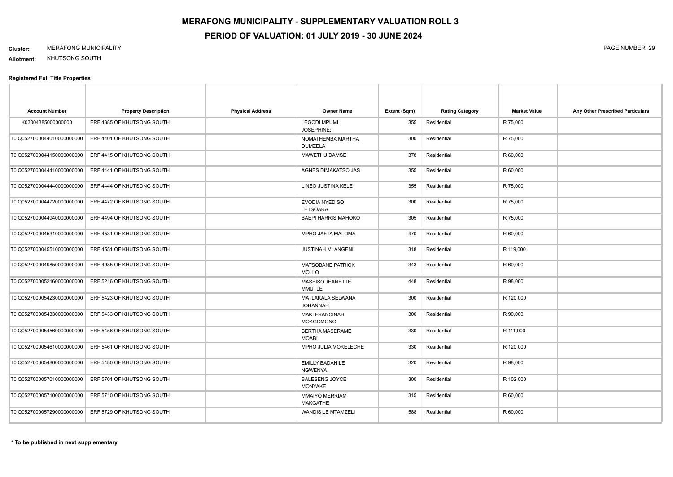#### **Cluster:** MERAFONG MUNICIPALITY PAGE NUMBER 29

**Allotment:** KHUTSONG SOUTH

| <b>Account Number</b>      | <b>Property Description</b> | <b>Physical Address</b> | <b>Owner Name</b>                         | Extent (Sqm) | <b>Rating Category</b> | <b>Market Value</b> | Any Other Prescribed Particulars |
|----------------------------|-----------------------------|-------------------------|-------------------------------------------|--------------|------------------------|---------------------|----------------------------------|
| K03004385000000000         | ERF 4385 OF KHUTSONG SOUTH  |                         | <b>LEGODI MPUMI</b><br>JOSEPHINE:         | 355          | Residential            | R 75,000            |                                  |
| T0IQ0527000044010000000000 | ERF 4401 OF KHUTSONG SOUTH  |                         | NOMATHEMBA MARTHA<br><b>DUMZELA</b>       | 300          | Residential            | R 75,000            |                                  |
| T0IQ0527000044150000000000 | ERF 4415 OF KHUTSONG SOUTH  |                         | MAWETHU DAMSE                             | 378          | Residential            | R 60,000            |                                  |
| T0IQ0527000044410000000000 | ERF 4441 OF KHUTSONG SOUTH  |                         | AGNES DIMAKATSO JAS                       | 355          | Residential            | R 60,000            |                                  |
| T0IQ0527000044440000000000 | ERF 4444 OF KHUTSONG SOUTH  |                         | LINEO JUSTINA KELE                        | 355          | Residential            | R 75,000            |                                  |
| T0IQ0527000044720000000000 | ERF 4472 OF KHUTSONG SOUTH  |                         | EVODIA NYEDISO<br><b>LETSOARA</b>         | 300          | Residential            | R 75,000            |                                  |
| T0IQ0527000044940000000000 | ERF 4494 OF KHUTSONG SOUTH  |                         | <b>BAEPI HARRIS MAHOKO</b>                | 305          | Residential            | R 75,000            |                                  |
| T0IQ0527000045310000000000 | ERF 4531 OF KHUTSONG SOUTH  |                         | MPHO JAFTA MALOMA                         | 470          | Residential            | R 60,000            |                                  |
| T0IQ0527000045510000000000 | ERF 4551 OF KHUTSONG SOUTH  |                         | <b>JUSTINAH MLANGENI</b>                  | 318          | Residential            | R 119,000           |                                  |
| T0IQ0527000049850000000000 | ERF 4985 OF KHUTSONG SOUTH  |                         | <b>MATSOBANE PATRICK</b><br><b>MOLLO</b>  | 343          | Residential            | R 60,000            |                                  |
| T0IQ0527000052160000000000 | ERF 5216 OF KHUTSONG SOUTH  |                         | MASEISO JEANETTE<br><b>MMUTLE</b>         | 448          | Residential            | R 98,000            |                                  |
| T0IQ0527000054230000000000 | ERF 5423 OF KHUTSONG SOUTH  |                         | MATLAKALA SELWANA<br><b>JOHANNAH</b>      | 300          | Residential            | R 120,000           |                                  |
| T0IQ0527000054330000000000 | ERF 5433 OF KHUTSONG SOUTH  |                         | <b>MAKI FRANCINAH</b><br><b>MOKGOMONG</b> | 300          | Residential            | R 90,000            |                                  |
| T0IQ0527000054560000000000 | ERF 5456 OF KHUTSONG SOUTH  |                         | <b>BERTHA MASERAME</b><br><b>MOABI</b>    | 330          | Residential            | R 111,000           |                                  |
| T0IQ0527000054610000000000 | ERF 5461 OF KHUTSONG SOUTH  |                         | MPHO JULIA MOKELECHE                      | 330          | Residential            | R 120,000           |                                  |
| T0IQ0527000054800000000000 | ERF 5480 OF KHUTSONG SOUTH  |                         | <b>EMILLY BADANILE</b><br><b>NGWENYA</b>  | 320          | Residential            | R 98,000            |                                  |
| T0IQ0527000057010000000000 | ERF 5701 OF KHUTSONG SOUTH  |                         | <b>BALESENG JOYCE</b><br><b>MONYAKE</b>   | 300          | Residential            | R 102,000           |                                  |
| T0IQ0527000057100000000000 | ERF 5710 OF KHUTSONG SOUTH  |                         | <b>MMAIYO MERRIAM</b><br>MAKGATHE         | 315          | Residential            | R 60,000            |                                  |
| T0IQ0527000057290000000000 | ERF 5729 OF KHUTSONG SOUTH  |                         | <b>WANDISILE MTAMZELI</b>                 | 588          | Residential            | R 60,000            |                                  |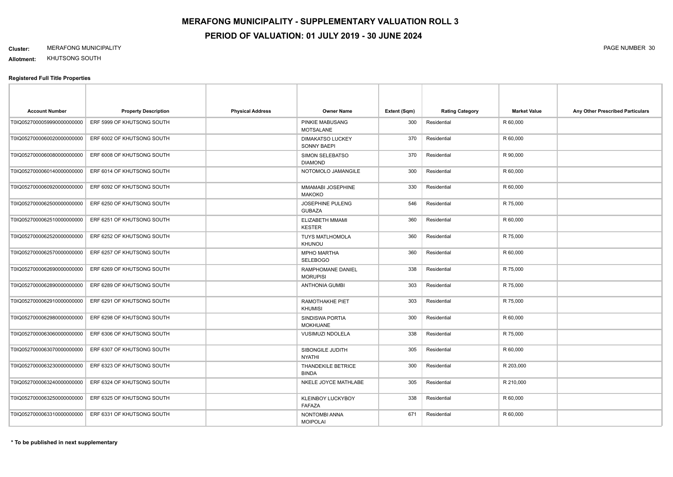#### **Cluster:** MERAFONG MUNICIPALITY PAGE NUMBER 30

**Allotment:** KHUTSONG SOUTH

| <b>Account Number</b>       | <b>Property Description</b> | <b>Physical Address</b> | <b>Owner Name</b>                          | Extent (Sqm) | <b>Rating Category</b> | <b>Market Value</b> | Any Other Prescribed Particulars |
|-----------------------------|-----------------------------|-------------------------|--------------------------------------------|--------------|------------------------|---------------------|----------------------------------|
| T0IQ05270000599900000000000 | ERF 5999 OF KHUTSONG SOUTH  |                         | <b>PINKIE MABUSANG</b><br><b>MOTSALANE</b> | 300          | Residential            | R 60,000            |                                  |
| T0IQ05270000600200000000000 | ERF 6002 OF KHUTSONG SOUTH  |                         | <b>DIMAKATSO LUCKEY</b><br>SONNY BAEPI     | 370          | Residential            | R 60,000            |                                  |
| T0IQ05270000600800000000000 | ERF 6008 OF KHUTSONG SOUTH  |                         | SIMON SELEBATSO<br><b>DIAMOND</b>          | 370          | Residential            | R 90,000            |                                  |
| T0IQ0527000060140000000000  | ERF 6014 OF KHUTSONG SOUTH  |                         | NOTOMOLO JAMANGILE                         | 300          | Residential            | R 60,000            |                                  |
| T0IQ0527000060920000000000  | ERF 6092 OF KHUTSONG SOUTH  |                         | MMAMABI JOSEPHINE<br><b>MAKOKO</b>         | 330          | Residential            | R 60,000            |                                  |
| T0IQ0527000062500000000000  | ERF 6250 OF KHUTSONG SOUTH  |                         | <b>JOSEPHINE PULENG</b><br><b>GUBAZA</b>   | 546          | Residential            | R 75,000            |                                  |
| T0IQ0527000062510000000000  | ERF 6251 OF KHUTSONG SOUTH  |                         | ELIZABETH MMAMI<br><b>KESTER</b>           | 360          | Residential            | R 60,000            |                                  |
| T0IQ0527000062520000000000  | ERF 6252 OF KHUTSONG SOUTH  |                         | <b>TUYS MATLHOMOLA</b><br>KHUNOU           | 360          | Residential            | R 75,000            |                                  |
| T0IQ0527000062570000000000  | ERF 6257 OF KHUTSONG SOUTH  |                         | <b>MPHO MARTHA</b><br><b>SELEBOGO</b>      | 360          | Residential            | R 60,000            |                                  |
| T0IQ05270000626900000000000 | ERF 6269 OF KHUTSONG SOUTH  |                         | RAMPHOMANE DANIEL<br><b>MORUPISI</b>       | 338          | Residential            | R 75,000            |                                  |
| T0IQ0527000062890000000000  | ERF 6289 OF KHUTSONG SOUTH  |                         | <b>ANTHONIA GUMBI</b>                      | 303          | Residential            | R 75,000            |                                  |
| T0IQ0527000062910000000000  | ERF 6291 OF KHUTSONG SOUTH  |                         | RAMOTHAKHE PIET<br><b>KHUMISI</b>          | 303          | Residential            | R 75,000            |                                  |
| T0IQ0527000062980000000000  | ERF 6298 OF KHUTSONG SOUTH  |                         | SINDISWA PORTIA<br><b>MOKHUANE</b>         | 300          | Residential            | R 60,000            |                                  |
| T0IQ0527000063060000000000  | ERF 6306 OF KHUTSONG SOUTH  |                         | <b>VUSIMUZI NDOLELA</b>                    | 338          | Residential            | R 75,000            |                                  |
| T0IQ0527000063070000000000  | ERF 6307 OF KHUTSONG SOUTH  |                         | SIBONGILE JUDITH<br><b>NYATHI</b>          | 305          | Residential            | R 60,000            |                                  |
| T0IQ0527000063230000000000  | ERF 6323 OF KHUTSONG SOUTH  |                         | <b>THANDEKILE BETRICE</b><br><b>BINDA</b>  | 300          | Residential            | R 203,000           |                                  |
| T0IQ0527000063240000000000  | ERF 6324 OF KHUTSONG SOUTH  |                         | NKELE JOYCE MATHLABE                       | 305          | Residential            | R 210,000           |                                  |
| T0IQ0527000063250000000000  | ERF 6325 OF KHUTSONG SOUTH  |                         | <b>KLEINBOY LUCKYBOY</b><br>FAFAZA         | 338          | Residential            | R 60,000            |                                  |
| T0IQ0527000063310000000000  | ERF 6331 OF KHUTSONG SOUTH  |                         | NONTOMBI ANNA<br><b>MOIPOLAI</b>           | 671          | Residential            | R 60,000            |                                  |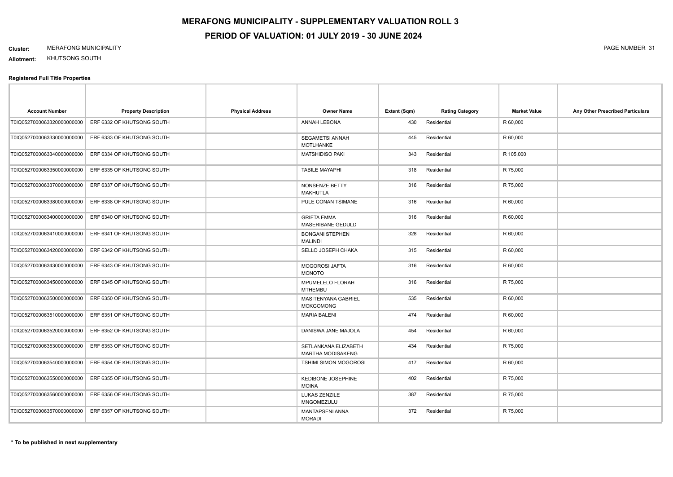# **Cluster:** MERAFONG MUNICIPALITY PAGE NUMBER 31

**Allotment:** KHUTSONG SOUTH

| <b>Account Number</b>      | <b>Property Description</b> | <b>Physical Address</b> | <b>Owner Name</b>                                | Extent (Sqm) | <b>Rating Category</b> | <b>Market Value</b> | Any Other Prescribed Particulars |
|----------------------------|-----------------------------|-------------------------|--------------------------------------------------|--------------|------------------------|---------------------|----------------------------------|
| T0IQ0527000063320000000000 | ERF 6332 OF KHUTSONG SOUTH  |                         | ANNAH LEBONA                                     | 430          | Residential            | R 60,000            |                                  |
| T0IQ0527000063330000000000 | ERF 6333 OF KHUTSONG SOUTH  |                         | SEGAMETSI ANNAH<br>MOTLHANKE                     | 445          | Residential            | R 60,000            |                                  |
| T0IQ0527000063340000000000 | ERF 6334 OF KHUTSONG SOUTH  |                         | <b>MATSHIDISO PAKI</b>                           | 343          | Residential            | R 105,000           |                                  |
| T0IQ0527000063350000000000 | ERF 6335 OF KHUTSONG SOUTH  |                         | <b>TABILE MAYAPHI</b>                            | 318          | Residential            | R 75,000            |                                  |
| T0IQ0527000063370000000000 | ERF 6337 OF KHUTSONG SOUTH  |                         | NONSENZE BETTY<br><b>MAKHUTLA</b>                | 316          | Residential            | R 75,000            |                                  |
| T0IQ0527000063380000000000 | ERF 6338 OF KHUTSONG SOUTH  |                         | PULE CONAN TSIMANE                               | 316          | Residential            | R 60,000            |                                  |
| T0IQ0527000063400000000000 | ERF 6340 OF KHUTSONG SOUTH  |                         | <b>GRIETA EMMA</b><br><b>MASERIBANE GEDULD</b>   | 316          | Residential            | R 60,000            |                                  |
| T0IQ0527000063410000000000 | ERF 6341 OF KHUTSONG SOUTH  |                         | <b>BONGANI STEPHEN</b><br><b>MALINDI</b>         | 328          | Residential            | R 60,000            |                                  |
| T0IQ0527000063420000000000 | ERF 6342 OF KHUTSONG SOUTH  |                         | SELLO JOSEPH CHAKA                               | 315          | Residential            | R 60,000            |                                  |
| T0IQ0527000063430000000000 | ERF 6343 OF KHUTSONG SOUTH  |                         | <b>MOGOROSI JAFTA</b><br><b>MONOTO</b>           | 316          | Residential            | R 60,000            |                                  |
| T0IQ0527000063450000000000 | ERF 6345 OF KHUTSONG SOUTH  |                         | MPUMELELO FLORAH<br><b>MTHEMBU</b>               | 316          | Residential            | R 75,000            |                                  |
| T0IQ0527000063500000000000 | ERF 6350 OF KHUTSONG SOUTH  |                         | <b>MASITENYANA GABRIEL</b><br><b>MOKGOMONG</b>   | 535          | Residential            | R 60,000            |                                  |
| T0IQ0527000063510000000000 | ERF 6351 OF KHUTSONG SOUTH  |                         | <b>MARIA BALENI</b>                              | 474          | Residential            | R 60,000            |                                  |
| T0IQ0527000063520000000000 | ERF 6352 OF KHUTSONG SOUTH  |                         | DANISWA JANE MAJOLA                              | 454          | Residential            | R 60,000            |                                  |
| T0IQ0527000063530000000000 | ERF 6353 OF KHUTSONG SOUTH  |                         | SETLANKANA ELIZABETH<br><b>MARTHA MODISAKENG</b> | 434          | Residential            | R 75,000            |                                  |
| T0IQ0527000063540000000000 | ERF 6354 OF KHUTSONG SOUTH  |                         | TSHIMI SIMON MOGOROSI                            | 417          | Residential            | R 60,000            |                                  |
| T0IQ0527000063550000000000 | ERF 6355 OF KHUTSONG SOUTH  |                         | KEDIBONE JOSEPHINE<br><b>MOINA</b>               | 402          | Residential            | R 75,000            |                                  |
| T0IQ0527000063560000000000 | ERF 6356 OF KHUTSONG SOUTH  |                         | LUKAS ZENZILE<br>MNGOMEZULU                      | 387          | Residential            | R 75,000            |                                  |
| T0IQ0527000063570000000000 | ERF 6357 OF KHUTSONG SOUTH  |                         | MANTAPSENI ANNA<br><b>MORADI</b>                 | 372          | Residential            | R 75,000            |                                  |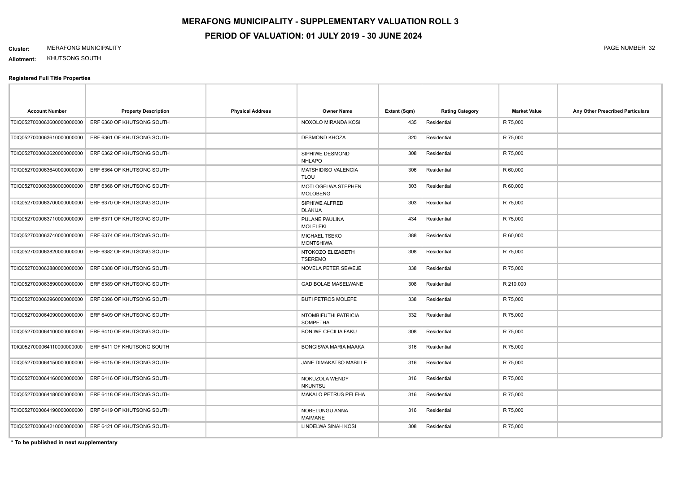#### **Cluster:** MERAFONG MUNICIPALITY PAGE NUMBER 32

**Allotment:** KHUTSONG SOUTH

#### **Registered Full Title Properties**

| <b>Account Number</b>       | <b>Property Description</b> | <b>Physical Address</b> | <b>Owner Name</b>                       | Extent (Sqm) | <b>Rating Category</b> | <b>Market Value</b> | Any Other Prescribed Particulars |
|-----------------------------|-----------------------------|-------------------------|-----------------------------------------|--------------|------------------------|---------------------|----------------------------------|
| T0IQ05270000636000000000000 | ERF 6360 OF KHUTSONG SOUTH  |                         | NOXOLO MIRANDA KOSI                     | 435          | Residential            | R 75,000            |                                  |
| T0IQ0527000063610000000000  | ERF 6361 OF KHUTSONG SOUTH  |                         | <b>DESMOND KHOZA</b>                    | 320          | Residential            | R 75,000            |                                  |
| T0IQ0527000063620000000000  | ERF 6362 OF KHUTSONG SOUTH  |                         | SIPHIWE DESMOND<br><b>NHLAPO</b>        | 308          | Residential            | R 75,000            |                                  |
| T0IQ0527000063640000000000  | ERF 6364 OF KHUTSONG SOUTH  |                         | MATSHIDISO VALENCIA<br><b>TLOU</b>      | 306          | Residential            | R 60,000            |                                  |
| T0IQ0527000063680000000000  | ERF 6368 OF KHUTSONG SOUTH  |                         | MOTLOGELWA STEPHEN<br><b>MOLOBENG</b>   | 303          | Residential            | R 60,000            |                                  |
| T0IQ0527000063700000000000  | ERF 6370 OF KHUTSONG SOUTH  |                         | SIPHIWE ALFRED<br><b>DLAKIJA</b>        | 303          | Residential            | R 75,000            |                                  |
| T0IQ0527000063710000000000  | ERF 6371 OF KHUTSONG SOUTH  |                         | PULANE PAULINA<br><b>MOLELEKI</b>       | 434          | Residential            | R 75,000            |                                  |
| T0IQ0527000063740000000000  | ERF 6374 OF KHUTSONG SOUTH  |                         | MICHAEL TSEKO<br><b>MONTSHIWA</b>       | 388          | Residential            | R 60,000            |                                  |
| T0IQ0527000063820000000000  | ERF 6382 OF KHUTSONG SOUTH  |                         | NTOKOZO ELIZABETH<br><b>TSEREMO</b>     | 308          | Residential            | R 75,000            |                                  |
| T0IQ0527000063880000000000  | ERF 6388 OF KHUTSONG SOUTH  |                         | NOVELA PETER SEWEJE                     | 338          | Residential            | R 75,000            |                                  |
| T0IQ0527000063890000000000  | ERF 6389 OF KHUTSONG SOUTH  |                         | <b>GADIBOLAE MASELWANE</b>              | 308          | Residential            | R 210,000           |                                  |
| T0IQ0527000063960000000000  | ERF 6396 OF KHUTSONG SOUTH  |                         | <b>BUTI PETROS MOLEFE</b>               | 338          | Residential            | R 75,000            |                                  |
| T0IQ0527000064090000000000  | ERF 6409 OF KHUTSONG SOUTH  |                         | NTOMBIFUTHI PATRICIA<br><b>SOMPETHA</b> | 332          | Residential            | R 75,000            |                                  |
| T0IQ0527000064100000000000  | ERF 6410 OF KHUTSONG SOUTH  |                         | <b>BONIWE CECILIA FAKU</b>              | 308          | Residential            | R 75,000            |                                  |
| T0IQ0527000064110000000000  | ERF 6411 OF KHUTSONG SOUTH  |                         | <b>BONGISWA MARIA MAAKA</b>             | 316          | Residential            | R 75,000            |                                  |
| T0IQ0527000064150000000000  | ERF 6415 OF KHUTSONG SOUTH  |                         | <b>JANE DIMAKATSO MABILLE</b>           | 316          | Residential            | R 75,000            |                                  |
| T0IQ0527000064160000000000  | ERF 6416 OF KHUTSONG SOUTH  |                         | NOKUZOLA WENDY<br><b>NKUNTSU</b>        | 316          | Residential            | R 75,000            |                                  |
| T0IQ0527000064180000000000  | ERF 6418 OF KHUTSONG SOUTH  |                         | MAKALO PETRUS PELEHA                    | 316          | Residential            | R 75,000            |                                  |
| T0IQ0527000064190000000000  | ERF 6419 OF KHUTSONG SOUTH  |                         | NOBELUNGU ANNA<br><b>MAIMANE</b>        | 316          | Residential            | R 75,000            |                                  |
| T0IQ0527000064210000000000  | ERF 6421 OF KHUTSONG SOUTH  |                         | LINDELWA SINAH KOSI                     | 308          | Residential            | R 75,000            |                                  |

**\* To be published in next supplementary**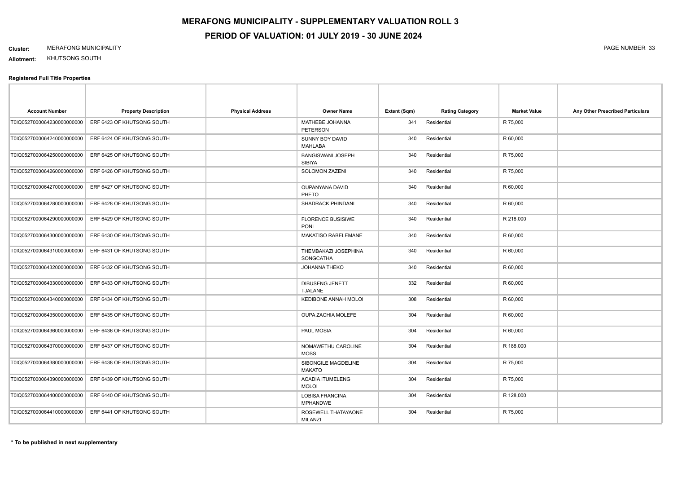#### **Cluster:** MERAFONG MUNICIPALITY PAGE NUMBER 33

**Allotment:** KHUTSONG SOUTH

| <b>Account Number</b>       | <b>Property Description</b>                           | <b>Physical Address</b> | Owner Name                                | Extent (Sqm) | <b>Rating Category</b> | <b>Market Value</b> | Any Other Prescribed Particulars |
|-----------------------------|-------------------------------------------------------|-------------------------|-------------------------------------------|--------------|------------------------|---------------------|----------------------------------|
| T0IQ0527000064230000000000  | ERF 6423 OF KHUTSONG SOUTH                            |                         | MATHEBE JOHANNA<br>PETERSON               | 341          | Residential            | R 75,000            |                                  |
| T0IQ0527000064240000000000  | ERF 6424 OF KHUTSONG SOUTH                            |                         | SUNNY BOY DAVID<br><b>MAHLABA</b>         | 340          | Residential            | R 60,000            |                                  |
| T0IQ0527000064250000000000  | ERF 6425 OF KHUTSONG SOUTH                            |                         | BANGISWANI JOSEPH<br>SIBIYA               | 340          | Residential            | R 75,000            |                                  |
| T0IQ0527000064260000000000  | ERF 6426 OF KHUTSONG SOUTH                            |                         | SOLOMON ZAZENI                            | 340          | Residential            | R 75,000            |                                  |
| T0IQ0527000064270000000000  | ERF 6427 OF KHUTSONG SOUTH                            |                         | <b>OUPANYANA DAVID</b><br>PHETO           | 340          | Residential            | R 60,000            |                                  |
|                             | T0IQ0527000064280000000000 ERF 6428 OF KHUTSONG SOUTH |                         | SHADRACK PHINDANI                         | 340          | Residential            | R 60,000            |                                  |
| T0IQ05270000642900000000000 | ERF 6429 OF KHUTSONG SOUTH                            |                         | <b>FLORENCE BUSISIWE</b><br><b>PONI</b>   | 340          | Residential            | R 218,000           |                                  |
| T0IQ0527000064300000000000  | ERF 6430 OF KHUTSONG SOUTH                            |                         | <b>MAKATISO RABELEMANE</b>                | 340          | Residential            | R 60,000            |                                  |
| T0IQ0527000064310000000000  | ERF 6431 OF KHUTSONG SOUTH                            |                         | THEMBAKAZI JOSEPHINA<br>SONGCATHA         | 340          | Residential            | R 60,000            |                                  |
| T0IQ0527000064320000000000  | ERF 6432 OF KHUTSONG SOUTH                            |                         | JOHANNA THEKO                             | 340          | Residential            | R 60,000            |                                  |
| T0IQ0527000064330000000000  | ERF 6433 OF KHUTSONG SOUTH                            |                         | <b>DIBUSENG JENETT</b><br><b>TJALANE</b>  | 332          | Residential            | R 60,000            |                                  |
| T0IQ0527000064340000000000  | ERF 6434 OF KHUTSONG SOUTH                            |                         | KEDIBONE ANNAH MOLOI                      | 308          | Residential            | R 60,000            |                                  |
| T0IQ0527000064350000000000  | ERF 6435 OF KHUTSONG SOUTH                            |                         | <b>OUPA ZACHIA MOLEFE</b>                 | 304          | Residential            | R 60,000            |                                  |
| T0IQ0527000064360000000000  | ERF 6436 OF KHUTSONG SOUTH                            |                         | PAUL MOSIA                                | 304          | Residential            | R 60,000            |                                  |
| T0IQ0527000064370000000000  | ERF 6437 OF KHUTSONG SOUTH                            |                         | NOMAWETHU CAROLINE<br><b>MOSS</b>         | 304          | Residential            | R 188,000           |                                  |
| T0IQ0527000064380000000000  | ERF 6438 OF KHUTSONG SOUTH                            |                         | SIBONGILE MAGDELINE<br><b>MAKATO</b>      | 304          | Residential            | R 75,000            |                                  |
| T0IQ0527000064390000000000  | ERF 6439 OF KHUTSONG SOUTH                            |                         | <b>ACADIA ITUMELENG</b><br><b>MOLOI</b>   | 304          | Residential            | R 75,000            |                                  |
| T0IQ05270000644000000000000 | ERF 6440 OF KHUTSONG SOUTH                            |                         | <b>LOBISA FRANCINA</b><br><b>MPHANDWE</b> | 304          | Residential            | R 128,000           |                                  |
| T0IQ0527000064410000000000  | ERF 6441 OF KHUTSONG SOUTH                            |                         | ROSEWELL THATAYAONE<br><b>MILANZI</b>     | 304          | Residential            | R 75,000            |                                  |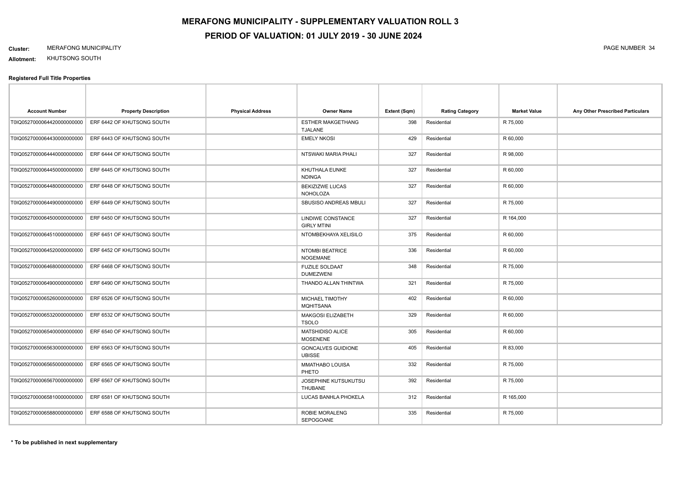#### **Cluster:** MERAFONG MUNICIPALITY PAGE NUMBER 34

**Allotment:** KHUTSONG SOUTH

| <b>Account Number</b>       | <b>Property Description</b> | <b>Physical Address</b> | Owner Name                                 | Extent (Sqm) | <b>Rating Category</b> | <b>Market Value</b> | Any Other Prescribed Particulars |
|-----------------------------|-----------------------------|-------------------------|--------------------------------------------|--------------|------------------------|---------------------|----------------------------------|
| T0IQ0527000064420000000000  | ERF 6442 OF KHUTSONG SOUTH  |                         | <b>ESTHER MAKGETHANG</b><br><b>TJALANE</b> | 398          | Residential            | R 75,000            |                                  |
| T0IQ0527000064430000000000  | ERF 6443 OF KHUTSONG SOUTH  |                         | <b>EMELY NKOSI</b>                         | 429          | Residential            | R 60,000            |                                  |
| T0IQ0527000064440000000000  | ERF 6444 OF KHUTSONG SOUTH  |                         | NTSWAKI MARIA PHALI                        | 327          | Residential            | R 98,000            |                                  |
| T0IQ0527000064450000000000  | ERF 6445 OF KHUTSONG SOUTH  |                         | KHUTHALA EUNKE<br><b>NDINGA</b>            | 327          | Residential            | R 60,000            |                                  |
| T0IQ0527000064480000000000  | ERF 6448 OF KHUTSONG SOUTH  |                         | <b>BEKIZIZWE LUCAS</b><br><b>NOHOLOZA</b>  | 327          | Residential            | R 60,000            |                                  |
| T0IQ0527000064490000000000  | ERF 6449 OF KHUTSONG SOUTH  |                         | <b>SBUSISO ANDREAS MBULI</b>               | 327          | Residential            | R 75,000            |                                  |
| T0IQ0527000064500000000000  | ERF 6450 OF KHUTSONG SOUTH  |                         | LINDIWE CONSTANCE<br><b>GIRLY MTINI</b>    | 327          | Residential            | R 164,000           |                                  |
| T0IQ0527000064510000000000  | ERF 6451 OF KHUTSONG SOUTH  |                         | NTOMBEKHAYA XELISILO                       | 375          | Residential            | R 60,000            |                                  |
| T0IQ0527000064520000000000  | ERF 6452 OF KHUTSONG SOUTH  |                         | NTOMBI BEATRICE<br><b>NOGEMANE</b>         | 336          | Residential            | R 60,000            |                                  |
| T0IQ0527000064680000000000  | ERF 6468 OF KHUTSONG SOUTH  |                         | <b>FUZILE SOLDAAT</b><br><b>DUMEZWENI</b>  | 348          | Residential            | R 75,000            |                                  |
| T0IQ05270000649000000000000 | ERF 6490 OF KHUTSONG SOUTH  |                         | THANDO ALLAN THINTWA                       | 321          | Residential            | R 75,000            |                                  |
| T0IQ0527000065260000000000  | ERF 6526 OF KHUTSONG SOUTH  |                         | MICHAEL TIMOTHY<br><b>MQHITSANA</b>        | 402          | Residential            | R 60,000            |                                  |
| T0IQ0527000065320000000000  | ERF 6532 OF KHUTSONG SOUTH  |                         | <b>MAKGOSI ELIZABETH</b><br><b>TSOLO</b>   | 329          | Residential            | R 60,000            |                                  |
| T0IQ0527000065400000000000  | ERF 6540 OF KHUTSONG SOUTH  |                         | <b>MATSHIDISO ALICE</b><br><b>MOSENENE</b> | 305          | Residential            | R 60,000            |                                  |
| T0IQ0527000065630000000000  | ERF 6563 OF KHUTSONG SOUTH  |                         | <b>GONCALVES GUIDIONE</b><br><b>UBISSE</b> | 405          | Residential            | R 83,000            |                                  |
| T0IQ0527000065650000000000  | ERF 6565 OF KHUTSONG SOUTH  |                         | <b>MMATHABO LOUISA</b><br>PHETO            | 332          | Residential            | R 75,000            |                                  |
| T0IQ0527000065670000000000  | ERF 6567 OF KHUTSONG SOUTH  |                         | JOSEPHINE KUTSUKUTSU<br>THUBANE            | 392          | Residential            | R 75,000            |                                  |
| T0IQ0527000065810000000000  | ERF 6581 OF KHUTSONG SOUTH  |                         | LUCAS BANHLA PHOKELA                       | 312          | Residential            | R 165,000           |                                  |
| T0IQ0527000065880000000000  | ERF 6588 OF KHUTSONG SOUTH  |                         | ROBIE MORALENG<br>SEPOGOANE                | 335          | Residential            | R 75,000            |                                  |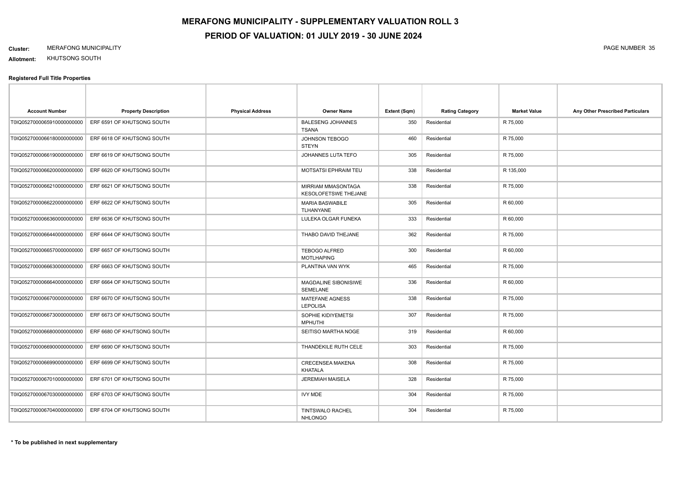#### **Cluster:** MERAFONG MUNICIPALITY PAGE NUMBER 35

**Allotment:** KHUTSONG SOUTH

| <b>Account Number</b>       | <b>Property Description</b> | <b>Physical Address</b> | <b>Owner Name</b>                                 | Extent (Sqm) | <b>Rating Category</b> | <b>Market Value</b> | Any Other Prescribed Particulars |
|-----------------------------|-----------------------------|-------------------------|---------------------------------------------------|--------------|------------------------|---------------------|----------------------------------|
| T0IQ0527000065910000000000  | ERF 6591 OF KHUTSONG SOUTH  |                         | <b>BALESENG JOHANNES</b><br><b>TSANA</b>          | 350          | Residential            | R 75,000            |                                  |
| T0IQ0527000066180000000000  | ERF 6618 OF KHUTSONG SOUTH  |                         | JOHNSON TEBOGO<br><b>STEYN</b>                    | 460          | Residential            | R 75,000            |                                  |
| T0IQ0527000066190000000000  | ERF 6619 OF KHUTSONG SOUTH  |                         | JOHANNES LUTA TEFO                                | 305          | Residential            | R 75,000            |                                  |
| T0IQ0527000066200000000000  | ERF 6620 OF KHUTSONG SOUTH  |                         | <b>MOTSATSI EPHRAIM TEU</b>                       | 338          | Residential            | R 135,000           |                                  |
| T0IQ0527000066210000000000  | ERF 6621 OF KHUTSONG SOUTH  |                         | MIRRIAM MMASONTAGA<br><b>KESOLOFETSWE THEJANE</b> | 338          | Residential            | R 75,000            |                                  |
| T0IQ0527000066220000000000  | ERF 6622 OF KHUTSONG SOUTH  |                         | <b>MARIA BASWABILE</b><br><b>TLHANYANE</b>        | 305          | Residential            | R 60,000            |                                  |
| T0IQ0527000066360000000000  | ERF 6636 OF KHUTSONG SOUTH  |                         | LULEKA OLGAR FUNEKA                               | 333          | Residential            | R 60,000            |                                  |
| T0IQ0527000066440000000000  | ERF 6644 OF KHUTSONG SOUTH  |                         | THABO DAVID THEJANE                               | 362          | Residential            | R 75,000            |                                  |
| T0IQ0527000066570000000000  | ERF 6657 OF KHUTSONG SOUTH  |                         | <b>TEBOGO ALFRED</b><br><b>MOTLHAPING</b>         | 300          | Residential            | R 60,000            |                                  |
| T0IQ0527000066630000000000  | ERF 6663 OF KHUTSONG SOUTH  |                         | PLANTINA VAN WYK                                  | 465          | Residential            | R 75,000            |                                  |
| T0IQ0527000066640000000000  | ERF 6664 OF KHUTSONG SOUTH  |                         | MAGDALINE SIBONISIWE<br><b>SEMELANE</b>           | 336          | Residential            | R 60,000            |                                  |
| T0IQ0527000066700000000000  | ERF 6670 OF KHUTSONG SOUTH  |                         | MATEFANE AGNESS<br><b>LEPOLISA</b>                | 338          | Residential            | R 75,000            |                                  |
| T0IQ0527000066730000000000  | ERF 6673 OF KHUTSONG SOUTH  |                         | SOPHIE KIDIYEMETSI<br><b>MPHUTHI</b>              | 307          | Residential            | R 75,000            |                                  |
| T0IQ05270000668000000000000 | ERF 6680 OF KHUTSONG SOUTH  |                         | SEITISO MARTHA NOGE                               | 319          | Residential            | R 60,000            |                                  |
| T0IQ05270000669000000000000 | ERF 6690 OF KHUTSONG SOUTH  |                         | THANDEKILE RUTH CELE                              | 303          | Residential            | R 75,000            |                                  |
| T0IQ05270000669900000000000 | ERF 6699 OF KHUTSONG SOUTH  |                         | <b>CRECENSEA MAKENA</b><br><b>KHATALA</b>         | 308          | Residential            | R 75,000            |                                  |
| T0IQ0527000067010000000000  | ERF 6701 OF KHUTSONG SOUTH  |                         | <b>JEREMIAH MAISELA</b>                           | 328          | Residential            | R 75,000            |                                  |
| T0IQ0527000067030000000000  | ERF 6703 OF KHUTSONG SOUTH  |                         | <b>IVY MDE</b>                                    | 304          | Residential            | R 75,000            |                                  |
| T0IQ0527000067040000000000  | ERF 6704 OF KHUTSONG SOUTH  |                         | <b>TINTSWALO RACHEL</b><br><b>NHLONGO</b>         | 304          | Residential            | R 75,000            |                                  |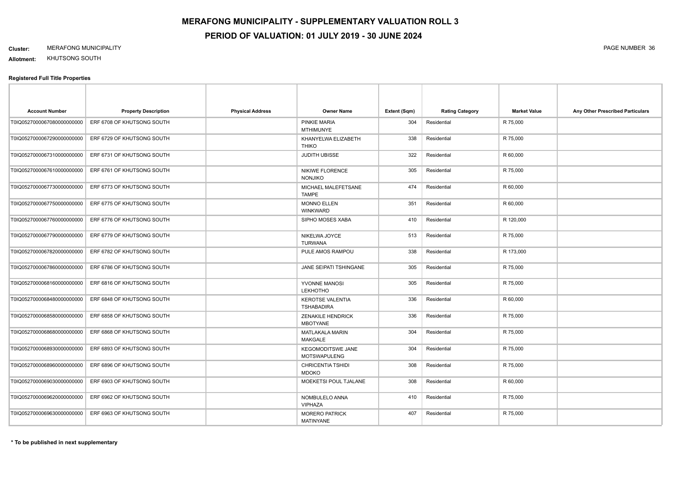#### **Cluster:** MERAFONG MUNICIPALITY PAGE NUMBER 36

**Allotment:** KHUTSONG SOUTH

| <b>Account Number</b>       | <b>Property Description</b> | <b>Physical Address</b> | <b>Owner Name</b>                               | Extent (Sqm) | <b>Rating Category</b> | <b>Market Value</b> | Any Other Prescribed Particulars |
|-----------------------------|-----------------------------|-------------------------|-------------------------------------------------|--------------|------------------------|---------------------|----------------------------------|
| T0IQ05270000670800000000000 | ERF 6708 OF KHUTSONG SOUTH  |                         | PINKIE MARIA<br><b>MTHIMUNYE</b>                | 304          | Residential            | R 75,000            |                                  |
| T0IQ0527000067290000000000  | ERF 6729 OF KHUTSONG SOUTH  |                         | KHANYELWA ELIZABETH<br><b>THIKO</b>             | 338          | Residential            | R 75,000            |                                  |
| T0IQ0527000067310000000000  | ERF 6731 OF KHUTSONG SOUTH  |                         | <b>JUDITH UBISSE</b>                            | 322          | Residential            | R 60,000            |                                  |
| T0IQ0527000067610000000000  | ERF 6761 OF KHUTSONG SOUTH  |                         | <b>NIKIWE FLORENCE</b><br><b>NONJIKO</b>        | 305          | Residential            | R 75,000            |                                  |
| T0IQ0527000067730000000000  | ERF 6773 OF KHUTSONG SOUTH  |                         | MICHAEL MALEFETSANE<br><b>TAMPE</b>             | 474          | Residential            | R 60,000            |                                  |
| T0IQ0527000067750000000000  | ERF 6775 OF KHUTSONG SOUTH  |                         | <b>MONNO ELLEN</b><br><b>WINKWARD</b>           | 351          | Residential            | R 60,000            |                                  |
| T0IQ0527000067760000000000  | ERF 6776 OF KHUTSONG SOUTH  |                         | SIPHO MOSES XABA                                | 410          | Residential            | R 120,000           |                                  |
| T0IQ0527000067790000000000  | ERF 6779 OF KHUTSONG SOUTH  |                         | NIKELWA JOYCE<br><b>TURWANA</b>                 | 513          | Residential            | R 75,000            |                                  |
| T0IQ0527000067820000000000  | ERF 6782 OF KHUTSONG SOUTH  |                         | PULE AMOS RAMPOU                                | 338          | Residential            | R 173,000           |                                  |
| T0IQ0527000067860000000000  | ERF 6786 OF KHUTSONG SOUTH  |                         | JANE SEIPATI TSHINGANE                          | 305          | Residential            | R 75,000            |                                  |
| T0IQ0527000068160000000000  | ERF 6816 OF KHUTSONG SOUTH  |                         | YVONNE MANOSI<br><b>LEKHOTHO</b>                | 305          | Residential            | R 75,000            |                                  |
| T0IQ0527000068480000000000  | ERF 6848 OF KHUTSONG SOUTH  |                         | <b>KEROTSE VALENTIA</b><br><b>TSHABADIRA</b>    | 336          | Residential            | R 60,000            |                                  |
| T0IQ0527000068580000000000  | ERF 6858 OF KHUTSONG SOUTH  |                         | <b>ZENAKILE HENDRICK</b><br><b>MBOTYANE</b>     | 336          | Residential            | R 75,000            |                                  |
| T0IQ0527000068680000000000  | ERF 6868 OF KHUTSONG SOUTH  |                         | <b>MATLAKALA MARIN</b><br><b>MAKGALE</b>        | 304          | Residential            | R 75,000            |                                  |
| T0IQ0527000068930000000000  | ERF 6893 OF KHUTSONG SOUTH  |                         | <b>KEGOMODITSWE JANE</b><br><b>MOTSWAPULENG</b> | 304          | Residential            | R 75,000            |                                  |
| T0IQ0527000068960000000000  | ERF 6896 OF KHUTSONG SOUTH  |                         | <b>CHRICENTIA TSHIDI</b><br><b>MDOKO</b>        | 308          | Residential            | R 75,000            |                                  |
| T0IQ05270000690300000000000 | ERF 6903 OF KHUTSONG SOUTH  |                         | MOEKETSI POUL TJALANE                           | 308          | Residential            | R 60,000            |                                  |
| T0IQ0527000069620000000000  | ERF 6962 OF KHUTSONG SOUTH  |                         | NOMBULELO ANNA<br>VIPHAZA                       | 410          | Residential            | R 75,000            |                                  |
| T0IQ0527000069630000000000  | ERF 6963 OF KHUTSONG SOUTH  |                         | <b>MORERO PATRICK</b><br><b>MATINYANE</b>       | 407          | Residential            | R 75,000            |                                  |
|                             |                             |                         |                                                 |              |                        |                     |                                  |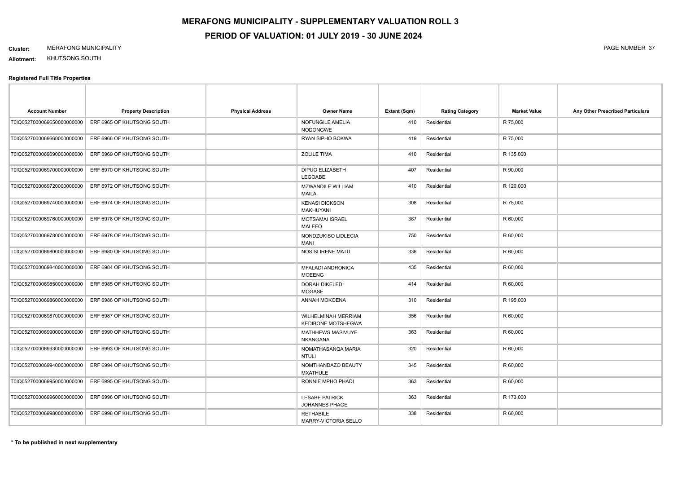#### **Cluster:** MERAFONG MUNICIPALITY PAGE NUMBER 37

**Allotment:** KHUTSONG SOUTH

| <b>Account Number</b>       | <b>Property Description</b> | <b>Physical Address</b> | <b>Owner Name</b>                                | Extent (Sqm) | <b>Rating Category</b> | <b>Market Value</b> | Any Other Prescribed Particulars |
|-----------------------------|-----------------------------|-------------------------|--------------------------------------------------|--------------|------------------------|---------------------|----------------------------------|
| T0IQ0527000069650000000000  | ERF 6965 OF KHUTSONG SOUTH  |                         | NOFUNGILE AMELIA<br><b>NODONGWE</b>              | 410          | Residential            | R 75,000            |                                  |
| T0IQ05270000696600000000000 | ERF 6966 OF KHUTSONG SOUTH  |                         | RYAN SIPHO BOKWA                                 | 419          | Residential            | R 75,000            |                                  |
| T0IQ05270000696900000000000 | ERF 6969 OF KHUTSONG SOUTH  |                         | <b>ZOLILE TIMA</b>                               | 410          | Residential            | R 135,000           |                                  |
| T0IQ0527000069700000000000  | ERF 6970 OF KHUTSONG SOUTH  |                         | DIPUO ELIZABETH<br>LEGOABE                       | 407          | Residential            | R 90,000            |                                  |
| T0IQ0527000069720000000000  | ERF 6972 OF KHUTSONG SOUTH  |                         | <b>MZWANDILE WILLIAM</b><br><b>MAILA</b>         | 410          | Residential            | R 120,000           |                                  |
| T0IQ0527000069740000000000  | ERF 6974 OF KHUTSONG SOUTH  |                         | <b>KENASI DICKSON</b><br><b>MAKHUYANI</b>        | 308          | Residential            | R 75,000            |                                  |
| T0IQ0527000069760000000000  | ERF 6976 OF KHUTSONG SOUTH  |                         | MOTSAMAI ISRAEL<br><b>MALEFO</b>                 | 367          | Residential            | R 60,000            |                                  |
| T0IQ0527000069780000000000  | ERF 6978 OF KHUTSONG SOUTH  |                         | NONDZUKISO LIDLECIA<br><b>MANI</b>               | 750          | Residential            | R 60,000            |                                  |
| T0IQ0527000069800000000000  | ERF 6980 OF KHUTSONG SOUTH  |                         | <b>NOSISI IRENE MATU</b>                         | 336          | Residential            | R 60,000            |                                  |
| T0IQ0527000069840000000000  | ERF 6984 OF KHUTSONG SOUTH  |                         | <b>MFALADI ANDRONICA</b><br><b>MOEENG</b>        | 435          | Residential            | R 60,000            |                                  |
| T0IQ0527000069850000000000  | ERF 6985 OF KHUTSONG SOUTH  |                         | <b>DORAH DIKELEDI</b><br><b>MOGASE</b>           | 414          | Residential            | R 60,000            |                                  |
| T0IQ0527000069860000000000  | ERF 6986 OF KHUTSONG SOUTH  |                         | ANNAH MOKOENA                                    | 310          | Residential            | R 195,000           |                                  |
| T0IQ0527000069870000000000  | ERF 6987 OF KHUTSONG SOUTH  |                         | WILHELMINAH MERRIAM<br><b>KEDIBONE MOTSHEGWA</b> | 356          | Residential            | R 60,000            |                                  |
| T0IQ05270000699000000000000 | ERF 6990 OF KHUTSONG SOUTH  |                         | MATHHEWS MASIVUYE<br><b>NKANGANA</b>             | 363          | Residential            | R 60,000            |                                  |
| T0IQ05270000699300000000000 | ERF 6993 OF KHUTSONG SOUTH  |                         | NOMATHASANQA MARIA<br><b>NTULI</b>               | 320          | Residential            | R 60,000            |                                  |
| T0IQ0527000069940000000000  | ERF 6994 OF KHUTSONG SOUTH  |                         | NOMTHANDAZO BEAUTY<br><b>MXATHULE</b>            | 345          | Residential            | R 60,000            |                                  |
| T0IQ0527000069950000000000  | ERF 6995 OF KHUTSONG SOUTH  |                         | RONNIE MPHO PHADI                                | 363          | Residential            | R 60,000            |                                  |
| T0IQ05270000699600000000000 | ERF 6996 OF KHUTSONG SOUTH  |                         | <b>LESABE PATRICK</b><br>JOHANNES PHAGE          | 363          | Residential            | R 173,000           |                                  |
| T0IQ0527000069980000000000  | ERF 6998 OF KHUTSONG SOUTH  |                         | <b>RETHABILE</b><br>MARRY-VICTORIA SELLO         | 338          | Residential            | R 60,000            |                                  |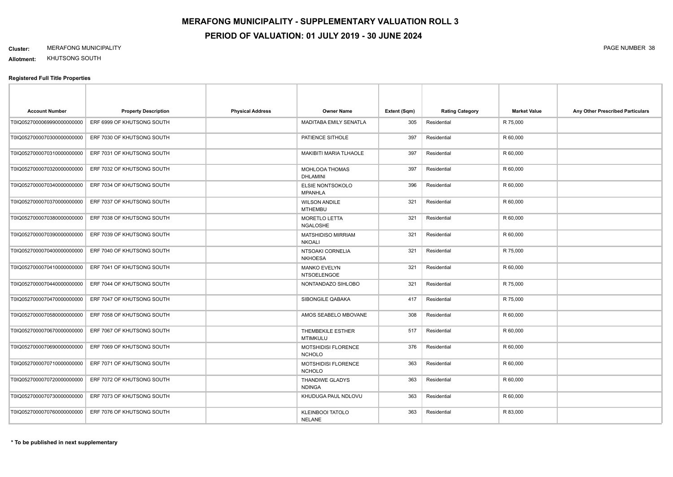#### **Cluster:** MERAFONG MUNICIPALITY PAGE NUMBER 38

**Allotment:** KHUTSONG SOUTH

| <b>Account Number</b>       | <b>Property Description</b>                           | <b>Physical Address</b> | <b>Owner Name</b>                         | Extent (Sqm) | <b>Rating Category</b> | <b>Market Value</b> | Any Other Prescribed Particulars |
|-----------------------------|-------------------------------------------------------|-------------------------|-------------------------------------------|--------------|------------------------|---------------------|----------------------------------|
| T0IQ05270000699900000000000 | ERF 6999 OF KHUTSONG SOUTH                            |                         | MADITABA EMILY SENATLA                    | 305          | Residential            | R 75,000            |                                  |
| T0IQ0527000070300000000000  | ERF 7030 OF KHUTSONG SOUTH                            |                         | PATIENCE SITHOLE                          | 397          | Residential            | R 60,000            |                                  |
| T0IQ0527000070310000000000  | ERF 7031 OF KHUTSONG SOUTH                            |                         | <b>MAKIBITI MARIA TLHAOLE</b>             | 397          | Residential            | R 60,000            |                                  |
| T0IQ0527000070320000000000  | ERF 7032 OF KHUTSONG SOUTH                            |                         | MOHLOOA THOMAS<br>DHLAMINI                | 397          | Residential            | R 60,000            |                                  |
| T0IQ05270000703400000000000 | ERF 7034 OF KHUTSONG SOUTH                            |                         | ELSIE NONTSOKOLO<br><b>MPANHLA</b>        | 396          | Residential            | R 60,000            |                                  |
| T0IQ0527000070370000000000  | ERF 7037 OF KHUTSONG SOUTH                            |                         | <b>WILSON ANDILE</b><br><b>MTHEMBU</b>    | 321          | Residential            | R 60,000            |                                  |
|                             | T0IQ0527000070380000000000 ERF 7038 OF KHUTSONG SOUTH |                         | MORETLO LETTA<br><b>NGALOSHE</b>          | 321          | Residential            | R 60,000            |                                  |
| T0IQ0527000070390000000000  | ERF 7039 OF KHUTSONG SOUTH                            |                         | MATSHIDISO MIRRIAM<br><b>NKOALI</b>       | 321          | Residential            | R 60,000            |                                  |
| T0IQ0527000070400000000000  | ERF 7040 OF KHUTSONG SOUTH                            |                         | NTSOAKI CORNELIA<br><b>NKHOESA</b>        | 321          | Residential            | R 75,000            |                                  |
| T0IQ0527000070410000000000  | ERF 7041 OF KHUTSONG SOUTH                            |                         | <b>MANKO EVELYN</b><br><b>NTSOELENGOE</b> | 321          | Residential            | R 60,000            |                                  |
| T0IQ0527000070440000000000  | ERF 7044 OF KHUTSONG SOUTH                            |                         | NONTANDAZO SIHLOBO                        | 321          | Residential            | R 75,000            |                                  |
| T0IQ0527000070470000000000  | ERF 7047 OF KHUTSONG SOUTH                            |                         | SIBONGILE QABAKA                          | 417          | Residential            | R 75,000            |                                  |
| T0IQ0527000070580000000000  | ERF 7058 OF KHUTSONG SOUTH                            |                         | AMOS SEABELO MBOVANE                      | 308          | Residential            | R 60,000            |                                  |
| T0IQ0527000070670000000000  | ERF 7067 OF KHUTSONG SOUTH                            |                         | THEMBEKILE ESTHER<br><b>MTIMKULU</b>      | 517          | Residential            | R 60,000            |                                  |
| T0IQ05270000706900000000000 | ERF 7069 OF KHUTSONG SOUTH                            |                         | MOTSHIDISI FLORENCE<br><b>NCHOLO</b>      | 376          | Residential            | R 60,000            |                                  |
| T0IQ0527000070710000000000  | ERF 7071 OF KHUTSONG SOUTH                            |                         | MOTSHIDISI FLORENCE<br><b>NCHOLO</b>      | 363          | Residential            | R 60,000            |                                  |
|                             | T0IQ0527000070720000000000 ERF 7072 OF KHUTSONG SOUTH |                         | THANDIWE GLADYS<br><b>NDINGA</b>          | 363          | Residential            | R 60,000            |                                  |
| T0IQ0527000070730000000000  | ERF 7073 OF KHUTSONG SOUTH                            |                         | KHUDUGA PAUL NDLOVU                       | 363          | Residential            | R 60,000            |                                  |
| T0IQ0527000070760000000000  | ERF 7076 OF KHUTSONG SOUTH                            |                         | <b>KLEINBOOI TATOLO</b><br><b>NELANE</b>  | 363          | Residential            | R 83,000            |                                  |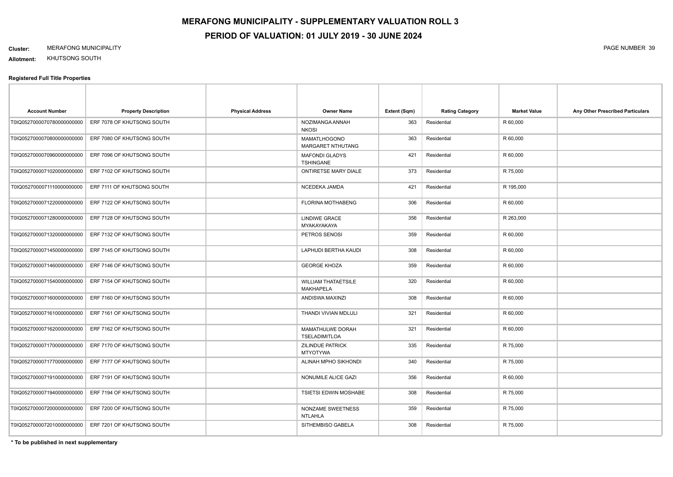#### **Cluster:** MERAFONG MUNICIPALITY PAGE NUMBER 39

**Allotment:** KHUTSONG SOUTH

#### **Registered Full Title Properties**

| <b>Account Number</b>       | <b>Property Description</b> | <b>Physical Address</b> | Owner Name                                     | Extent (Sqm) | <b>Rating Category</b> | <b>Market Value</b> | Any Other Prescribed Particulars |
|-----------------------------|-----------------------------|-------------------------|------------------------------------------------|--------------|------------------------|---------------------|----------------------------------|
| T0IQ0527000070780000000000  | ERF 7078 OF KHUTSONG SOUTH  |                         | NOZIMANGA ANNAH<br><b>NKOSI</b>                | 363          | Residential            | R 60,000            |                                  |
| T0IQ05270000708000000000000 | ERF 7080 OF KHUTSONG SOUTH  |                         | MAMATLHOGONO<br><b>MARGARET NTHUTANG</b>       | 363          | Residential            | R 60,000            |                                  |
| T0IQ0527000070960000000000  | ERF 7096 OF KHUTSONG SOUTH  |                         | <b>MAFONDI GLADYS</b><br><b>TSHINGANE</b>      | 421          | Residential            | R 60,000            |                                  |
| T0IQ0527000071020000000000  | ERF 7102 OF KHUTSONG SOUTH  |                         | ONTIRETSE MARY DIALE                           | 373          | Residential            | R 75,000            |                                  |
| T0IQ0527000071110000000000  | ERF 7111 OF KHUTSONG SOUTH  |                         | NCEDEKA JAMDA                                  | 421          | Residential            | R 195,000           |                                  |
| T0IQ0527000071220000000000  | ERF 7122 OF KHUTSONG SOUTH  |                         | <b>FLORINA MOTHABENG</b>                       | 306          | Residential            | R 60,000            |                                  |
| T0IQ0527000071280000000000  | ERF 7128 OF KHUTSONG SOUTH  |                         | <b>LINDIWE GRACE</b><br>MYAKAYAKAYA            | 356          | Residential            | R 263,000           |                                  |
| T0IQ0527000071320000000000  | ERF 7132 OF KHUTSONG SOUTH  |                         | PETROS SENOSI                                  | 359          | Residential            | R 60,000            |                                  |
| T0IQ0527000071450000000000  | ERF 7145 OF KHUTSONG SOUTH  |                         | LAPHUDI BERTHA KAUDI                           | 308          | Residential            | R 60,000            |                                  |
| T0IQ0527000071460000000000  | ERF 7146 OF KHUTSONG SOUTH  |                         | <b>GEORGE KHOZA</b>                            | 359          | Residential            | R 60,000            |                                  |
| T0IQ0527000071540000000000  | ERF 7154 OF KHUTSONG SOUTH  |                         | <b>WILLIAM THATAETSILE</b><br><b>MAKHAPELA</b> | 320          | Residential            | R 60,000            |                                  |
| T0IQ05270000716000000000000 | ERF 7160 OF KHUTSONG SOUTH  |                         | ANDISWA MAXINZI                                | 308          | Residential            | R 60,000            |                                  |
| T0IQ0527000071610000000000  | ERF 7161 OF KHUTSONG SOUTH  |                         | THANDI VIVIAN MDLULI                           | 321          | Residential            | R 60,000            |                                  |
| T0IQ0527000071620000000000  | ERF 7162 OF KHUTSONG SOUTH  |                         | MAMATHULWE DORAH<br>TSELADIMITLOA              | 321          | Residential            | R 60,000            |                                  |
| T0IQ0527000071700000000000  | ERF 7170 OF KHUTSONG SOUTH  |                         | <b>ZILINDUE PATRICK</b><br><b>MTYOTYWA</b>     | 335          | Residential            | R 75,000            |                                  |
| T0IQ0527000071770000000000  | ERF 7177 OF KHUTSONG SOUTH  |                         | ALINAH MPHO SIKHONDI                           | 340          | Residential            | R 75,000            |                                  |
| T0IQ0527000071910000000000  | ERF 7191 OF KHUTSONG SOUTH  |                         | NONUMILE ALICE GAZI                            | 356          | Residential            | R 60,000            |                                  |
| T0IQ0527000071940000000000  | ERF 7194 OF KHUTSONG SOUTH  |                         | <b>TSIETSI EDWIN MOSHABE</b>                   | 308          | Residential            | R 75,000            |                                  |
| T0IQ0527000072000000000000  | ERF 7200 OF KHUTSONG SOUTH  |                         | NONZAME SWEETNESS<br><b>NTLAHLA</b>            | 359          | Residential            | R 75,000            |                                  |
| T0IQ0527000072010000000000  | ERF 7201 OF KHUTSONG SOUTH  |                         | SITHEMBISO GABELA                              | 308          | Residential            | R 75,000            |                                  |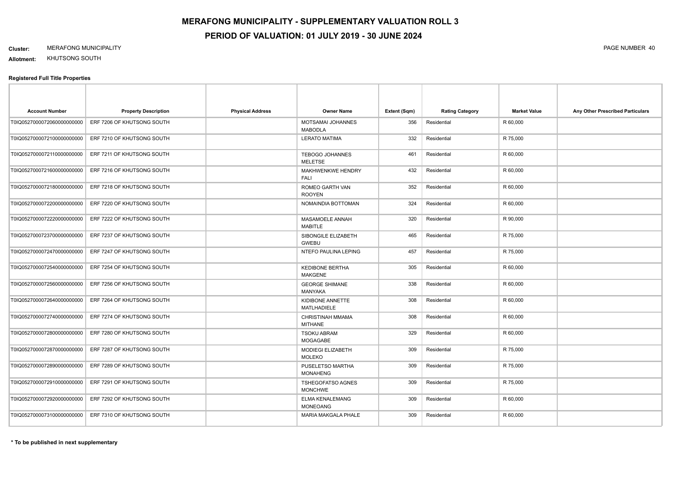#### **Cluster:** MERAFONG MUNICIPALITY PAGE NUMBER 40

**Allotment:** KHUTSONG SOUTH

| <b>Account Number</b>      | <b>Property Description</b> | <b>Physical Address</b> | <b>Owner Name</b>                         | Extent (Sqm) | <b>Rating Category</b> | <b>Market Value</b> | Any Other Prescribed Particulars |
|----------------------------|-----------------------------|-------------------------|-------------------------------------------|--------------|------------------------|---------------------|----------------------------------|
| T0IQ0527000072060000000000 | ERF 7206 OF KHUTSONG SOUTH  |                         | MOTSAMAI JOHANNES<br><b>MABODLA</b>       | 356          | Residential            | R 60,000            |                                  |
| T0IQ0527000072100000000000 | ERF 7210 OF KHUTSONG SOUTH  |                         | <b>LERATO MATIMA</b>                      | 332          | Residential            | R 75,000            |                                  |
| T0IQ0527000072110000000000 | ERF 7211 OF KHUTSONG SOUTH  |                         | <b>TEBOGO JOHANNES</b><br><b>MELETSE</b>  | 461          | Residential            | R 60,000            |                                  |
| T0IQ0527000721600000000000 | ERF 7216 OF KHUTSONG SOUTH  |                         | MAKHWENKWE HENDRY<br><b>FALI</b>          | 432          | Residential            | R 60,000            |                                  |
| T0IQ0527000072180000000000 | ERF 7218 OF KHUTSONG SOUTH  |                         | ROMEO GARTH VAN<br><b>ROOYEN</b>          | 352          | Residential            | R 60,000            |                                  |
| T0IQ0527000072200000000000 | ERF 7220 OF KHUTSONG SOUTH  |                         | NOMAINDIA BOTTOMAN                        | 324          | Residential            | R 60,000            |                                  |
| T0IQ0527000072220000000000 | ERF 7222 OF KHUTSONG SOUTH  |                         | MASAMOELE ANNAH<br><b>MABITLE</b>         | 320          | Residential            | R 90,000            |                                  |
| T0IQ0527000723700000000000 | ERF 7237 OF KHUTSONG SOUTH  |                         | SIBONGILE ELIZABETH<br><b>GWEBU</b>       | 465          | Residential            | R 75,000            |                                  |
| T0IQ0527000072470000000000 | ERF 7247 OF KHUTSONG SOUTH  |                         | NTEFO PAULINA LEPING                      | 457          | Residential            | R 75,000            |                                  |
| T0IQ0527000072540000000000 | ERF 7254 OF KHUTSONG SOUTH  |                         | <b>KEDIBONE BERTHA</b><br><b>MAKGENE</b>  | 305          | Residential            | R 60,000            |                                  |
| T0IQ0527000072560000000000 | ERF 7256 OF KHUTSONG SOUTH  |                         | <b>GEORGE SHIMANE</b><br><b>MANYAKA</b>   | 338          | Residential            | R 60,000            |                                  |
| T0IQ0527000072640000000000 | ERF 7264 OF KHUTSONG SOUTH  |                         | KIDIBONE ANNETTE<br><b>MATLHADIELE</b>    | 308          | Residential            | R 60,000            |                                  |
| T0IQ0527000072740000000000 | ERF 7274 OF KHUTSONG SOUTH  |                         | CHRISTINAH MMAMA<br><b>MITHANE</b>        | 308          | Residential            | R 60,000            |                                  |
| T0IQ0527000072800000000000 | ERF 7280 OF KHUTSONG SOUTH  |                         | <b>TSOKU ABRAM</b><br><b>MOGAGABE</b>     | 329          | Residential            | R 60,000            |                                  |
| T0IQ0527000072870000000000 | ERF 7287 OF KHUTSONG SOUTH  |                         | MODIEGI ELIZABETH<br><b>MOLEKO</b>        | 309          | Residential            | R 75,000            |                                  |
| T0IQ0527000072890000000000 | ERF 7289 OF KHUTSONG SOUTH  |                         | PUSELETSO MARTHA<br><b>MONAHENG</b>       | 309          | Residential            | R 75,000            |                                  |
| T0IQ0527000072910000000000 | ERF 7291 OF KHUTSONG SOUTH  |                         | TSHEGOFATSO AGNES<br><b>MONCHWE</b>       | 309          | Residential            | R 75,000            |                                  |
| T0IQ0527000072920000000000 | ERF 7292 OF KHUTSONG SOUTH  |                         | <b>ELMA KENALEMANG</b><br><b>MONEOANG</b> | 309          | Residential            | R 60,000            |                                  |
| T0IQ0527000073100000000000 | ERF 7310 OF KHUTSONG SOUTH  |                         | <b>MARIA MAKGALA PHALE</b>                | 309          | Residential            | R 60,000            |                                  |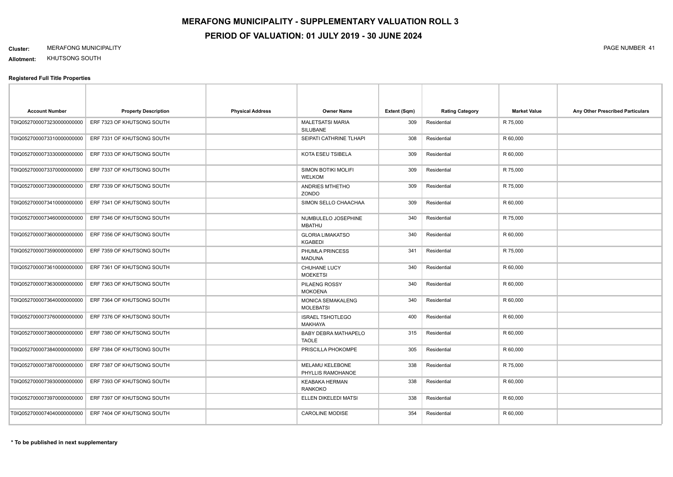#### **Cluster:** MERAFONG MUNICIPALITY PAGE NUMBER 41

**Allotment:** KHUTSONG SOUTH

| <b>Account Number</b>      | <b>Property Description</b> | <b>Physical Address</b> | <b>Owner Name</b>                           | Extent (Sqm) | <b>Rating Category</b> | <b>Market Value</b> | Any Other Prescribed Particulars |
|----------------------------|-----------------------------|-------------------------|---------------------------------------------|--------------|------------------------|---------------------|----------------------------------|
| T0IQ0527000073230000000000 | ERF 7323 OF KHUTSONG SOUTH  |                         | <b>MALETSATSI MARIA</b><br><b>SILUBANE</b>  | 309          | Residential            | R 75,000            |                                  |
| T0IQ0527000073310000000000 | ERF 7331 OF KHUTSONG SOUTH  |                         | SEIPATI CATHRINE TLHAPI                     | 308          | Residential            | R 60,000            |                                  |
| T0IQ0527000073330000000000 | ERF 7333 OF KHUTSONG SOUTH  |                         | KOTA ESEU TSIBELA                           | 309          | Residential            | R 60,000            |                                  |
| T0IQ0527000073370000000000 | ERF 7337 OF KHUTSONG SOUTH  |                         | SIMON BOTIKI MOLIFI<br><b>WELKOM</b>        | 309          | Residential            | R 75,000            |                                  |
| T0IQ0527000073390000000000 | ERF 7339 OF KHUTSONG SOUTH  |                         | ANDRIES MTHETHO<br>ZONDO                    | 309          | Residential            | R 75,000            |                                  |
| T0IQ0527000073410000000000 | ERF 7341 OF KHUTSONG SOUTH  |                         | SIMON SELLO CHAACHAA                        | 309          | Residential            | R 60,000            |                                  |
| T0IQ0527000073460000000000 | ERF 7346 OF KHUTSONG SOUTH  |                         | NUMBULELO JOSEPHINE<br><b>MBATHU</b>        | 340          | Residential            | R 75,000            |                                  |
| T0IQ0527000073600000000000 | ERF 7356 OF KHUTSONG SOUTH  |                         | <b>GLORIA LIMAKATSO</b><br><b>KGABEDI</b>   | 340          | Residential            | R 60,000            |                                  |
| T0IQ0527000073590000000000 | ERF 7359 OF KHUTSONG SOUTH  |                         | PHUMLA PRINCESS<br><b>MADUNA</b>            | 341          | Residential            | R 75,000            |                                  |
| T0IQ0527000073610000000000 | ERF 7361 OF KHUTSONG SOUTH  |                         | CHUHANE LUCY<br><b>MOEKETSI</b>             | 340          | Residential            | R 60,000            |                                  |
| T0IQ0527000073630000000000 | ERF 7363 OF KHUTSONG SOUTH  |                         | PILAENG ROSSY<br><b>MOKOENA</b>             | 340          | Residential            | R 60,000            |                                  |
| T0IQ0527000073640000000000 | ERF 7364 OF KHUTSONG SOUTH  |                         | MONICA SEMAKALENG<br><b>MOLEBATSI</b>       | 340          | Residential            | R 60,000            |                                  |
| T0IQ0527000073760000000000 | ERF 7376 OF KHUTSONG SOUTH  |                         | <b>ISRAEL TSHOTLEGO</b><br><b>MAKHAYA</b>   | 400          | Residential            | R 60,000            |                                  |
| T0IQ0527000073800000000000 | ERF 7380 OF KHUTSONG SOUTH  |                         | BABY DEBRA MATHAPELO<br><b>TAOLE</b>        | 315          | Residential            | R 60,000            |                                  |
| T0IQ0527000073840000000000 | ERF 7384 OF KHUTSONG SOUTH  |                         | PRISCILLA PHOKOMPE                          | 305          | Residential            | R 60,000            |                                  |
| T0IQ0527000073870000000000 | ERF 7387 OF KHUTSONG SOUTH  |                         | <b>MELAMU KELEBONE</b><br>PHYLLIS RAMOHANOE | 338          | Residential            | R 75,000            |                                  |
| T0IQ0527000073930000000000 | ERF 7393 OF KHUTSONG SOUTH  |                         | <b>KEABAKA HERMAN</b><br><b>RANKOKO</b>     | 338          | Residential            | R 60,000            |                                  |
| T0IQ0527000073970000000000 | ERF 7397 OF KHUTSONG SOUTH  |                         | ELLEN DIKELEDI MATSI                        | 338          | Residential            | R 60,000            |                                  |
| T0IQ0527000074040000000000 | ERF 7404 OF KHUTSONG SOUTH  |                         | <b>CAROLINE MODISE</b>                      | 354          | Residential            | R 60,000            |                                  |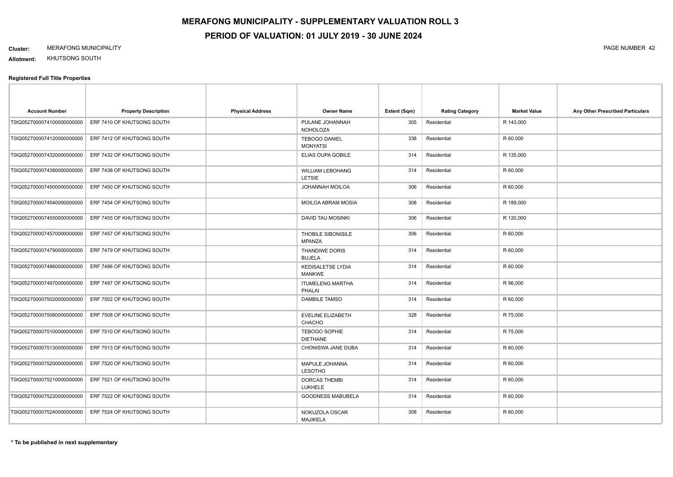### **Cluster:** MERAFONG MUNICIPALITY PAGE NUMBER 42

**Allotment:** KHUTSONG SOUTH

| <b>Account Number</b>      | <b>Property Description</b> | <b>Physical Address</b> | <b>Owner Name</b>                         | Extent (Sqm) | <b>Rating Category</b> | <b>Market Value</b> | Any Other Prescribed Particulars |
|----------------------------|-----------------------------|-------------------------|-------------------------------------------|--------------|------------------------|---------------------|----------------------------------|
| T0IQ0527000074100000000000 | ERF 7410 OF KHUTSONG SOUTH  |                         | PULANE JOHANNAH<br><b>NOHOLOZA</b>        | 305          | Residential            | R 143,000           |                                  |
| T0IQ0527000074120000000000 | ERF 7412 OF KHUTSONG SOUTH  |                         | <b>TEBOGO DANIEL</b><br><b>MONYATSI</b>   | 338          | Residential            | R 60,000            |                                  |
| T0IQ0527000074320000000000 | ERF 7432 OF KHUTSONG SOUTH  |                         | ELIAS OUPA GOBILE                         | 314          | Residential            | R 135,000           |                                  |
| T0IQ0527000074380000000000 | ERF 7438 OF KHUTSONG SOUTH  |                         | <b>WILLIAM LEBOHANG</b><br><b>LETSIE</b>  | 314          | Residential            | R 60,000            |                                  |
| T0IQ0527000074500000000000 | ERF 7450 OF KHUTSONG SOUTH  |                         | JOHANNAH MOILOA                           | 306          | Residential            | R 60,000            |                                  |
| T0IQ0527000074540000000000 | ERF 7454 OF KHUTSONG SOUTH  |                         | MOILOA ABRAM MOSIA                        | 308          | Residential            | R 189,000           |                                  |
| T0IQ0527000074550000000000 | ERF 7455 OF KHUTSONG SOUTH  |                         | DAVID TAU MOSINKI                         | 306          | Residential            | R 120,000           |                                  |
| T0IQ0527000074570000000000 | ERF 7457 OF KHUTSONG SOUTH  |                         | THOBILE SIBONISILE<br><b>MPANZA</b>       | 306          | Residential            | R 60,000            |                                  |
| T0IQ0527000074790000000000 | ERF 7479 OF KHUTSONG SOUTH  |                         | THANDIWE DORIS<br><b>BUJELA</b>           | 314          | Residential            | R 60,000            |                                  |
| T0IQ0527000074860000000000 | ERF 7486 OF KHUTSONG SOUTH  |                         | <b>KEDISALETSE LYDIA</b><br><b>MANKWE</b> | 314          | Residential            | R 60,000            |                                  |
| T0IQ0527000074970000000000 | ERF 7497 OF KHUTSONG SOUTH  |                         | <b>ITUMELENG MARTHA</b><br>PHALAI         | 314          | Residential            | R 96,000            |                                  |
| T0IQ0527000075020000000000 | ERF 7502 OF KHUTSONG SOUTH  |                         | <b>DAMBILE TAMSO</b>                      | 314          | Residential            | R 60,000            |                                  |
| T0IQ0527000075080000000000 | ERF 7508 OF KHUTSONG SOUTH  |                         | EVELINE ELIZABETH<br><b>CHACHO</b>        | 328          | Residential            | R 75,000            |                                  |
| T0IQ0527000075100000000000 | ERF 7510 OF KHUTSONG SOUTH  |                         | <b>TEBOGO SOPHIE</b><br><b>DIETHANE</b>   | 314          | Residential            | R 75,000            |                                  |
| T0IQ0527000075130000000000 | ERF 7513 OF KHUTSONG SOUTH  |                         | <b>CHONISWA JANE DUBA</b>                 | 314          | Residential            | R 60,000            |                                  |
| T0IQ0527000075200000000000 | ERF 7520 OF KHUTSONG SOUTH  |                         | MAPULE JOHANNA<br><b>LESOTHO</b>          | 314          | Residential            | R 60,000            |                                  |
| T0IQ0527000075210000000000 | ERF 7521 OF KHUTSONG SOUTH  |                         | <b>DORCAS THEMBI</b><br><b>LUKHELE</b>    | 314          | Residential            | R 60,000            |                                  |
| T0IQ0527000075220000000000 | ERF 7522 OF KHUTSONG SOUTH  |                         | GOODNESS MABUBELA                         | 314          | Residential            | R 60,000            |                                  |
| T0IQ0527000075240000000000 | ERF 7524 OF KHUTSONG SOUTH  |                         | NOKUZOLA OSCAR<br><b>MAJIKELA</b>         | 308          | Residential            | R 60,000            |                                  |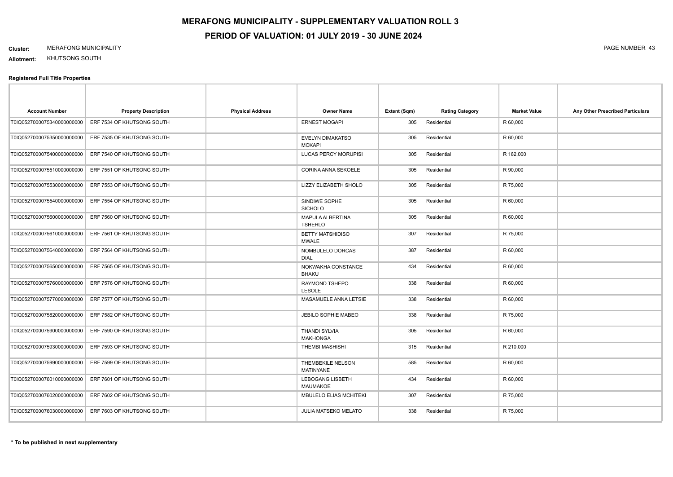**Allotment:** KHUTSONG SOUTH

| <b>Account Number</b>       | <b>Property Description</b> | <b>Physical Address</b> | <b>Owner Name</b>                       | Extent (Sqm) | <b>Rating Category</b> | <b>Market Value</b> | Any Other Prescribed Particulars |
|-----------------------------|-----------------------------|-------------------------|-----------------------------------------|--------------|------------------------|---------------------|----------------------------------|
| T0IQ0527000075340000000000  | ERF 7534 OF KHUTSONG SOUTH  |                         | <b>ERNEST MOGAPI</b>                    | 305          | Residential            | R 60,000            |                                  |
| T0IQ0527000075350000000000  | ERF 7535 OF KHUTSONG SOUTH  |                         | EVELYN DIMAKATSO<br><b>MOKAPI</b>       | 305          | Residential            | R 60,000            |                                  |
| T0IQ0527000075400000000000  | ERF 7540 OF KHUTSONG SOUTH  |                         | LUCAS PERCY MORUPISI                    | 305          | Residential            | R 182,000           |                                  |
| T0IQ0527000075510000000000  | ERF 7551 OF KHUTSONG SOUTH  |                         | CORINA ANNA SEKOELE                     | 305          | Residential            | R 90,000            |                                  |
| T0IQ0527000075530000000000  | ERF 7553 OF KHUTSONG SOUTH  |                         | <b>LIZZY ELIZABETH SHOLO</b>            | 305          | Residential            | R 75,000            |                                  |
| T0IQ0527000075540000000000  | ERF 7554 OF KHUTSONG SOUTH  |                         | SINDIWE SOPHE<br><b>SICHOLO</b>         | 305          | Residential            | R 60,000            |                                  |
| T0IQ0527000075600000000000  | ERF 7560 OF KHUTSONG SOUTH  |                         | MAPULA ALBERTINA<br><b>TSHEHLO</b>      | 305          | Residential            | R 60,000            |                                  |
| T0IQ0527000075610000000000  | ERF 7561 OF KHUTSONG SOUTH  |                         | <b>BETTY MATSHIDISO</b><br><b>MWALE</b> | 307          | Residential            | R 75,000            |                                  |
| T0IQ0527000075640000000000  | ERF 7564 OF KHUTSONG SOUTH  |                         | NOMBULELO DORCAS<br><b>DIAL</b>         | 387          | Residential            | R 60,000            |                                  |
| T0IQ0527000075650000000000  | ERF 7565 OF KHUTSONG SOUTH  |                         | NOKWAKHA CONSTANCE<br><b>BHAKU</b>      | 434          | Residential            | R 60,000            |                                  |
| T0IQ0527000075760000000000  | ERF 7576 OF KHUTSONG SOUTH  |                         | RAYMOND TSHEPO<br><b>LESOLE</b>         | 338          | Residential            | R 60,000            |                                  |
| T0IQ0527000075770000000000  | ERF 7577 OF KHUTSONG SOUTH  |                         | MASAMUELE ANNA LETSIE                   | 338          | Residential            | R 60,000            |                                  |
| T0IQ0527000075820000000000  | ERF 7582 OF KHUTSONG SOUTH  |                         | JEBILO SOPHIE MABEO                     | 338          | Residential            | R 75,000            |                                  |
| T0IQ0527000075900000000000  | ERF 7590 OF KHUTSONG SOUTH  |                         | <b>THANDI SYLVIA</b><br><b>MAKHONGA</b> | 305          | Residential            | R 60,000            |                                  |
| T0IQ0527000075930000000000  | ERF 7593 OF KHUTSONG SOUTH  |                         | <b>THEMBI MASHISHI</b>                  | 315          | Residential            | R 210,000           |                                  |
| T0IQ0527000075990000000000  | ERF 7599 OF KHUTSONG SOUTH  |                         | THEMBEKILE NELSON<br><b>MATINYANE</b>   | 585          | Residential            | R 60,000            |                                  |
| T0IQ0527000076010000000000  | ERF 7601 OF KHUTSONG SOUTH  |                         | LEBOGANG LISBETH<br>MAUMAKOE            | 434          | Residential            | R 60,000            |                                  |
| T0IQ0527000076020000000000  | ERF 7602 OF KHUTSONG SOUTH  |                         | MBULELO ELIAS MCHITEKI                  | 307          | Residential            | R 75,000            |                                  |
| T0IQ05270000760300000000000 | ERF 7603 OF KHUTSONG SOUTH  |                         | <b>JULIA MATSEKO MELATO</b>             | 338          | Residential            | R 75,000            |                                  |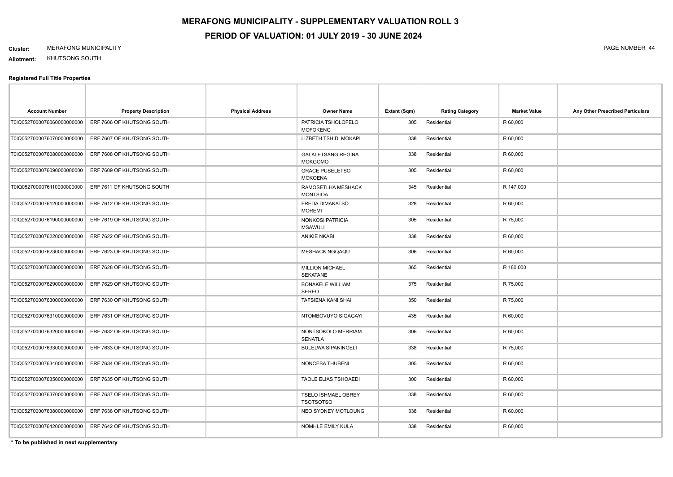#### **Cluster:** MERAFONG MUNICIPALITY PAGE NUMBER 44

**Allotment:** KHUTSONG SOUTH

#### **Registered Full Title Properties**

| <b>Account Number</b>       | <b>Property Description</b> | <b>Physical Address</b> | <b>Owner Name</b>                              | Extent (Sqm) | <b>Rating Category</b> | <b>Market Value</b> | Any Other Prescribed Particulars |
|-----------------------------|-----------------------------|-------------------------|------------------------------------------------|--------------|------------------------|---------------------|----------------------------------|
| T0IQ0527000076060000000000  | ERF 7606 OF KHUTSONG SOUTH  |                         | PATRICIA TSHOLOFELO<br><b>MOFOKENG</b>         | 305          | Residential            | R 60,000            |                                  |
| T0IQ0527000076070000000000  | ERF 7607 OF KHUTSONG SOUTH  |                         | LIZBETH TSHIDI MOKAPI                          | 338          | Residential            | R 60,000            |                                  |
| T0IQ0527000076080000000000  | ERF 7608 OF KHUTSONG SOUTH  |                         | <b>GALALETSANG REGINA</b><br><b>MOKGOMO</b>    | 338          | Residential            | R 60,000            |                                  |
| T0IQ05270000760900000000000 | ERF 7609 OF KHUTSONG SOUTH  |                         | <b>GRACE PUSELETSO</b><br><b>MOKOENA</b>       | 305          | Residential            | R 60,000            |                                  |
| T0IQ05270000761100000000000 | ERF 7611 OF KHUTSONG SOUTH  |                         | RAMOSETLHA MESHACK<br><b>MONTSIOA</b>          | 345          | Residential            | R 147,000           |                                  |
| T0IQ0527000076120000000000  | ERF 7612 OF KHUTSONG SOUTH  |                         | FREDA DIMAKATSO<br><b>MOREMI</b>               | 328          | Residential            | R 60,000            |                                  |
| T0IQ0527000076190000000000  | ERF 7619 OF KHUTSONG SOUTH  |                         | NONKOSI PATRICIA<br><b>MSAWULI</b>             | 305          | Residential            | R 75,000            |                                  |
| T0IQ0527000076220000000000  | ERF 7622 OF KHUTSONG SOUTH  |                         | <b>ANIKIE NKABI</b>                            | 338          | Residential            | R 60,000            |                                  |
| T0IQ0527000076230000000000  | ERF 7623 OF KHUTSONG SOUTH  |                         | <b>MESHACK NGQAQU</b>                          | 306          | Residential            | R 60,000            |                                  |
| T0IQ0527000076280000000000  | ERF 7628 OF KHUTSONG SOUTH  |                         | <b>MILLION MICHAEL</b><br><b>SEKATANE</b>      | 365          | Residential            | R 180,000           |                                  |
| T0IQ0527000076290000000000  | ERF 7629 OF KHUTSONG SOUTH  |                         | <b>BONAKELE WILLIAM</b><br><b>SEREO</b>        | 375          | Residential            | R 75,000            |                                  |
| T0IQ0527000076300000000000  | ERF 7630 OF KHUTSONG SOUTH  |                         | TAFSIENA KANI SHAI                             | 350          | Residential            | R 75,000            |                                  |
| T0IQ0527000076310000000000  | ERF 7631 OF KHUTSONG SOUTH  |                         | NTOMBOVUYO SIGAGAYI                            | 435          | Residential            | R 60,000            |                                  |
| T0IQ0527000076320000000000  | ERF 7632 OF KHUTSONG SOUTH  |                         | NONTSOKOLO MERRIAM<br>SENATLA                  | 306          | Residential            | R 60,000            |                                  |
| T0IQ0527000076330000000000  | ERF 7633 OF KHUTSONG SOUTH  |                         | <b>BULELWA SIPANINGELI</b>                     | 338          | Residential            | R 75,000            |                                  |
| T0IQ0527000076340000000000  | ERF 7634 OF KHUTSONG SOUTH  |                         | NONCEBA THUBENI                                | 305          | Residential            | R 60,000            |                                  |
| T0IQ0527000076350000000000  | ERF 7635 OF KHUTSONG SOUTH  |                         | <b>TAOLE ELIAS TSHOAEDI</b>                    | 300          | Residential            | R 60,000            |                                  |
| T0IQ0527000076370000000000  | ERF 7637 OF KHUTSONG SOUTH  |                         | <b>TSELO ISHMAEL OBREY</b><br><b>TSOTSOTSO</b> | 338          | Residential            | R 60,000            |                                  |
| T0IQ0527000076380000000000  | ERF 7638 OF KHUTSONG SOUTH  |                         | NEO SYDNEY MOTLOUNG                            | 338          | Residential            | R 60,000            |                                  |
| T0IQ0527000076420000000000  | ERF 7642 OF KHUTSONG SOUTH  |                         | NOMHLE EMILY KULA                              | 338          | Residential            | R 60,000            |                                  |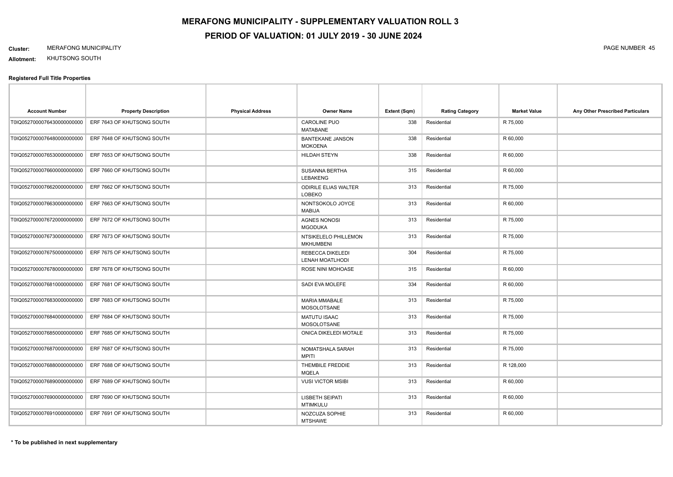### **Cluster:** MERAFONG MUNICIPALITY PAGE NUMBER 45

**Allotment:** KHUTSONG SOUTH

| <b>Account Number</b>       | <b>Property Description</b> | <b>Physical Address</b> | <b>Owner Name</b>                            | Extent (Sqm) | <b>Rating Category</b> | <b>Market Value</b> | Any Other Prescribed Particulars |
|-----------------------------|-----------------------------|-------------------------|----------------------------------------------|--------------|------------------------|---------------------|----------------------------------|
| T0IQ0527000076430000000000  | ERF 7643 OF KHUTSONG SOUTH  |                         | CAROLINE PUO<br><b>MATABANE</b>              | 338          | Residential            | R 75,000            |                                  |
| T0IQ0527000076480000000000  | ERF 7648 OF KHUTSONG SOUTH  |                         | <b>BANTEKANE JANSON</b><br><b>MOKOENA</b>    | 338          | Residential            | R 60,000            |                                  |
| T0IQ0527000076530000000000  | ERF 7653 OF KHUTSONG SOUTH  |                         | <b>HILDAH STEYN</b>                          | 338          | Residential            | R 60,000            |                                  |
| T0IQ0527000076600000000000  | ERF 7660 OF KHUTSONG SOUTH  |                         | <b>SUSANNA BERTHA</b><br>LEBAKENG            | 315          | Residential            | R 60,000            |                                  |
| T0IQ0527000076620000000000  | ERF 7662 OF KHUTSONG SOUTH  |                         | <b>ODIRILE ELIAS WALTER</b><br><b>LOBEKO</b> | 313          | Residential            | R 75,000            |                                  |
| T0IQ0527000076630000000000  | ERF 7663 OF KHUTSONG SOUTH  |                         | NONTSOKOLO JOYCE<br><b>MABIJA</b>            | 313          | Residential            | R 60,000            |                                  |
| T0IQ0527000076720000000000  | ERF 7672 OF KHUTSONG SOUTH  |                         | <b>AGNES NONOSI</b><br><b>MGODUKA</b>        | 313          | Residential            | R 75,000            |                                  |
| T0IQ0527000076730000000000  | ERF 7673 OF KHUTSONG SOUTH  |                         | NTSIKELELO PHILLEMON<br><b>MKHUMBENI</b>     | 313          | Residential            | R 75,000            |                                  |
| T0IQ0527000076750000000000  | ERF 7675 OF KHUTSONG SOUTH  |                         | <b>REBECCA DIKELEDI</b><br>LENAH MOATLHODI   | 304          | Residential            | R 75,000            |                                  |
| T0IQ0527000076780000000000  | ERF 7678 OF KHUTSONG SOUTH  |                         | ROSE NINI MOHOASE                            | 315          | Residential            | R 60,000            |                                  |
| T0IQ0527000076810000000000  | ERF 7681 OF KHUTSONG SOUTH  |                         | SADI EVA MOLEFE                              | 334          | Residential            | R 60,000            |                                  |
| T0IQ0527000076830000000000  | ERF 7683 OF KHUTSONG SOUTH  |                         | <b>MARIA MMABALE</b><br>MOSOLOTSANE          | 313          | Residential            | R 75,000            |                                  |
| T0IQ0527000076840000000000  | ERF 7684 OF KHUTSONG SOUTH  |                         | <b>MATUTU ISAAC</b><br>MOSOLOTSANE           | 313          | Residential            | R 75,000            |                                  |
| T0IQ0527000076850000000000  | ERF 7685 OF KHUTSONG SOUTH  |                         | ONICA DIKELEDI MOTALE                        | 313          | Residential            | R 75,000            |                                  |
| T0IQ0527000076870000000000  | ERF 7687 OF KHUTSONG SOUTH  |                         | NOMATSHALA SARAH<br><b>MPITI</b>             | 313          | Residential            | R 75,000            |                                  |
| T0IQ0527000076880000000000  | ERF 7688 OF KHUTSONG SOUTH  |                         | THEMBILE FREDDIE<br><b>MQELA</b>             | 313          | Residential            | R 128,000           |                                  |
| T0IQ0527000076890000000000  | ERF 7689 OF KHUTSONG SOUTH  |                         | <b>VUSI VICTOR MSIBI</b>                     | 313          | Residential            | R 60,000            |                                  |
| T0IQ05270000769000000000000 | ERF 7690 OF KHUTSONG SOUTH  |                         | <b>LISBETH SEIPATI</b><br><b>MTIMKULU</b>    | 313          | Residential            | R 60,000            |                                  |
| T0IQ0527000076910000000000  | ERF 7691 OF KHUTSONG SOUTH  |                         | NOZCUZA SOPHIE<br><b>MTSHAWE</b>             | 313          | Residential            | R 60,000            |                                  |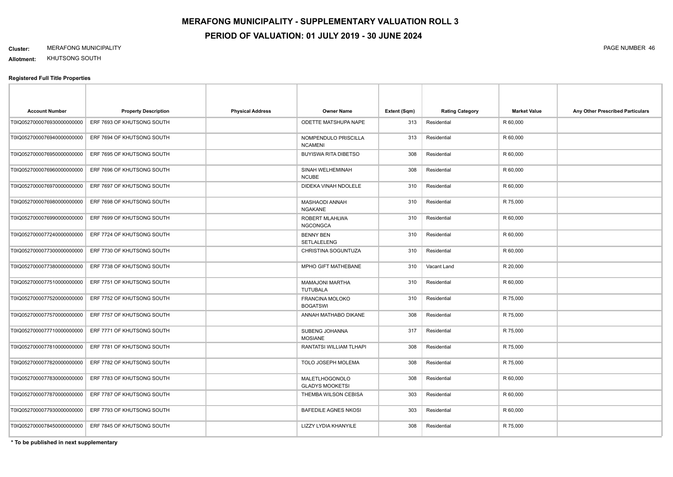#### **Cluster:** MERAFONG MUNICIPALITY PAGE NUMBER 46

**Allotment:** KHUTSONG SOUTH

#### **Registered Full Title Properties**

| <b>Account Number</b>       | <b>Property Description</b> | <b>Physical Address</b> | <b>Owner Name</b>                        | Extent (Sqm) | <b>Rating Category</b> | <b>Market Value</b> | Any Other Prescribed Particulars |
|-----------------------------|-----------------------------|-------------------------|------------------------------------------|--------------|------------------------|---------------------|----------------------------------|
| T0IQ0527000076930000000000  | ERF 7693 OF KHUTSONG SOUTH  |                         | ODETTE MATSHUPA NAPE                     | 313          | Residential            | R 60,000            |                                  |
| T0IQ0527000076940000000000  | ERF 7694 OF KHUTSONG SOUTH  |                         | NOMPENDULO PRISCILLA<br><b>NCAMENI</b>   | 313          | Residential            | R 60,000            |                                  |
| T0IQ0527000076950000000000  | ERF 7695 OF KHUTSONG SOUTH  |                         | <b>BUYISWA RITA DIBETSO</b>              | 308          | Residential            | R 60,000            |                                  |
| T0IQ0527000076960000000000  | ERF 7696 OF KHUTSONG SOUTH  |                         | SINAH WELHEMINAH<br><b>NCUBE</b>         | 308          | Residential            | R 60,000            |                                  |
| T0IQ0527000076970000000000  | ERF 7697 OF KHUTSONG SOUTH  |                         | DIDEKA VINAH NDOLELE                     | 310          | Residential            | R 60,000            |                                  |
| T0IQ0527000076980000000000  | ERF 7698 OF KHUTSONG SOUTH  |                         | MASHAODI ANNAH<br><b>NGAKANE</b>         | 310          | Residential            | R 75,000            |                                  |
| T0IQ05270000769900000000000 | ERF 7699 OF KHUTSONG SOUTH  |                         | ROBERT MLAHLWA<br><b>NGCONGCA</b>        | 310          | Residential            | R 60,000            |                                  |
| T0IQ0527000077240000000000  | ERF 7724 OF KHUTSONG SOUTH  |                         | <b>BENNY BEN</b><br>SETLALELENG          | 310          | Residential            | R 60,000            |                                  |
| T0IQ0527000077300000000000  | ERF 7730 OF KHUTSONG SOUTH  |                         | CHRISTINA SOGUNTUZA                      | 310          | Residential            | R 60,000            |                                  |
| T0IQ0527000077380000000000  | ERF 7738 OF KHUTSONG SOUTH  |                         | MPHO GIFT MATHEBANE                      | 310          | Vacant Land            | R 20,000            |                                  |
| T0IQ0527000077510000000000  | ERF 7751 OF KHUTSONG SOUTH  |                         | <b>MAMAJONI MARTHA</b><br>TUTUBALA       | 310          | Residential            | R 60,000            |                                  |
| T0IQ0527000077520000000000  | ERF 7752 OF KHUTSONG SOUTH  |                         | FRANCINA MOLOKO<br><b>BOGATSWI</b>       | 310          | Residential            | R 75,000            |                                  |
| T0IQ0527000077570000000000  | ERF 7757 OF KHUTSONG SOUTH  |                         | ANNAH MATHABO DIKANE                     | 308          | Residential            | R 75,000            |                                  |
| T0IQ0527000077710000000000  | ERF 7771 OF KHUTSONG SOUTH  |                         | SUBENG JOHANNA<br><b>MOSIANE</b>         | 317          | Residential            | R 75,000            |                                  |
| T0IQ0527000077810000000000  | ERF 7781 OF KHUTSONG SOUTH  |                         | RANTATSI WILLIAM TLHAPI                  | 308          | Residential            | R 75,000            |                                  |
| T0IQ0527000077820000000000  | ERF 7782 OF KHUTSONG SOUTH  |                         | TOLO JOSEPH MOLEMA                       | 308          | Residential            | R 75,000            |                                  |
| T0IQ0527000077830000000000  | ERF 7783 OF KHUTSONG SOUTH  |                         | MALETLHOGONOLO<br><b>GLADYS MOOKETSI</b> | 308          | Residential            | R 60,000            |                                  |
| T0IQ0527000077870000000000  | ERF 7787 OF KHUTSONG SOUTH  |                         | THEMBA WILSON CEBISA                     | 303          | Residential            | R 60,000            |                                  |
| T0IQ0527000077930000000000  | ERF 7793 OF KHUTSONG SOUTH  |                         | <b>BAFEDILE AGNES NKOSI</b>              | 303          | Residential            | R 60,000            |                                  |
| T0IQ0527000078450000000000  | ERF 7845 OF KHUTSONG SOUTH  |                         | LIZZY LYDIA KHANYILE                     | 308          | Residential            | R 75,000            |                                  |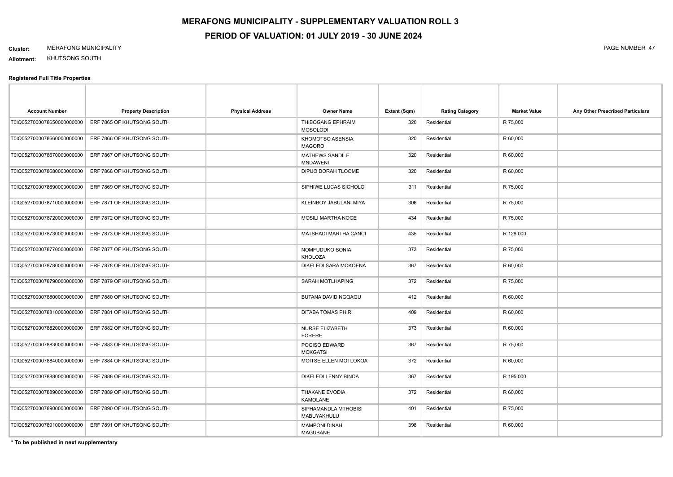#### **Cluster:** MERAFONG MUNICIPALITY PAGE NUMBER 47

**Allotment:** KHUTSONG SOUTH

#### **Registered Full Title Properties**

| <b>Account Number</b>      | <b>Property Description</b> | <b>Physical Address</b> | Owner Name                                | Extent (Sqm) | <b>Rating Category</b> | <b>Market Value</b> | Any Other Prescribed Particulars |
|----------------------------|-----------------------------|-------------------------|-------------------------------------------|--------------|------------------------|---------------------|----------------------------------|
| T0IQ0527000078650000000000 | ERF 7865 OF KHUTSONG SOUTH  |                         | THIBOGANG EPHRAIM<br><b>MOSOLODI</b>      | 320          | Residential            | R 75,000            |                                  |
| T0IQ0527000078660000000000 | ERF 7866 OF KHUTSONG SOUTH  |                         | KHOMOTSO ASENSIA<br><b>MAGORO</b>         | 320          | Residential            | R 60,000            |                                  |
| T0IQ0527000078670000000000 | ERF 7867 OF KHUTSONG SOUTH  |                         | <b>MATHEWS SANDILE</b><br><b>MNDAWENI</b> | 320          | Residential            | R 60,000            |                                  |
| T0IQ0527000078680000000000 | ERF 7868 OF KHUTSONG SOUTH  |                         | DIPUO DORAH TLOOME                        | 320          | Residential            | R 60,000            |                                  |
| T0IQ0527000078690000000000 | ERF 7869 OF KHUTSONG SOUTH  |                         | SIPHIWE LUCAS SICHOLO                     | 311          | Residential            | R 75,000            |                                  |
| T0IQ0527000078710000000000 | ERF 7871 OF KHUTSONG SOUTH  |                         | KLEINBOY JABULANI MIYA                    | 306          | Residential            | R 75,000            |                                  |
| T0IQ0527000078720000000000 | ERF 7872 OF KHUTSONG SOUTH  |                         | <b>MOSILI MARTHA NOGE</b>                 | 434          | Residential            | R 75,000            |                                  |
| T0IQ0527000078730000000000 | ERF 7873 OF KHUTSONG SOUTH  |                         | MATSHADI MARTHA CANCI                     | 435          | Residential            | R 128,000           |                                  |
| T0IQ0527000078770000000000 | ERF 7877 OF KHUTSONG SOUTH  |                         | NOMFUDUKO SONIA<br>KHOLOZA                | 373          | Residential            | R 75,000            |                                  |
| T0IQ0527000078780000000000 | ERF 7878 OF KHUTSONG SOUTH  |                         | DIKELEDI SARA MOKOENA                     | 367          | Residential            | R 60,000            |                                  |
| T0IQ0527000078790000000000 | ERF 7879 OF KHUTSONG SOUTH  |                         | SARAH MOTLHAPING                          | 372          | Residential            | R 75,000            |                                  |
| T0IQ0527000078800000000000 | ERF 7880 OF KHUTSONG SOUTH  |                         | BUTANA DAVID NGQAQU                       | 412          | Residential            | R 60,000            |                                  |
| T0IQ0527000078810000000000 | ERF 7881 OF KHUTSONG SOUTH  |                         | DITABA TOMAS PHIRI                        | 409          | Residential            | R 60,000            |                                  |
| T0IQ0527000078820000000000 | ERF 7882 OF KHUTSONG SOUTH  |                         | NURSE ELIZABETH<br><b>FORERE</b>          | 373          | Residential            | R 60,000            |                                  |
| T0IQ0527000078830000000000 | ERF 7883 OF KHUTSONG SOUTH  |                         | POGISO EDWARD<br><b>MOKGATSI</b>          | 367          | Residential            | R 75,000            |                                  |
| T0IQ0527000078840000000000 | ERF 7884 OF KHUTSONG SOUTH  |                         | MOITSE ELLEN MOTLOKOA                     | 372          | Residential            | R 60,000            |                                  |
| T0IQ0527000078880000000000 | ERF 7888 OF KHUTSONG SOUTH  |                         | DIKELEDI LENNY BINDA                      | 367          | Residential            | R 195,000           |                                  |
| T0IQ0527000078890000000000 | ERF 7889 OF KHUTSONG SOUTH  |                         | THAKANE EVODIA<br>KAMOLANE                | 372          | Residential            | R 60,000            |                                  |
| T0IQ0527000078900000000000 | ERF 7890 OF KHUTSONG SOUTH  |                         | SIPHAMANDLA MTHOBISI<br>MABUYAKHULU       | 401          | Residential            | R 75,000            |                                  |
| T0IQ0527000078910000000000 | ERF 7891 OF KHUTSONG SOUTH  |                         | <b>MAMPONI DINAH</b><br><b>MAGUBANE</b>   | 398          | Residential            | R 60,000            |                                  |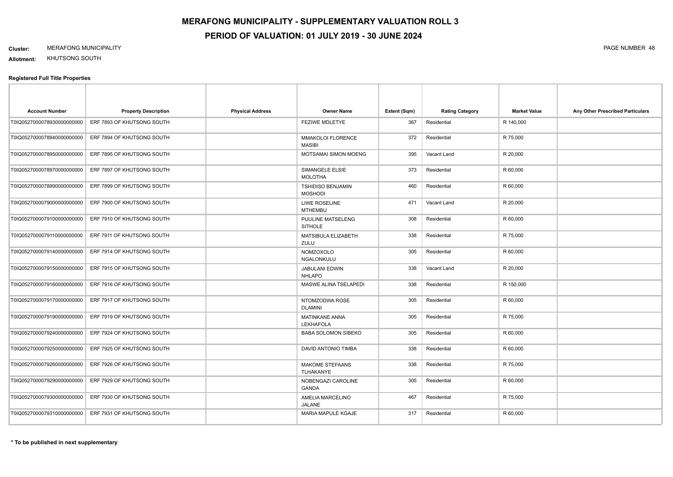#### **Cluster:** MERAFONG MUNICIPALITY PAGE NUMBER 48

**Allotment:** KHUTSONG SOUTH

| <b>Account Number</b>      | <b>Property Description</b> | <b>Physical Address</b> | <b>Owner Name</b>                          | Extent (Sqm) | <b>Rating Category</b> | <b>Market Value</b> | Any Other Prescribed Particulars |
|----------------------------|-----------------------------|-------------------------|--------------------------------------------|--------------|------------------------|---------------------|----------------------------------|
| T0IQ0527000078930000000000 | ERF 7893 OF KHUTSONG SOUTH  |                         | <b>FEZIWE MDLETYE</b>                      | 367          | Residential            | R 140,000           |                                  |
| T0IQ0527000078940000000000 | ERF 7894 OF KHUTSONG SOUTH  |                         | <b>MMAKOLOI FLORENCE</b><br><b>MASIBI</b>  | 372          | Residential            | R 75,000            |                                  |
| T0IQ0527000078950000000000 | ERF 7895 OF KHUTSONG SOUTH  |                         | MOTSAMAI SIMON MOENG                       | 395          | Vacant Land            | R 20,000            |                                  |
| T0IQ0527000078970000000000 | ERF 7897 OF KHUTSONG SOUTH  |                         | SIMANGELE ELSIE<br><b>MOLOTHA</b>          | 373          | Residential            | R 60,000            |                                  |
| T0IQ0527000078990000000000 | ERF 7899 OF KHUTSONG SOUTH  |                         | <b>TSHIDISO BENJAMIN</b><br><b>MOSHODI</b> | 460          | Residential            | R 60,000            |                                  |
| T0IQ0527000079000000000000 | ERF 7900 OF KHUTSONG SOUTH  |                         | <b>LIWE ROSELINE</b><br><b>MTHEMBU</b>     | 471          | Vacant Land            | R 20,000            |                                  |
| T0IQ0527000079100000000000 | ERF 7910 OF KHUTSONG SOUTH  |                         | PUULINE MATSELENG<br><b>SITHOLE</b>        | 308          | Residential            | R 60,000            |                                  |
| T0IQ0527000079110000000000 | ERF 7911 OF KHUTSONG SOUTH  |                         | MATSIBULA ELIZABETH<br>ZULU                | 338          | Residential            | R 75,000            |                                  |
| T0IQ0527000079140000000000 | ERF 7914 OF KHUTSONG SOUTH  |                         | NOMZOXOLO<br>NGALONKULU                    | 305          | Residential            | R 60,000            |                                  |
| T0IQ0527000079150000000000 | ERF 7915 OF KHUTSONG SOUTH  |                         | <b>JABULANI EDWIN</b><br><b>NHLAPO</b>     | 338          | Vacant Land            | R 20,000            |                                  |
| T0IQ0527000079160000000000 | ERF 7916 OF KHUTSONG SOUTH  |                         | <b>MASWE ALINA TSELAPEDI</b>               | 338          | Residential            | R 150,000           |                                  |
| T0IQ0527000079170000000000 | ERF 7917 OF KHUTSONG SOUTH  |                         | NTOMZODWA ROSE<br><b>DLAMINI</b>           | 305          | Residential            | R 60,000            |                                  |
| T0IQ0527000079190000000000 | ERF 7919 OF KHUTSONG SOUTH  |                         | MATINKANE ANNA<br><b>LEKHAFOLA</b>         | 305          | Residential            | R 75,000            |                                  |
| T0IQ0527000079240000000000 | ERF 7924 OF KHUTSONG SOUTH  |                         | <b>BABA SOLOMON SIBEKO</b>                 | 305          | Residential            | R 60,000            |                                  |
| T0IQ0527000079250000000000 | ERF 7925 OF KHUTSONG SOUTH  |                         | DAVID ANTONIO TIMBA                        | 338          | Residential            | R 60,000            |                                  |
| T0IQ0527000079260000000000 | ERF 7926 OF KHUTSONG SOUTH  |                         | <b>MAKOME STEFAANS</b><br>TLHAKANYE        | 338          | Residential            | R 75,000            |                                  |
| T0IQ0527000079290000000000 | ERF 7929 OF KHUTSONG SOUTH  |                         | NOBENGAZI CAROLINE<br><b>GANDA</b>         | 305          | Residential            | R 60,000            |                                  |
| T0IQ0527000079300000000000 | ERF 7930 OF KHUTSONG SOUTH  |                         | AMELIA MARCELINO<br><b>JALANE</b>          | 467          | Residential            | R 75,000            |                                  |
| T0IQ0527000079310000000000 | ERF 7931 OF KHUTSONG SOUTH  |                         | <b>MARIA MAPULE KGAJE</b>                  | 317          | Residential            | R 60,000            |                                  |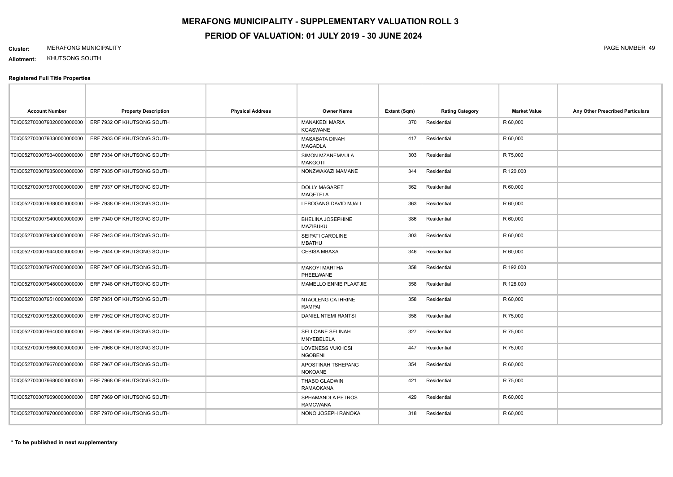#### **Cluster:** MERAFONG MUNICIPALITY PAGE NUMBER 49

**Allotment:** KHUTSONG SOUTH

| <b>Account Number</b>      | <b>Property Description</b> | <b>Physical Address</b> | <b>Owner Name</b>                        | Extent (Sqm) | <b>Rating Category</b> | <b>Market Value</b> | Any Other Prescribed Particulars |
|----------------------------|-----------------------------|-------------------------|------------------------------------------|--------------|------------------------|---------------------|----------------------------------|
| T0IQ0527000079320000000000 | ERF 7932 OF KHUTSONG SOUTH  |                         | <b>MANAKEDI MARIA</b><br><b>KGASWANE</b> | 370          | Residential            | R 60,000            |                                  |
| T0IQ0527000079330000000000 | ERF 7933 OF KHUTSONG SOUTH  |                         | MASABATA DINAH<br><b>MAGADLA</b>         | 417          | Residential            | R 60,000            |                                  |
| T0IQ0527000079340000000000 | ERF 7934 OF KHUTSONG SOUTH  |                         | SIMON MZANEMVULA<br><b>MAKGOTI</b>       | 303          | Residential            | R 75,000            |                                  |
| T0IQ0527000079350000000000 | ERF 7935 OF KHUTSONG SOUTH  |                         | NONZWAKAZI MAMANE                        | 344          | Residential            | R 120,000           |                                  |
| T0IQ0527000079370000000000 | ERF 7937 OF KHUTSONG SOUTH  |                         | <b>DOLLY MAGARET</b><br><b>MAQETELA</b>  | 362          | Residential            | R 60,000            |                                  |
| T0IQ0527000079380000000000 | ERF 7938 OF KHUTSONG SOUTH  |                         | LEBOGANG DAVID MJALI                     | 363          | Residential            | R 60,000            |                                  |
| T0IQ0527000079400000000000 | ERF 7940 OF KHUTSONG SOUTH  |                         | BHELINA JOSEPHINE<br><b>MAZIBUKU</b>     | 386          | Residential            | R 60,000            |                                  |
| T0IQ0527000079430000000000 | ERF 7943 OF KHUTSONG SOUTH  |                         | SEIPATI CAROLINE<br><b>MBATHU</b>        | 303          | Residential            | R 60,000            |                                  |
| T0IQ0527000079440000000000 | ERF 7944 OF KHUTSONG SOUTH  |                         | <b>CEBISA MBAXA</b>                      | 346          | Residential            | R 60,000            |                                  |
| T0IQ0527000079470000000000 | ERF 7947 OF KHUTSONG SOUTH  |                         | <b>MAKOYI MARTHA</b><br>PHEELWANE        | 358          | Residential            | R 192,000           |                                  |
| T0IQ0527000079480000000000 | ERF 7948 OF KHUTSONG SOUTH  |                         | MAMELLO ENNIE PLAATJIE                   | 358          | Residential            | R 128,000           |                                  |
| T0IQ0527000079510000000000 | ERF 7951 OF KHUTSONG SOUTH  |                         | NTAOLENG CATHRINE<br><b>RAMPAI</b>       | 358          | Residential            | R 60,000            |                                  |
| T0IQ0527000079520000000000 | ERF 7952 OF KHUTSONG SOUTH  |                         | <b>DANIEL NTEMI RANTSI</b>               | 358          | Residential            | R 75,000            |                                  |
| T0IQ0527000079640000000000 | ERF 7964 OF KHUTSONG SOUTH  |                         | <b>SELLOANE SELINAH</b><br>MNYEBELELA    | 327          | Residential            | R 75,000            |                                  |
| T0IQ0527000079660000000000 | ERF 7966 OF KHUTSONG SOUTH  |                         | LOVENESS VUKHOSI<br><b>NGOBENI</b>       | 447          | Residential            | R 75,000            |                                  |
| T0IQ0527000079670000000000 | ERF 7967 OF KHUTSONG SOUTH  |                         | APOSTINAH TSHEPANG<br><b>NOKOANE</b>     | 354          | Residential            | R 60,000            |                                  |
| T0IQ0527000079680000000000 | ERF 7968 OF KHUTSONG SOUTH  |                         | THABO GLADWIN<br><b>RAMAOKANA</b>        | 421          | Residential            | R 75,000            |                                  |
| T0IQ0527000079690000000000 | ERF 7969 OF KHUTSONG SOUTH  |                         | SPHAMANDLA PETROS<br><b>RAMCWANA</b>     | 429          | Residential            | R 60,000            |                                  |
| T0IQ0527000079700000000000 | ERF 7970 OF KHUTSONG SOUTH  |                         | NONO JOSEPH RANOKA                       | 318          | Residential            | R 60,000            |                                  |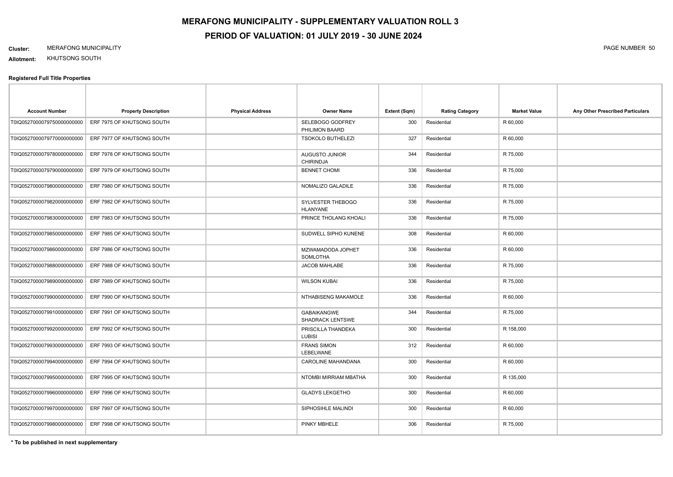#### **Cluster:** MERAFONG MUNICIPALITY PAGE NUMBER 50

**Allotment:** KHUTSONG SOUTH

#### **Registered Full Title Properties**

| <b>Account Number</b>       | <b>Property Description</b> | <b>Physical Address</b> | <b>Owner Name</b>                         | Extent (Sqm) | <b>Rating Category</b> | <b>Market Value</b> | Any Other Prescribed Particulars |
|-----------------------------|-----------------------------|-------------------------|-------------------------------------------|--------------|------------------------|---------------------|----------------------------------|
| T0IQ0527000079750000000000  | ERF 7975 OF KHUTSONG SOUTH  |                         | SELEBOGO GODFREY<br>PHILIMON BAARD        | 300          | Residential            | R 60,000            |                                  |
| T0IQ0527000079770000000000  | ERF 7977 OF KHUTSONG SOUTH  |                         | <b>TSOKOLO BUTHELEZI</b>                  | 327          | Residential            | R 60,000            |                                  |
| T0IQ0527000079780000000000  | ERF 7978 OF KHUTSONG SOUTH  |                         | <b>AUGUSTO JUNIOR</b><br><b>CHIRINDJA</b> | 344          | Residential            | R 75,000            |                                  |
| T0IQ05270000797900000000000 | ERF 7979 OF KHUTSONG SOUTH  |                         | <b>BENNET CHOMI</b>                       | 336          | Residential            | R 75,000            |                                  |
| T0IQ0527000079800000000000  | ERF 7980 OF KHUTSONG SOUTH  |                         | NOMALIZO GALADILE                         | 336          | Residential            | R 75,000            |                                  |
| T0IQ0527000079820000000000  | ERF 7982 OF KHUTSONG SOUTH  |                         | SYLVESTER THEBOGO<br><b>HLANYANE</b>      | 336          | Residential            | R 75,000            |                                  |
| T0IQ0527000079830000000000  | ERF 7983 OF KHUTSONG SOUTH  |                         | PRINCE THOLANG KHOALI                     | 336          | Residential            | R 75,000            |                                  |
| T0IQ0527000079850000000000  | ERF 7985 OF KHUTSONG SOUTH  |                         | SUDWELL SIPHO KUNENE                      | 308          | Residential            | R 60,000            |                                  |
| T0IQ0527000079860000000000  | ERF 7986 OF KHUTSONG SOUTH  |                         | MZWAMADODA JOPHET<br>SOMLOTHA             | 336          | Residential            | R 60,000            |                                  |
| T0IQ0527000079880000000000  | ERF 7988 OF KHUTSONG SOUTH  |                         | JACOB MAHLABE                             | 336          | Residential            | R 75,000            |                                  |
| T0IQ0527000079890000000000  | ERF 7989 OF KHUTSONG SOUTH  |                         | <b>WILSON KUBAI</b>                       | 336          | Residential            | R 75,000            |                                  |
| T0IQ0527000079900000000000  | ERF 7990 OF KHUTSONG SOUTH  |                         | NTHABISENG MAKAMOLE                       | 336          | Residential            | R 60,000            |                                  |
| T0IQ0527000079910000000000  | ERF 7991 OF KHUTSONG SOUTH  |                         | <b>GABAIKANGWE</b><br>SHADRACK LENTSWE    | 344          | Residential            | R 75,000            |                                  |
| T0IQ0527000079920000000000  | ERF 7992 OF KHUTSONG SOUTH  |                         | PRISCILLA THANDEKA<br><b>LUBISI</b>       | 300          | Residential            | R 158,000           |                                  |
| T0IQ05270000799300000000000 | ERF 7993 OF KHUTSONG SOUTH  |                         | <b>FRANS SIMON</b><br>LEBELWANE           | 312          | Residential            | R 60,000            |                                  |
| T0IQ0527000079940000000000  | ERF 7994 OF KHUTSONG SOUTH  |                         | CAROLINE MAHANDANA                        | 300          | Residential            | R 60,000            |                                  |
| T0IQ0527000079950000000000  | ERF 7995 OF KHUTSONG SOUTH  |                         | NTOMBI MIRRIAM MBATHA                     | 300          | Residential            | R 135,000           |                                  |
| T0IQ0527000079960000000000  | ERF 7996 OF KHUTSONG SOUTH  |                         | <b>GLADYS LEKGETHO</b>                    | 300          | Residential            | R 60,000            |                                  |
| T0IQ0527000079970000000000  | ERF 7997 OF KHUTSONG SOUTH  |                         | SIPHOSIHLE MALINDI                        | 300          | Residential            | R 60,000            |                                  |
| T0IQ0527000079980000000000  | ERF 7998 OF KHUTSONG SOUTH  |                         | PINKY MBHELE                              | 306          | Residential            | R 75,000            |                                  |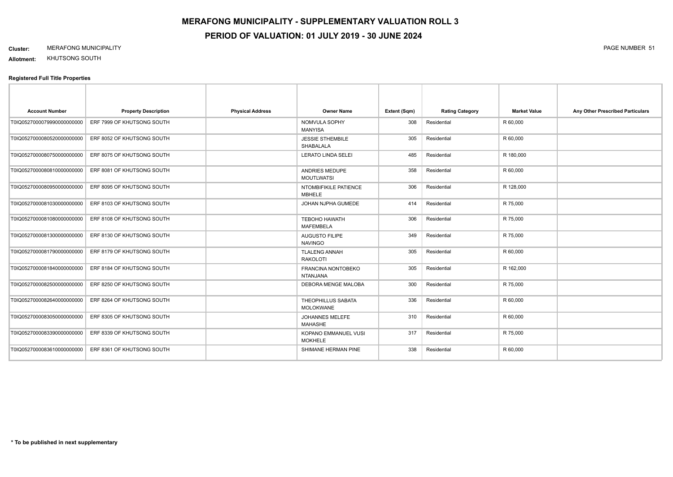### **Cluster:** MERAFONG MUNICIPALITY PAGE NUMBER 51

**Allotment:** KHUTSONG SOUTH

| <b>Account Number</b>      | <b>Property Description</b> | <b>Physical Address</b> | <b>Owner Name</b>                            | Extent (Sqm) | <b>Rating Category</b> | <b>Market Value</b> | Any Other Prescribed Particulars |
|----------------------------|-----------------------------|-------------------------|----------------------------------------------|--------------|------------------------|---------------------|----------------------------------|
| T0IQ0527000079990000000000 | ERF 7999 OF KHUTSONG SOUTH  |                         | NOMVULA SOPHY<br><b>MANYISA</b>              | 308          | Residential            | R 60,000            |                                  |
| T0IQ0527000080520000000000 | ERF 8052 OF KHUTSONG SOUTH  |                         | <b>JESSIE STHEMBILE</b><br>SHABALALA         | 305          | Residential            | R 60,000            |                                  |
| T0IQ0527000080750000000000 | ERF 8075 OF KHUTSONG SOUTH  |                         | <b>LERATO LINDA SELEI</b>                    | 485          | Residential            | R 180,000           |                                  |
| T0IQ0527000080810000000000 | ERF 8081 OF KHUTSONG SOUTH  |                         | ANDRIES MEDUPE<br><b>MOUTLWATSI</b>          | 358          | Residential            | R 60,000            |                                  |
| T0IQ0527000080950000000000 | ERF 8095 OF KHUTSONG SOUTH  |                         | NTOMBIFIKILE PATIENCE<br><b>MBHELE</b>       | 306          | Residential            | R 128,000           |                                  |
| T0IQ0527000081030000000000 | ERF 8103 OF KHUTSONG SOUTH  |                         | JOHAN NJPHA GUMEDE                           | 414          | Residential            | R 75,000            |                                  |
| T0IQ0527000081080000000000 | ERF 8108 OF KHUTSONG SOUTH  |                         | <b>TEBOHO HAWATH</b><br><b>MAFEMBELA</b>     | 306          | Residential            | R 75,000            |                                  |
| T0IQ0527000081300000000000 | ERF 8130 OF KHUTSONG SOUTH  |                         | <b>AUGUSTO FILIPE</b><br><b>NAVINGO</b>      | 349          | Residential            | R 75,000            |                                  |
| T0IQ0527000081790000000000 | ERF 8179 OF KHUTSONG SOUTH  |                         | <b>TLALENG ANNAH</b><br><b>RAKOLOTI</b>      | 305          | Residential            | R 60,000            |                                  |
| T0IQ0527000081840000000000 | ERF 8184 OF KHUTSONG SOUTH  |                         | <b>FRANCINA NONTOBEKO</b><br><b>NTANJANA</b> | 305          | Residential            | R 162,000           |                                  |
| T0IQ0527000082500000000000 | ERF 8250 OF KHUTSONG SOUTH  |                         | <b>DEBORA MENGE MALOBA</b>                   | 300          | Residential            | R 75,000            |                                  |
| T0IQ0527000082640000000000 | ERF 8264 OF KHUTSONG SOUTH  |                         | THEOPHILLUS SABATA<br><b>MOLOKWANE</b>       | 336          | Residential            | R 60,000            |                                  |
| T0IQ0527000083050000000000 | ERF 8305 OF KHUTSONG SOUTH  |                         | JOHANNES MELEFE<br><b>MAHASHE</b>            | 310          | Residential            | R 60,000            |                                  |
| T0IQ0527000083390000000000 | ERF 8339 OF KHUTSONG SOUTH  |                         | KOPANO EMMANUEL VUSI<br><b>MOKHELE</b>       | 317          | Residential            | R 75,000            |                                  |
| T0IQ0527000083610000000000 | ERF 8361 OF KHUTSONG SOUTH  |                         | SHIMANE HERMAN PINE                          | 338          | Residential            | R 60,000            |                                  |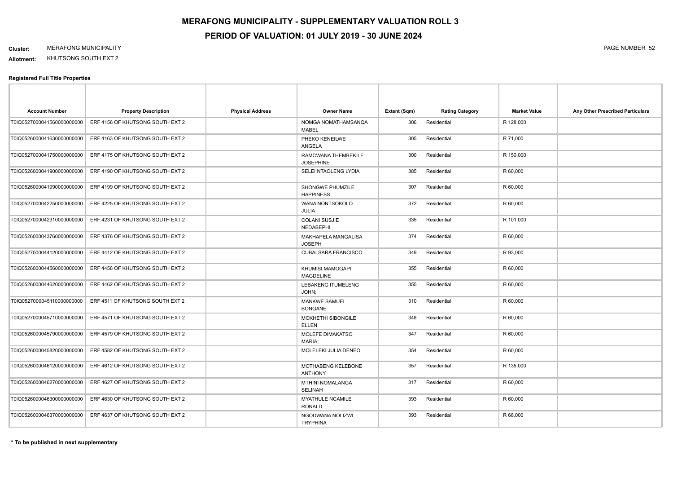**Allotment:** KHUTSONG SOUTH EXT 2

| <b>Account Number</b>       | <b>Property Description</b>      | <b>Physical Address</b> | <b>Owner Name</b>                         | Extent (Sqm) | <b>Rating Category</b> | <b>Market Value</b> | Any Other Prescribed Particulars |
|-----------------------------|----------------------------------|-------------------------|-------------------------------------------|--------------|------------------------|---------------------|----------------------------------|
| T0IQ0527000041560000000000  | ERF 4156 OF KHUTSONG SOUTH EXT 2 |                         | NOMGA NOMATHAMSANQA<br>MABEL              | 306          | Residential            | R 128,000           |                                  |
| T0IQ0526000041630000000000  | ERF 4163 OF KHUTSONG SOUTH EXT 2 |                         | PHEKO KENEILWE<br>ANGELA                  | 305          | Residential            | R 71,000            |                                  |
| T0IQ0527000041750000000000  | ERF 4175 OF KHUTSONG SOUTH EXT 2 |                         | RAMCWANA THEMBEKILE<br><b>JOSEPHINE</b>   | 300          | Residential            | R 150,000           |                                  |
| T0IQ05260000419000000000000 | ERF 4190 OF KHUTSONG SOUTH EXT 2 |                         | SELEI NTAOLENG LYDIA                      | 385          | Residential            | R 60,000            |                                  |
| T0IQ0526000041990000000000  | ERF 4199 OF KHUTSONG SOUTH EXT 2 |                         | SHONGWE PHUMZILE<br><b>HAPPINESS</b>      | 307          | Residential            | R 60,000            |                                  |
| T0IQ0527000042250000000000  | ERF 4225 OF KHUTSONG SOUTH EXT 2 |                         | WANA NONTSOKOLO<br>JULIA                  | 372          | Residential            | R 60,000            |                                  |
| T0IQ0527000042310000000000  | ERF 4231 OF KHUTSONG SOUTH EXT 2 |                         | <b>COLANI SUSJIE</b><br>NEDABEPHI         | 335          | Residential            | R 101,000           |                                  |
| T0IQ0526000043760000000000  | ERF 4376 OF KHUTSONG SOUTH EXT 2 |                         | MAKHAPELA MANGALISA<br><b>JOSEPH</b>      | 374          | Residential            | R 60,000            |                                  |
| T0IQ0527000044120000000000  | ERF 4412 OF KHUTSONG SOUTH EXT 2 |                         | <b>CUBAI SARA FRANCISCO</b>               | 349          | Residential            | R 93,000            |                                  |
| T0IQ0526000044560000000000  | ERF 4456 OF KHUTSONG SOUTH EXT 2 |                         | KHUMISI MAMOGAPI<br><b>MAGDELINE</b>      | 355          | Residential            | R 60,000            |                                  |
| T0IQ0526000044620000000000  | ERF 4462 OF KHUTSONG SOUTH EXT 2 |                         | LEBAKENG ITUMELENG<br>JOHN;               | 355          | Residential            | R 60,000            |                                  |
| T0IQ0527000045110000000000  | ERF 4511 OF KHUTSONG SOUTH EXT 2 |                         | <b>MANKWE SAMUEL</b><br><b>BONGANE</b>    | 310          | Residential            | R 60,000            |                                  |
| T0IQ0527000045710000000000  | ERF 4571 OF KHUTSONG SOUTH EXT 2 |                         | <b>MOKHETHI SIBONGILE</b><br><b>ELLEN</b> | 348          | Residential            | R 60,000            |                                  |
| T0IQ0526000045790000000000  | ERF 4579 OF KHUTSONG SOUTH EXT 2 |                         | MOLEFE DIMAKATSO<br>MARIA;                | 347          | Residential            | R 60,000            |                                  |
| T0IQ0526000045820000000000  | ERF 4582 OF KHUTSONG SOUTH EXT 2 |                         | MOLELEKI JULIA DENEO                      | 354          | Residential            | R 60,000            |                                  |
| T0IQ0526000046120000000000  | ERF 4612 OF KHUTSONG SOUTH EXT 2 |                         | MOTHABENG KELEBONE<br><b>ANTHONY</b>      | 357          | Residential            | R 135,000           |                                  |
| T0IQ0526000046270000000000  | ERF 4627 OF KHUTSONG SOUTH EXT 2 |                         | MTHINI NOMALANGA<br><b>SELINAH</b>        | 317          | Residential            | R 60,000            |                                  |
| T0IQ05260000463000000000000 | ERF 4630 OF KHUTSONG SOUTH EXT 2 |                         | <b>MYATHULE NCAMILE</b><br>RONALD         | 393          | Residential            | R 60,000            |                                  |
| T0IQ0526000046370000000000  | ERF 4637 OF KHUTSONG SOUTH EXT 2 |                         | NGODWANA NOLIZWI<br><b>TRYPHINA</b>       | 393          | Residential            | R 68,000            |                                  |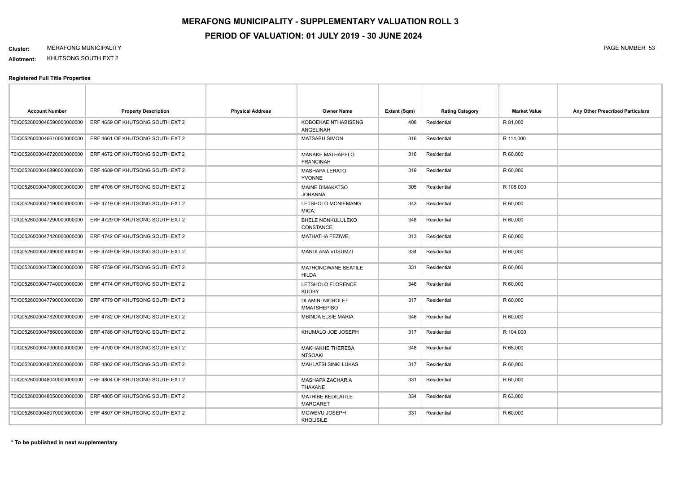**Allotment:** KHUTSONG SOUTH EXT 2

| <b>Account Number</b>      | <b>Property Description</b>      | <b>Physical Address</b> | <b>Owner Name</b>                             | Extent (Sqm) | <b>Rating Category</b> | <b>Market Value</b> | Any Other Prescribed Particulars |
|----------------------------|----------------------------------|-------------------------|-----------------------------------------------|--------------|------------------------|---------------------|----------------------------------|
| T0IQ0526000046590000000000 | ERF 4659 OF KHUTSONG SOUTH EXT 2 |                         | KOBOEKAE NTHABISENG<br>ANGELINAH              | 408          | Residential            | R 81,000            |                                  |
| T0IQ0526000046610000000000 | ERF 4661 OF KHUTSONG SOUTH EXT 2 |                         | <b>MATSABU SIMON</b>                          | 316          | Residential            | R 114,000           |                                  |
| T0IQ0526000046720000000000 | ERF 4672 OF KHUTSONG SOUTH EXT 2 |                         | <b>MANAKE MATHAPELO</b><br><b>FRANCINAH</b>   | 316          | Residential            | R 60,000            |                                  |
| T0IQ0526000046890000000000 | ERF 4689 OF KHUTSONG SOUTH EXT 2 |                         | <b>MASHAPA LERATO</b><br><b>YVONNE</b>        | 319          | Residential            | R 60,000            |                                  |
| T0IQ0526000047060000000000 | ERF 4706 OF KHUTSONG SOUTH EXT 2 |                         | <b>MAINE DIMAKATSO</b><br><b>JOHANNA</b>      | 305          | Residential            | R 108,000           |                                  |
| T0IQ0526000047190000000000 | ERF 4719 OF KHUTSONG SOUTH EXT 2 |                         | LETSHOLO MONIEMANG<br>MICA;                   | 343          | Residential            | R 60,000            |                                  |
| T0IQ0526000047290000000000 | ERF 4729 OF KHUTSONG SOUTH EXT 2 |                         | <b>BHELE NONKULULEKO</b><br>CONSTANCE;        | 348          | Residential            | R 60,000            |                                  |
| T0IQ0526000047420000000000 | ERF 4742 OF KHUTSONG SOUTH EXT 2 |                         | <b>MATHATHA FEZIWE;</b>                       | 313          | Residential            | R 60,000            |                                  |
| T0IQ0526000047490000000000 | ERF 4749 OF KHUTSONG SOUTH EXT 2 |                         | <b>MANDLANA VUSUMZI</b>                       | 334          | Residential            | R 60,000            |                                  |
| T0IQ0526000047590000000000 | ERF 4759 OF KHUTSONG SOUTH EXT 2 |                         | MATHONGWANE SEATILE<br><b>HILDA</b>           | 331          | Residential            | R 60,000            |                                  |
| T0IQ0526000047740000000000 | ERF 4774 OF KHUTSONG SOUTH EXT 2 |                         | LETSHOLO FLORENCE<br><b>KUOBY</b>             | 348          | Residential            | R 60,000            |                                  |
| T0IQ0526000047790000000000 | ERF 4779 OF KHUTSONG SOUTH EXT 2 |                         | <b>DLAMINI NICHOLET</b><br><b>MMATSHEPISO</b> | 317          | Residential            | R 60,000            |                                  |
| T0IQ0526000047820000000000 | ERF 4782 OF KHUTSONG SOUTH EXT 2 |                         | <b>MBINDA ELSIE MARIA</b>                     | 346          | Residential            | R 60,000            |                                  |
| T0IQ0526000047860000000000 | ERF 4786 OF KHUTSONG SOUTH EXT 2 |                         | KHUMALO JOE JOSEPH                            | 317          | Residential            | R 104,000           |                                  |
| T0IQ0526000047900000000000 | ERF 4790 OF KHUTSONG SOUTH EXT 2 |                         | MAKHAKHE THERESA<br><b>NTSOAKI</b>            | 348          | Residential            | R 65,000            |                                  |
| T0IQ0526000048020000000000 | ERF 4802 OF KHUTSONG SOUTH EXT 2 |                         | <b>MAHLATSI SINKI LUKAS</b>                   | 317          | Residential            | R 60,000            |                                  |
| T0IQ0526000048040000000000 | ERF 4804 OF KHUTSONG SOUTH EXT 2 |                         | <b>MASHAPA ZACHARIA</b><br><b>THAKANE</b>     | 331          | Residential            | R 60,000            |                                  |
| T0IQ0526000048050000000000 | ERF 4805 OF KHUTSONG SOUTH EXT 2 |                         | <b>MATHIBE KEDILATILE</b><br><b>MARGARET</b>  | 334          | Residential            | R 63,000            |                                  |
| T0IQ0526000048070000000000 | ERF 4807 OF KHUTSONG SOUTH EXT 2 |                         | MGWEVU JOSEPH<br><b>KHOLISILE</b>             | 331          | Residential            | R 60,000            |                                  |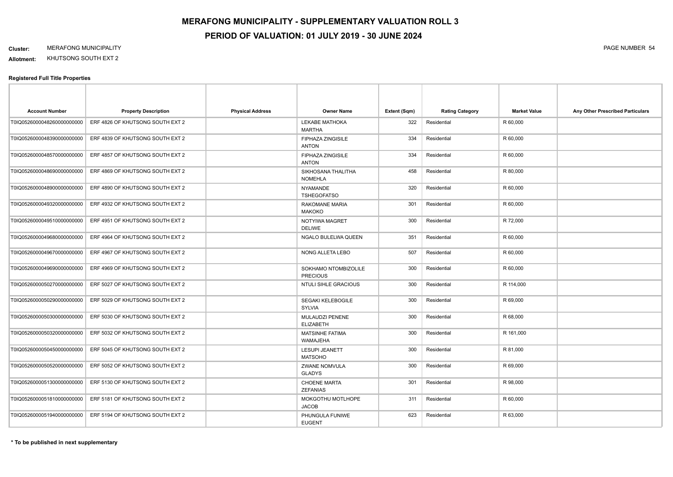**Allotment:** KHUTSONG SOUTH EXT 2

| <b>Account Number</b>       | <b>Property Description</b>      | <b>Physical Address</b> | <b>Owner Name</b>                        | Extent (Sqm) | <b>Rating Category</b> | <b>Market Value</b> | Any Other Prescribed Particulars |
|-----------------------------|----------------------------------|-------------------------|------------------------------------------|--------------|------------------------|---------------------|----------------------------------|
| T0IQ0526000048260000000000  | ERF 4826 OF KHUTSONG SOUTH EXT 2 |                         | LEKABE MATHOKA<br><b>MARTHA</b>          | 322          | Residential            | R 60,000            |                                  |
| T0IQ0526000048390000000000  | ERF 4839 OF KHUTSONG SOUTH EXT 2 |                         | <b>FIPHAZA ZINGISILE</b><br><b>ANTON</b> | 334          | Residential            | R 60,000            |                                  |
| T0IQ0526000048570000000000  | ERF 4857 OF KHUTSONG SOUTH EXT 2 |                         | <b>FIPHAZA ZINGISILE</b><br><b>ANTON</b> | 334          | Residential            | R 60,000            |                                  |
| T0IQ0526000048690000000000  | ERF 4869 OF KHUTSONG SOUTH EXT 2 |                         | SIKHOSANA THALITHA<br><b>NOMEHLA</b>     | 458          | Residential            | R 80,000            |                                  |
| T0IQ0526000048900000000000  | ERF 4890 OF KHUTSONG SOUTH EXT 2 |                         | <b>NYAMANDE</b><br><b>TSHEGOFATSO</b>    | 320          | Residential            | R 60,000            |                                  |
| T0IQ0526000049320000000000  | ERF 4932 OF KHUTSONG SOUTH EXT 2 |                         | <b>RAKOMANE MARIA</b><br><b>MAKOKO</b>   | 301          | Residential            | R 60,000            |                                  |
| T0IQ0526000049510000000000  | ERF 4951 OF KHUTSONG SOUTH EXT 2 |                         | NOTYIWA MAGRET<br><b>DELIWE</b>          | 300          | Residential            | R 72,000            |                                  |
| T0IQ0526000049680000000000  | ERF 4964 OF KHUTSONG SOUTH EXT 2 |                         | NGALO BULELWA QUEEN                      | 351          | Residential            | R 60,000            |                                  |
| T0IQ0526000049670000000000  | ERF 4967 OF KHUTSONG SOUTH EXT 2 |                         | NONG ALLETA LEBO                         | 507          | Residential            | R 60,000            |                                  |
| T0IQ0526000049690000000000  | ERF 4969 OF KHUTSONG SOUTH EXT 2 |                         | SOKHAMO NTOMBIZOLILE<br><b>PRECIOUS</b>  | 300          | Residential            | R 60,000            |                                  |
| T0IQ0526000050270000000000  | ERF 5027 OF KHUTSONG SOUTH EXT 2 |                         | <b>NTULI SIHLE GRACIOUS</b>              | 300          | Residential            | R 114,000           |                                  |
| T0IQ0526000050290000000000  | ERF 5029 OF KHUTSONG SOUTH EXT 2 |                         | SEGAKI KELEBOGILE<br><b>SYLVIA</b>       | 300          | Residential            | R 69,000            |                                  |
| T0IQ05260000503000000000000 | ERF 5030 OF KHUTSONG SOUTH EXT 2 |                         | MULAUDZI PENENE<br><b>ELIZABETH</b>      | 300          | Residential            | R 68,000            |                                  |
| T0IQ0526000050320000000000  | ERF 5032 OF KHUTSONG SOUTH EXT 2 |                         | MATSINHE FATIMA<br>WAMAJEHA              | 300          | Residential            | R 161,000           |                                  |
| T0IQ0526000050450000000000  | ERF 5045 OF KHUTSONG SOUTH EXT 2 |                         | <b>LESUPI JEANETT</b><br><b>MATSOHO</b>  | 300          | Residential            | R 81,000            |                                  |
| T0IQ0526000050520000000000  | ERF 5052 OF KHUTSONG SOUTH EXT 2 |                         | ZWANE NOMVULA<br><b>GLADYS</b>           | 300          | Residential            | R 69,000            |                                  |
| T0IQ0526000051300000000000  | ERF 5130 OF KHUTSONG SOUTH EXT 2 |                         | <b>CHOENE MARTA</b><br><b>ZEFANIAS</b>   | 301          | Residential            | R 98,000            |                                  |
| T0IQ0526000051810000000000  | ERF 5181 OF KHUTSONG SOUTH EXT 2 |                         | MOKGOTHU MOTLHOPE<br><b>JACOB</b>        | 311          | Residential            | R 60,000            |                                  |
| T0IQ0526000051940000000000  | ERF 5194 OF KHUTSONG SOUTH EXT 2 |                         | PHUNGULA FUNIWE<br><b>EUGENT</b>         | 623          | Residential            | R 63,000            |                                  |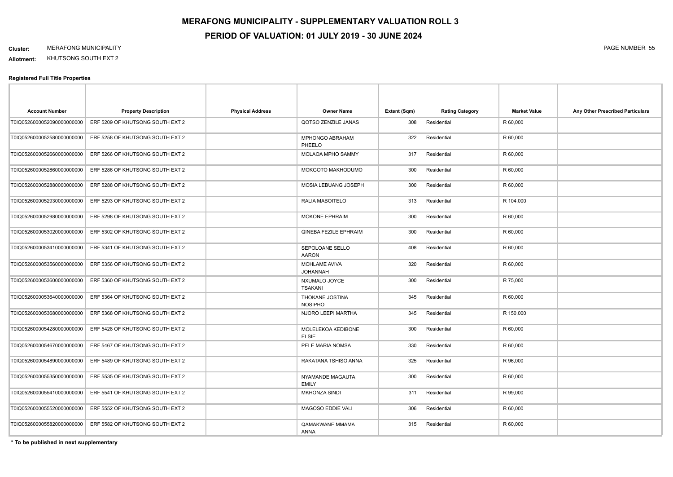**Allotment:** KHUTSONG SOUTH EXT 2

#### **Registered Full Title Properties**

| <b>Account Number</b>      | <b>Property Description</b>      | <b>Physical Address</b> | Owner Name                         | Extent (Sqm) | <b>Rating Category</b> | <b>Market Value</b> | Any Other Prescribed Particulars |
|----------------------------|----------------------------------|-------------------------|------------------------------------|--------------|------------------------|---------------------|----------------------------------|
| T0IQ0526000052090000000000 | ERF 5209 OF KHUTSONG SOUTH EXT 2 |                         | QOTSO ZENZILE JANAS                | 308          | Residential            | R 60,000            |                                  |
| T0IQ0526000052580000000000 | ERF 5258 OF KHUTSONG SOUTH EXT 2 |                         | MPHONGO ABRAHAM<br>PHEELO          | 322          | Residential            | R 60,000            |                                  |
| T0IQ0526000052660000000000 | ERF 5266 OF KHUTSONG SOUTH EXT 2 |                         | MOLAOA MPHO SAMMY                  | 317          | Residential            | R 60,000            |                                  |
| T0IQ0526000052860000000000 | ERF 5286 OF KHUTSONG SOUTH EXT 2 |                         | MOKGOTO MAKHODUMO                  | 300          | Residential            | R 60,000            |                                  |
| T0IQ0526000052880000000000 | ERF 5288 OF KHUTSONG SOUTH EXT 2 |                         | MOSIA LEBUANG JOSEPH               | 300          | Residential            | R 60,000            |                                  |
| T0IQ0526000052930000000000 | ERF 5293 OF KHUTSONG SOUTH EXT 2 |                         | RALIA MABOITELO                    | 313          | Residential            | R 104,000           |                                  |
| T0IQ0526000052980000000000 | ERF 5298 OF KHUTSONG SOUTH EXT 2 |                         | <b>MOKONE EPHRAIM</b>              | 300          | Residential            | R 60,000            |                                  |
| T0IQ0526000053020000000000 | ERF 5302 OF KHUTSONG SOUTH EXT 2 |                         | QINEBA FEZILE EPHRAIM              | 300          | Residential            | R 60,000            |                                  |
| T0IQ0526000053410000000000 | ERF 5341 OF KHUTSONG SOUTH EXT 2 |                         | SEPOLOANE SELLO<br><b>AARON</b>    | 408          | Residential            | R 60,000            |                                  |
| T0IQ0526000053560000000000 | ERF 5356 OF KHUTSONG SOUTH EXT 2 |                         | MOHLAME AVIVA<br><b>JOHANNAH</b>   | 320          | Residential            | R 60,000            |                                  |
| T0IQ0526000053600000000000 | ERF 5360 OF KHUTSONG SOUTH EXT 2 |                         | NXUMALO JOYCE<br><b>TSAKANI</b>    | 300          | Residential            | R 75,000            |                                  |
| T0IQ0526000053640000000000 | ERF 5364 OF KHUTSONG SOUTH EXT 2 |                         | THOKANE JOSTINA<br><b>NOSIPHO</b>  | 345          | Residential            | R 60,000            |                                  |
| T0IQ0526000053680000000000 | ERF 5368 OF KHUTSONG SOUTH EXT 2 |                         | NJORO LEEPI MARTHA                 | 345          | Residential            | R 150,000           |                                  |
| T0IQ0526000054280000000000 | ERF 5428 OF KHUTSONG SOUTH EXT 2 |                         | MOLELEKOA KEDIBONE<br><b>ELSIE</b> | 300          | Residential            | R 60,000            |                                  |
| T0IQ0526000054670000000000 | ERF 5467 OF KHUTSONG SOUTH EXT 2 |                         | PELE MARIA NOMSA                   | 330          | Residential            | R 60,000            |                                  |
| T0IQ0526000054890000000000 | ERF 5489 OF KHUTSONG SOUTH EXT 2 |                         | RAKATANA TSHISO ANNA               | 325          | Residential            | R 96,000            |                                  |
| T0IQ0526000055350000000000 | ERF 5535 OF KHUTSONG SOUTH EXT 2 |                         | NYAMANDE MAGAUTA<br><b>EMILY</b>   | 300          | Residential            | R 60,000            |                                  |
| T0IQ0526000055410000000000 | ERF 5541 OF KHUTSONG SOUTH EXT 2 |                         | <b>MKHONZA SINDI</b>               | 311          | Residential            | R 99,000            |                                  |
| T0IQ0526000055520000000000 | ERF 5552 OF KHUTSONG SOUTH EXT 2 |                         | MAGOSO EDDIE VALI                  | 306          | Residential            | R 60,000            |                                  |
| T0IQ0526000055820000000000 | ERF 5582 OF KHUTSONG SOUTH EXT 2 |                         | QAMAKWANE MMAMA<br>ANNA            | 315          | Residential            | R 60,000            |                                  |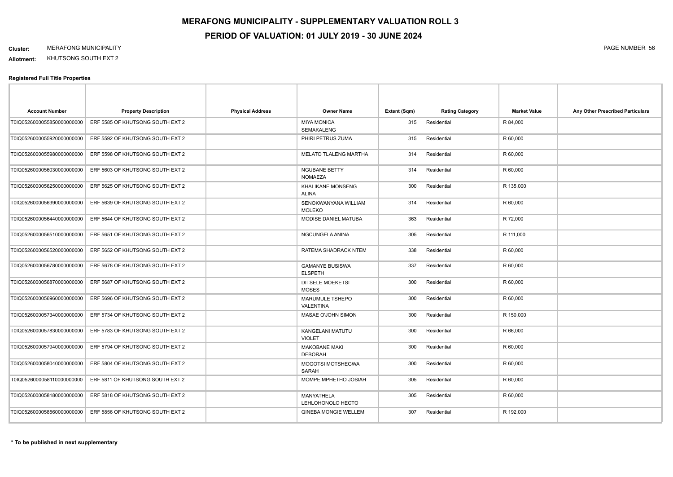**Allotment:** KHUTSONG SOUTH EXT 2

| <b>Account Number</b>      | <b>Property Description</b>      | <b>Physical Address</b> | <b>Owner Name</b>                        | Extent (Sqm) | <b>Rating Category</b> | <b>Market Value</b> | Any Other Prescribed Particulars |
|----------------------------|----------------------------------|-------------------------|------------------------------------------|--------------|------------------------|---------------------|----------------------------------|
| T0IQ0526000055850000000000 | ERF 5585 OF KHUTSONG SOUTH EXT 2 |                         | <b>MIYA MONICA</b><br><b>SEMAKALENG</b>  | 315          | Residential            | R 84,000            |                                  |
| T0IQ0526000055920000000000 | ERF 5592 OF KHUTSONG SOUTH EXT 2 |                         | PHIRI PETRUS ZUMA                        | 315          | Residential            | R 60,000            |                                  |
| T0IQ0526000055980000000000 | ERF 5598 OF KHUTSONG SOUTH EXT 2 |                         | MELATO TLALENG MARTHA                    | 314          | Residential            | R 60,000            |                                  |
| T0IQ0526000056030000000000 | ERF 5603 OF KHUTSONG SOUTH EXT 2 |                         | <b>NGUBANE BETTY</b><br><b>NOMAEZA</b>   | 314          | Residential            | R 60,000            |                                  |
| T0IQ0526000056250000000000 | ERF 5625 OF KHUTSONG SOUTH EXT 2 |                         | KHALIKANE MONSENG<br><b>ALINA</b>        | 300          | Residential            | R 135,000           |                                  |
| T0IQ0526000056390000000000 | ERF 5639 OF KHUTSONG SOUTH EXT 2 |                         | SENOKWANYANA WILLIAM<br><b>MOLEKO</b>    | 314          | Residential            | R 60,000            |                                  |
| T0IQ0526000056440000000000 | ERF 5644 OF KHUTSONG SOUTH EXT 2 |                         | MODISE DANIEL MATUBA                     | 363          | Residential            | R 72,000            |                                  |
| T0IQ0526000056510000000000 | ERF 5651 OF KHUTSONG SOUTH EXT 2 |                         | NGCUNGELA ANINA                          | 305          | Residential            | R 111,000           |                                  |
| T0IQ0526000056520000000000 | ERF 5652 OF KHUTSONG SOUTH EXT 2 |                         | RATEMA SHADRACK NTEM                     | 338          | Residential            | R 60,000            |                                  |
| T0IQ0526000056780000000000 | ERF 5678 OF KHUTSONG SOUTH EXT 2 |                         | <b>GAMANYE BUSISWA</b><br><b>ELSPETH</b> | 337          | Residential            | R 60,000            |                                  |
| T0IQ0526000056870000000000 | ERF 5687 OF KHUTSONG SOUTH EXT 2 |                         | <b>DITSELE MOEKETSI</b><br><b>MOSES</b>  | 300          | Residential            | R 60,000            |                                  |
| T0IQ0526000056960000000000 | ERF 5696 OF KHUTSONG SOUTH EXT 2 |                         | MARUMULE TSHEPO<br>VALENTINA             | 300          | Residential            | R 60,000            |                                  |
| T0IQ0526000057340000000000 | ERF 5734 OF KHUTSONG SOUTH EXT 2 |                         | MASAE O'JOHN SIMON                       | 300          | Residential            | R 150,000           |                                  |
| T0IQ0526000057830000000000 | ERF 5783 OF KHUTSONG SOUTH EXT 2 |                         | KANGELANI MATUTU<br><b>VIOLET</b>        | 300          | Residential            | R 66,000            |                                  |
| T0IQ0526000057940000000000 | ERF 5794 OF KHUTSONG SOUTH EXT 2 |                         | <b>MAKOBANE MAKI</b><br><b>DEBORAH</b>   | 300          | Residential            | R 60,000            |                                  |
| T0IQ0526000058040000000000 | ERF 5804 OF KHUTSONG SOUTH EXT 2 |                         | <b>MOGOTSI MOTSHEGWA</b><br>SARAH        | 300          | Residential            | R 60,000            |                                  |
| T0IQ0526000058110000000000 | ERF 5811 OF KHUTSONG SOUTH EXT 2 |                         | MOMPE MPHETHO JOSIAH                     | 305          | Residential            | R 60,000            |                                  |
| T0IQ0526000058180000000000 | ERF 5818 OF KHUTSONG SOUTH EXT 2 |                         | MANYATHELA<br>LEHLOHONOLO HECTO          | 305          | Residential            | R 60,000            |                                  |
| T0IQ0526000058560000000000 | ERF 5856 OF KHUTSONG SOUTH EXT 2 |                         | QINEBA MONGIE WELLEM                     | 307          | Residential            | R 192,000           |                                  |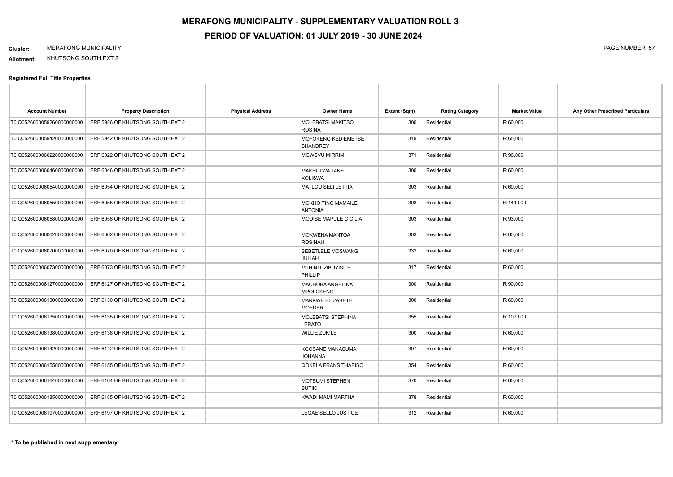**Allotment:** KHUTSONG SOUTH EXT 2

| <b>Account Number</b>       | <b>Property Description</b>      | <b>Physical Address</b> | <b>Owner Name</b>                          | Extent (Sqm) | <b>Rating Category</b> | <b>Market Value</b> | Any Other Prescribed Particulars |
|-----------------------------|----------------------------------|-------------------------|--------------------------------------------|--------------|------------------------|---------------------|----------------------------------|
| T0IQ0526000059260000000000  | ERF 5926 OF KHUTSONG SOUTH EXT 2 |                         | <b>MOLEBATSI MAKITSO</b><br><b>ROSINA</b>  | 300          | Residential            | R 60,000            |                                  |
| T0IQ0526000059420000000000  | ERF 5942 OF KHUTSONG SOUTH EXT 2 |                         | MOFOKENG KEDIEMETSE<br><b>SHANDREY</b>     | 319          | Residential            | R 65,000            |                                  |
| T0IQ0526000060220000000000  | ERF 6022 OF KHUTSONG SOUTH EXT 2 |                         | <b>MGWEVU MIRRIM</b>                       | 371          | Residential            | R 96,000            |                                  |
| T0IQ0526000060460000000000  | ERF 6046 OF KHUTSONG SOUTH EXT 2 |                         | MAKHOLWA JANE<br><b>XOLISWA</b>            | 300          | Residential            | R 60,000            |                                  |
| T0IQ0526000060540000000000  | ERF 6054 OF KHUTSONG SOUTH EXT 2 |                         | MATLOU SELI LETTIA                         | 303          | Residential            | R 60,000            |                                  |
| T0IQ05260000605500000000000 | ERF 6055 OF KHUTSONG SOUTH EXT 2 |                         | MOKHOITING MAMAILE<br><b>ANTONIA</b>       | 303          | Residential            | R 141,000           |                                  |
| T0IQ0526000060580000000000  | ERF 6058 OF KHUTSONG SOUTH EXT 2 |                         | MODISE MAPULE CICILIA                      | 303          | Residential            | R 93,000            |                                  |
| T0IQ0526000060620000000000  | ERF 6062 OF KHUTSONG SOUTH EXT 2 |                         | MOKWENA MANTOA<br><b>ROSINAH</b>           | 303          | Residential            | R 60,000            |                                  |
| T0IQ05260000607000000000000 | ERF 6070 OF KHUTSONG SOUTH EXT 2 |                         | SEBETLELE MOSWANG<br><b>JULIAH</b>         | 332          | Residential            | R 60,000            |                                  |
| T0IQ05260000607300000000000 | ERF 6073 OF KHUTSONG SOUTH EXT 2 |                         | MTHINI UZIBUYISILE<br>PHILLIP              | 317          | Residential            | R 60,000            |                                  |
| T0IQ0526000061270000000000  | ERF 6127 OF KHUTSONG SOUTH EXT 2 |                         | MACHOBA ANGELINA<br><b>MPOLOKENG</b>       | 300          | Residential            | R 90,000            |                                  |
| T0IQ0526000061300000000000  | ERF 6130 OF KHUTSONG SOUTH EXT 2 |                         | MANKWE ELIZABETH<br><b>MOEDER</b>          | 300          | Residential            | R 60,000            |                                  |
| T0IQ0526000061350000000000  | ERF 6135 OF KHUTSONG SOUTH EXT 2 |                         | <b>MOLEBATSI STEPHINA</b><br><b>LERATO</b> | 355          | Residential            | R 107,000           |                                  |
| T0IQ0526000061380000000000  | ERF 6138 OF KHUTSONG SOUTH EXT 2 |                         | <b>WILLIE ZUKILE</b>                       | 300          | Residential            | R 60,000            |                                  |
| T0IQ0526000061420000000000  | ERF 6142 OF KHUTSONG SOUTH EXT 2 |                         | KGOSANE MANASUMA<br><b>JOHANNA</b>         | 307          | Residential            | R 60,000            |                                  |
| T0IQ0526000061550000000000  | ERF 6155 OF KHUTSONG SOUTH EXT 2 |                         | QOKELA FRANS THABISO                       | 354          | Residential            | R 60,000            |                                  |
| T0IQ0526000061640000000000  | ERF 6164 OF KHUTSONG SOUTH EXT 2 |                         | MOTSUMI STEPHEN<br><b>BUTIKI</b>           | 370          | Residential            | R 60,000            |                                  |
| T0IQ0526000061850000000000  | ERF 6185 OF KHUTSONG SOUTH EXT 2 |                         | KWADI MAMI MARTHA                          | 378          | Residential            | R 60,000            |                                  |
| T0IQ0526000061970000000000  | ERF 6197 OF KHUTSONG SOUTH EXT 2 |                         | LEGAE SELLO JUSTICE                        | 312          | Residential            | R 60,000            |                                  |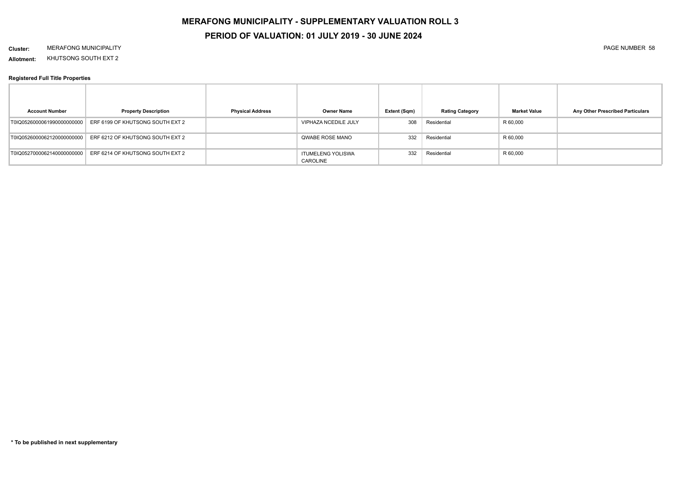# **MERAFONG MUNICIPALITY - SUPPLEMENTARY VALUATION ROLL 3 PERIOD OF VALUATION: 01 JULY 2019 - 30 JUNE 2024**

#### **Cluster:** MERAFONG MUNICIPALITY PAGE NUMBER 58

**Allotment:** KHUTSONG SOUTH EXT 2

| <b>Account Number</b>      | <b>Property Description</b>      | <b>Physical Address</b> | <b>Owner Name</b>                    | Extent (Sqm) | <b>Rating Category</b> | <b>Market Value</b> | Any Other Prescribed Particulars |
|----------------------------|----------------------------------|-------------------------|--------------------------------------|--------------|------------------------|---------------------|----------------------------------|
| T0IQ0526000061990000000000 | ERF 6199 OF KHUTSONG SOUTH EXT 2 |                         | VIPHAZA NCEDILE JULY                 | 308          | Residential            | R 60,000            |                                  |
| T0IQ0526000062120000000000 | ERF 6212 OF KHUTSONG SOUTH EXT 2 |                         | QWABE ROSE MANO                      | 332          | Residential            | R 60,000            |                                  |
| T0IQ0527000062140000000000 | ERF 6214 OF KHUTSONG SOUTH EXT 2 |                         | <b>ITUMELENG YOLISWA</b><br>CAROLINE | 332          | Residential            | R 60,000            |                                  |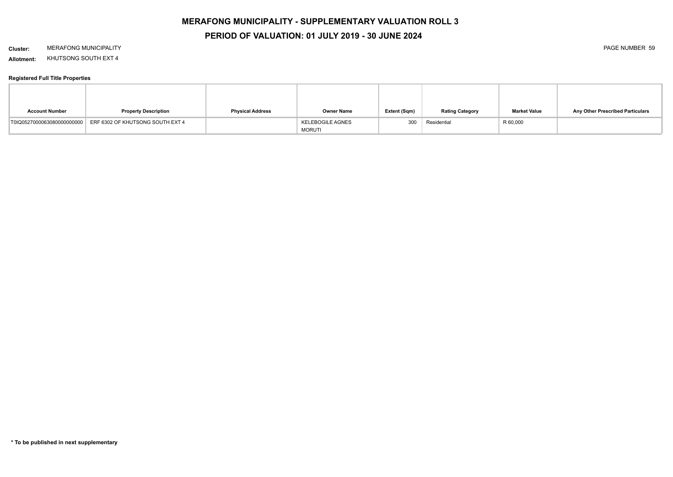# **MERAFONG MUNICIPALITY - SUPPLEMENTARY VALUATION ROLL 3**

### **PERIOD OF VALUATION: 01 JULY 2019 - 30 JUNE 2024**

#### **Cluster:** MERAFONG MUNICIPALITY PAGE NUMBER 59

**Allotment:** KHUTSONG SOUTH EXT 4

| <b>Account Number</b>      | <b>Property Description</b>      | <b>Physical Address</b> | Owner Name                               | Extent (Sqm) | <b>Rating Category</b> | <b>Market Value</b> | Any Other Prescribed Particulars |
|----------------------------|----------------------------------|-------------------------|------------------------------------------|--------------|------------------------|---------------------|----------------------------------|
| T0IQ0527000063080000000000 | ERF 6302 OF KHUTSONG SOUTH EXT 4 |                         | <b>KELEBOGILE AGNES</b><br><b>MORUTI</b> | 300          | Residential            | R 60,000            |                                  |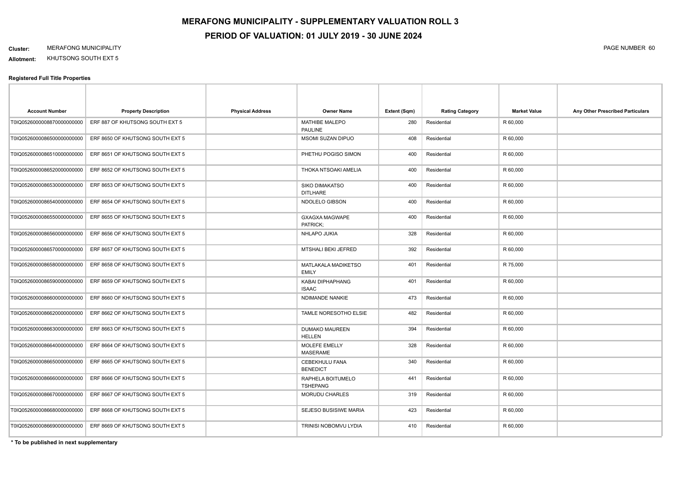**Allotment:** KHUTSONG SOUTH EXT 5

#### **Registered Full Title Properties**

| <b>Account Number</b>       | <b>Property Description</b>                                 | <b>Physical Address</b> | <b>Owner Name</b>                        | Extent (Sqm) | <b>Rating Category</b> | <b>Market Value</b> | Any Other Prescribed Particulars |
|-----------------------------|-------------------------------------------------------------|-------------------------|------------------------------------------|--------------|------------------------|---------------------|----------------------------------|
| T0IQ0526000008870000000000  | ERF 887 OF KHUTSONG SOUTH EXT 5                             |                         | <b>MATHIBE MALEPO</b><br><b>PAULINE</b>  | 280          | Residential            | R 60,000            |                                  |
| T0IQ05260000865000000000000 | ERF 8650 OF KHUTSONG SOUTH EXT 5                            |                         | <b>MSOMI SUZAN DIPUO</b>                 | 408          | Residential            | R 60,000            |                                  |
| T0IQ0526000086510000000000  | ERF 8651 OF KHUTSONG SOUTH EXT 5                            |                         | PHETHU POGISO SIMON                      | 400          | Residential            | R 60,000            |                                  |
| T0IQ0526000086520000000000  | ERF 8652 OF KHUTSONG SOUTH EXT 5                            |                         | THOKA NTSOAKI AMELIA                     | 400          | Residential            | R 60,000            |                                  |
| T0IQ0526000086530000000000  | ERF 8653 OF KHUTSONG SOUTH EXT 5                            |                         | <b>SIKO DIMAKATSO</b><br><b>DITLHARE</b> | 400          | Residential            | R 60,000            |                                  |
| T0IQ0526000086540000000000  | ERF 8654 OF KHUTSONG SOUTH EXT 5                            |                         | NDOLELO GIBSON                           | 400          | Residential            | R 60,000            |                                  |
| T0IQ0526000086550000000000  | ERF 8655 OF KHUTSONG SOUTH EXT 5                            |                         | <b>GXAGXA MAGWAPE</b><br>PATRICK;        | 400          | Residential            | R 60,000            |                                  |
| T0IQ0526000086560000000000  | ERF 8656 OF KHUTSONG SOUTH EXT 5                            |                         | NHLAPO JUKIA                             | 328          | Residential            | R 60,000            |                                  |
| T0IQ0526000086570000000000  | ERF 8657 OF KHUTSONG SOUTH EXT 5                            |                         | MTSHALI BEKI JEFRED                      | 392          | Residential            | R 60,000            |                                  |
| T0IQ0526000086580000000000  | ERF 8658 OF KHUTSONG SOUTH EXT 5                            |                         | MATLAKALA MADIKETSO<br><b>EMILY</b>      | 401          | Residential            | R 75,000            |                                  |
| T0IQ0526000086590000000000  | ERF 8659 OF KHUTSONG SOUTH EXT 5                            |                         | KABAI DIPHAPHANG<br><b>ISAAC</b>         | 401          | Residential            | R 60,000            |                                  |
| T0IQ0526000086600000000000  | ERF 8660 OF KHUTSONG SOUTH EXT 5                            |                         | NDIMANDE NANKIE                          | 473          | Residential            | R 60,000            |                                  |
| T0IQ0526000086620000000000  | ERF 8662 OF KHUTSONG SOUTH EXT 5                            |                         | TAMLE NORESOTHO ELSIE                    | 482          | Residential            | R 60,000            |                                  |
|                             | T0IQ0526000086630000000000 ERF 8663 OF KHUTSONG SOUTH EXT 5 |                         | <b>DUMAKO MAUREEN</b><br><b>HELLEN</b>   | 394          | Residential            | R 60,000            |                                  |
| T0IQ0526000086640000000000  | ERF 8664 OF KHUTSONG SOUTH EXT 5                            |                         | MOLEFE EMELLY<br><b>MASERAME</b>         | 328          | Residential            | R 60,000            |                                  |
| T0IQ0526000086650000000000  | ERF 8665 OF KHUTSONG SOUTH EXT 5                            |                         | CEBEKHULU FANA<br><b>BENEDICT</b>        | 340          | Residential            | R 60,000            |                                  |
| T0IQ0526000086660000000000  | ERF 8666 OF KHUTSONG SOUTH EXT 5                            |                         | RAPHELA BOITUMELO<br><b>TSHEPANG</b>     | 441          | Residential            | R 60,000            |                                  |
| T0IQ0526000086670000000000  | ERF 8667 OF KHUTSONG SOUTH EXT 5                            |                         | MORUDU CHARLES                           | 319          | Residential            | R 60,000            |                                  |
| T0IQ0526000086680000000000  | ERF 8668 OF KHUTSONG SOUTH EXT 5                            |                         | SEJESO BUSISIWE MARIA                    | 423          | Residential            | R 60,000            |                                  |
| T0IQ0526000086690000000000  | ERF 8669 OF KHUTSONG SOUTH EXT 5                            |                         | TRINISI NOBOMVU LYDIA                    | 410          | Residential            | R 60,000            |                                  |
|                             |                                                             |                         |                                          |              |                        |                     |                                  |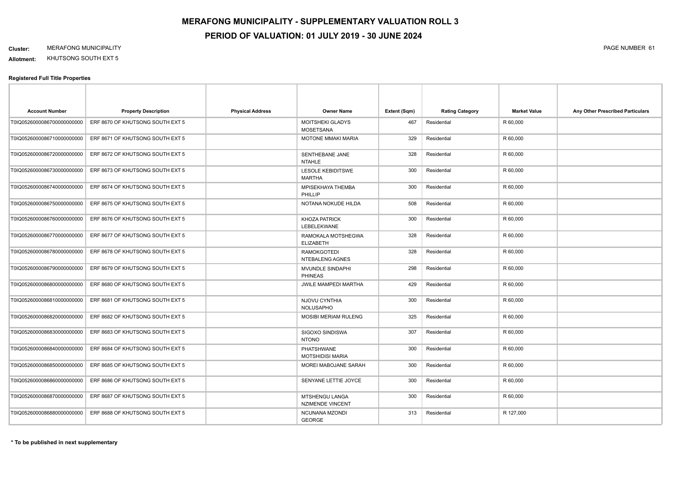**Allotment:** KHUTSONG SOUTH EXT 5

| <b>Account Number</b>      | <b>Property Description</b>      | <b>Physical Address</b> | <b>Owner Name</b>                           | Extent (Sqm) | <b>Rating Category</b> | <b>Market Value</b> | Any Other Prescribed Particulars |
|----------------------------|----------------------------------|-------------------------|---------------------------------------------|--------------|------------------------|---------------------|----------------------------------|
| T0IQ0526000086700000000000 | ERF 8670 OF KHUTSONG SOUTH EXT 5 |                         | <b>MOITSHEKI GLADYS</b><br><b>MOSETSANA</b> | 467          | Residential            | R 60,000            |                                  |
| T0IQ0526000086710000000000 | ERF 8671 OF KHUTSONG SOUTH EXT 5 |                         | MOTONE MMAKI MARIA                          | 329          | Residential            | R 60,000            |                                  |
| T0IQ0526000086720000000000 | ERF 8672 OF KHUTSONG SOUTH EXT 5 |                         | <b>SENTHEBANE JANE</b><br><b>NTAHLE</b>     | 328          | Residential            | R 60,000            |                                  |
| T0IQ0526000086730000000000 | ERF 8673 OF KHUTSONG SOUTH EXT 5 |                         | <b>LESOLE KEBIDITSWE</b><br><b>MARTHA</b>   | 300          | Residential            | R 60,000            |                                  |
| T0IQ0526000086740000000000 | ERF 8674 OF KHUTSONG SOUTH EXT 5 |                         | MPISEKHAYA THEMBA<br>PHILLIP                | 300          | Residential            | R 60,000            |                                  |
| T0IQ0526000086750000000000 | ERF 8675 OF KHUTSONG SOUTH EXT 5 |                         | NOTANA NOKUDE HILDA                         | 508          | Residential            | R 60,000            |                                  |
| T0IQ0526000086760000000000 | ERF 8676 OF KHUTSONG SOUTH EXT 5 |                         | <b>KHOZA PATRICK</b><br>LEBELEKWANE         | 300          | Residential            | R 60,000            |                                  |
| T0IQ0526000086770000000000 | ERF 8677 OF KHUTSONG SOUTH EXT 5 |                         | RAMOKALA MOTSHEGWA<br><b>ELIZABETH</b>      | 328          | Residential            | R 60,000            |                                  |
| T0IQ0526000086780000000000 | ERF 8678 OF KHUTSONG SOUTH EXT 5 |                         | <b>RAMOKGOTEDI</b><br>NTEBALENG AGNES       | 328          | Residential            | R 60,000            |                                  |
| T0IQ0526000086790000000000 | ERF 8679 OF KHUTSONG SOUTH EXT 5 |                         | MVUNDLE SINDAPHI<br><b>PHINEAS</b>          | 298          | Residential            | R 60,000            |                                  |
| T0IQ0526000086800000000000 | ERF 8680 OF KHUTSONG SOUTH EXT 5 |                         | <b>JWILE MAMPEDI MARTHA</b>                 | 429          | Residential            | R 60,000            |                                  |
| T0IQ0526000086810000000000 | ERF 8681 OF KHUTSONG SOUTH EXT 5 |                         | <b>NJOVU CYNTHIA</b><br><b>NOLUSAPHO</b>    | 300          | Residential            | R 60,000            |                                  |
| T0IQ0526000086820000000000 | ERF 8682 OF KHUTSONG SOUTH EXT 5 |                         | <b>MOSIBI MERIAM RULENG</b>                 | 325          | Residential            | R 60,000            |                                  |
| T0IQ0526000086830000000000 | ERF 8683 OF KHUTSONG SOUTH EXT 5 |                         | SIGOXO SINDISWA<br><b>NTONO</b>             | 307          | Residential            | R 60,000            |                                  |
| T0IQ0526000086840000000000 | ERF 8684 OF KHUTSONG SOUTH EXT 5 |                         | PHATSHWANE<br><b>MOTSHIDISI MARIA</b>       | 300          | Residential            | R 60,000            |                                  |
| T0IQ0526000086850000000000 | ERF 8685 OF KHUTSONG SOUTH EXT 5 |                         | MOREI MABOJANE SARAH                        | 300          | Residential            | R 60,000            |                                  |
| T0IQ0526000086860000000000 | ERF 8686 OF KHUTSONG SOUTH EXT 5 |                         | SENYANE LETTIE JOYCE                        | 300          | Residential            | R 60,000            |                                  |
| T0IQ0526000086870000000000 | ERF 8687 OF KHUTSONG SOUTH EXT 5 |                         | MTSHENGU LANGA<br><b>NZIMENDE VINCENT</b>   | 300          | Residential            | R 60,000            |                                  |
| T0IQ0526000086880000000000 | ERF 8688 OF KHUTSONG SOUTH EXT 5 |                         | NCUNANA MZONDI<br><b>GEORGE</b>             | 313          | Residential            | R 127,000           |                                  |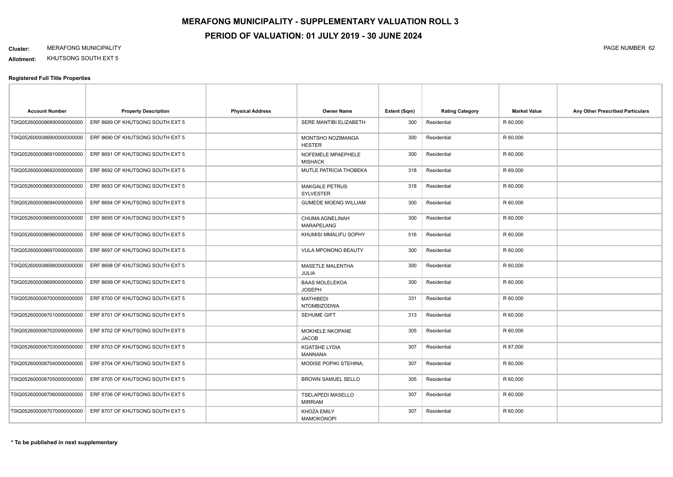**Allotment:** KHUTSONG SOUTH EXT 5

| <b>Account Number</b>       | <b>Property Description</b>      | <b>Physical Address</b> | <b>Owner Name</b>                          | Extent (Sqm) | <b>Rating Category</b> | <b>Market Value</b> | Any Other Prescribed Particulars |
|-----------------------------|----------------------------------|-------------------------|--------------------------------------------|--------------|------------------------|---------------------|----------------------------------|
| T0IQ0526000086890000000000  | ERF 8689 OF KHUTSONG SOUTH EXT 5 |                         | SERE MANTIBI ELIZABETH                     | 300          | Residential            | R 60,000            |                                  |
| T0IQ05260000869000000000000 | ERF 8690 OF KHUTSONG SOUTH EXT 5 |                         | MONTSHO NOZIMANGA<br><b>HESTER</b>         | 300          | Residential            | R 60,000            |                                  |
| T0IQ0526000086910000000000  | ERF 8691 OF KHUTSONG SOUTH EXT 5 |                         | NOFEMELE MPAEPHELE<br><b>MISHACK</b>       | 300          | Residential            | R 60,000            |                                  |
| T0IQ0526000086920000000000  | ERF 8692 OF KHUTSONG SOUTH EXT 5 |                         | MUTLE PATRICIA THOBEKA                     | 318          | Residential            | R 69,000            |                                  |
| T0IQ0526000086930000000000  | ERF 8693 OF KHUTSONG SOUTH EXT 5 |                         | <b>MAKGALE PETRUS</b><br><b>SYLVESTER</b>  | 318          | Residential            | R 60,000            |                                  |
| T0IQ0526000086940000000000  | ERF 8694 OF KHUTSONG SOUTH EXT 5 |                         | <b>GUMEDE MOENG WILLIAM</b>                | 300          | Residential            | R 60,000            |                                  |
| T0IQ0526000086950000000000  | ERF 8695 OF KHUTSONG SOUTH EXT 5 |                         | CHUMA AGNELINAH<br><b>MARAPELANG</b>       | 300          | Residential            | R 60,000            |                                  |
| T0IQ0526000086960000000000  | ERF 8696 OF KHUTSONG SOUTH EXT 5 |                         | KHUMISI MMALIFU SOPHY                      | 516          | Residential            | R 60,000            |                                  |
| T0IQ0526000086970000000000  | ERF 8697 OF KHUTSONG SOUTH EXT 5 |                         | VULA MPONONO BEAUTY                        | 300          | Residential            | R 60,000            |                                  |
| T0IQ0526000086980000000000  | ERF 8698 OF KHUTSONG SOUTH EXT 5 |                         | MASETLE MALENTHA<br><b>JULIA</b>           | 300          | Residential            | R 60,000            |                                  |
| T0IQ0526000086990000000000  | ERF 8699 OF KHUTSONG SOUTH EXT 5 |                         | <b>BAAS MOLELEKOA</b><br><b>JOSEPH</b>     | 300          | Residential            | R 60,000            |                                  |
| T0IQ0526000087000000000000  | ERF 8700 OF KHUTSONG SOUTH EXT 5 |                         | <b>MATHIBEDI</b><br><b>NTOMBIZODWA</b>     | 331          | Residential            | R 60,000            |                                  |
| T0IQ0526000087010000000000  | ERF 8701 OF KHUTSONG SOUTH EXT 5 |                         | <b>SEHUME GIFT</b>                         | 313          | Residential            | R 60,000            |                                  |
| T0IQ0526000087020000000000  | ERF 8702 OF KHUTSONG SOUTH EXT 5 |                         | MOKHELE NKOPANE<br><b>JACOB</b>            | 305          | Residential            | R 60,000            |                                  |
| T0IQ0526000087030000000000  | ERF 8703 OF KHUTSONG SOUTH EXT 5 |                         | <b>KGATSHE LYDIA</b><br><b>MANNANA</b>     | 307          | Residential            | R 87,000            |                                  |
| T0IQ0526000087040000000000  | ERF 8704 OF KHUTSONG SOUTH EXT 5 |                         | <b>MODISE POPIKI STEHINA:</b>              | 307          | Residential            | R 60,000            |                                  |
| T0IQ0526000087050000000000  | ERF 8705 OF KHUTSONG SOUTH EXT 5 |                         | <b>BROWN SAMUEL SELLO</b>                  | 305          | Residential            | R 60,000            |                                  |
| T0IQ0526000087060000000000  | ERF 8706 OF KHUTSONG SOUTH EXT 5 |                         | <b>TSELAPEDI MASELLO</b><br><b>MIRRIAM</b> | 307          | Residential            | R 60,000            |                                  |
| T0IQ0526000087070000000000  | ERF 8707 OF KHUTSONG SOUTH EXT 5 |                         | <b>KHOZA EMILY</b><br><b>MAMOKONOPI</b>    | 307          | Residential            | R 60,000            |                                  |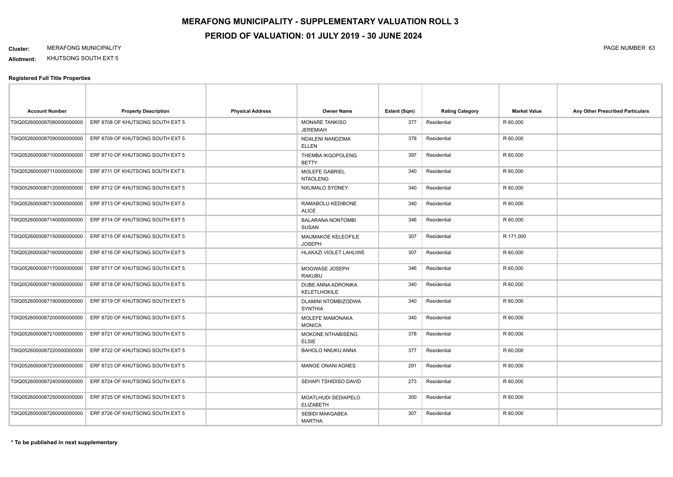**Allotment:** KHUTSONG SOUTH EXT 5

| <b>Account Number</b>       | <b>Property Description</b>      | <b>Physical Address</b> | <b>Owner Name</b>                        | Extent (Sqm) | <b>Rating Category</b> | <b>Market Value</b> | Any Other Prescribed Particulars |
|-----------------------------|----------------------------------|-------------------------|------------------------------------------|--------------|------------------------|---------------------|----------------------------------|
| T0IQ0526000087080000000000  | ERF 8708 OF KHUTSONG SOUTH EXT 5 |                         | <b>MONARE TANKISO</b><br><b>JEREMIAH</b> | 377          | Residential            | R 60,000            |                                  |
| T0IQ0526000087090000000000  | ERF 8709 OF KHUTSONG SOUTH EXT 5 |                         | NDALENI NANDZIMA<br><b>ELLEN</b>         | 378          | Residential            | R 60,000            |                                  |
| T0IQ05260000871000000000000 | ERF 8710 OF KHUTSONG SOUTH EXT 5 |                         | THEMBA IKGOPOLENG<br><b>BETTY</b>        | 397          | Residential            | R 60,000            |                                  |
| T0IQ0526000087110000000000  | ERF 8711 OF KHUTSONG SOUTH EXT 5 |                         | <b>MOLEFE GABRIEL</b><br><b>NTAOLENG</b> | 340          | Residential            | R 60,000            |                                  |
| T0IQ0526000087120000000000  | ERF 8712 OF KHUTSONG SOUTH EXT 5 |                         | NXUMALO SYDNEY                           | 340          | Residential            | R 60,000            |                                  |
| T0IQ0526000087130000000000  | ERF 8713 OF KHUTSONG SOUTH EXT 5 |                         | RAMABOLU KEDIBONE<br><b>ALICE</b>        | 340          | Residential            | R 60,000            |                                  |
| T0IQ0526000087140000000000  | ERF 8714 OF KHUTSONG SOUTH EXT 5 |                         | <b>BALARANA NONTOMBI</b><br><b>SUSAN</b> | 346          | Residential            | R 60,000            |                                  |
| T0IQ0526000087150000000000  | ERF 8715 OF KHUTSONG SOUTH EXT 5 |                         | MAUMAKOE KELEOFILE<br><b>JOSEPH</b>      | 307          | Residential            | R 171,000           |                                  |
| T0IQ0526000087160000000000  | ERF 8716 OF KHUTSONG SOUTH EXT 5 |                         | HLAKAZI VIOLET LAHLIWE                   | 307          | Residential            | R 60,000            |                                  |
| T0IQ0526000087170000000000  | ERF 8717 OF KHUTSONG SOUTH EXT 5 |                         | MOGWASE JOSEPH<br><b>RAKUBU</b>          | 346          | Residential            | R 60,000            |                                  |
| T0IQ0526000087180000000000  | ERF 8718 OF KHUTSONG SOUTH EXT 5 |                         | DUBE ANNA ADRONIKA<br>KELETLHOKILE       | 340          | Residential            | R 60,000            |                                  |
| T0IQ0526000087190000000000  | ERF 8719 OF KHUTSONG SOUTH EXT 5 |                         | DLAMINI NTOMBIZODWA<br><b>SYNTHIA</b>    | 340          | Residential            | R 60,000            |                                  |
| T0IQ0526000087200000000000  | ERF 8720 OF KHUTSONG SOUTH EXT 5 |                         | MOLEFE MAMONAKA<br><b>MONICA</b>         | 340          | Residential            | R 60,000            |                                  |
| T0IQ0526000087210000000000  | ERF 8721 OF KHUTSONG SOUTH EXT 5 |                         | MOKONE NTHABISENG<br><b>ELSIE</b>        | 378          | Residential            | R 60,000            |                                  |
| T0IQ0526000087220000000000  | ERF 8722 OF KHUTSONG SOUTH EXT 5 |                         | <b>BAHOLO NNUKU ANNA</b>                 | 377          | Residential            | R 60,000            |                                  |
| T0IQ0526000087230000000000  | ERF 8723 OF KHUTSONG SOUTH EXT 5 |                         | <b>MANGE ONANI AGNES</b>                 | 291          | Residential            | R 60,000            |                                  |
| T0IQ0526000087240000000000  | ERF 8724 OF KHUTSONG SOUTH EXT 5 |                         | SEHAPI TSHIDISO DAVID                    | 273          | Residential            | R 60,000            |                                  |
| T0IQ0526000087250000000000  | ERF 8725 OF KHUTSONG SOUTH EXT 5 |                         | MOATLHUDI SEDIAPELO<br><b>ELIZABETH</b>  | 300          | Residential            | R 60,000            |                                  |
| T0IQ0526000087260000000000  | ERF 8726 OF KHUTSONG SOUTH EXT 5 |                         | SEBIDI MAKGABEA<br><b>MARTHA</b>         | 307          | Residential            | R 60,000            |                                  |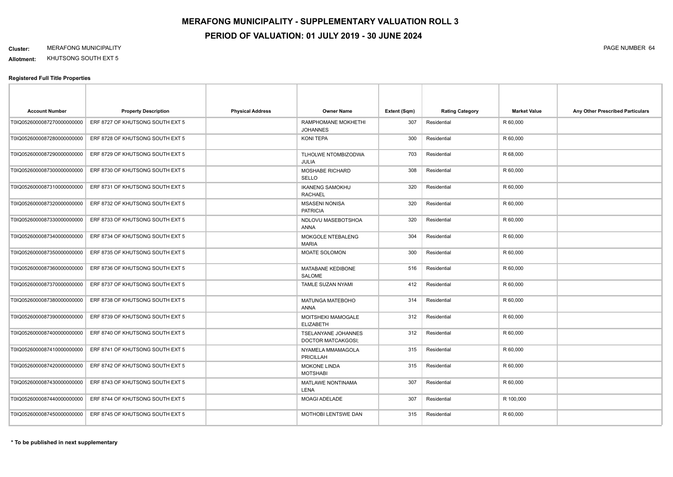**Allotment:** KHUTSONG SOUTH EXT 5

| <b>Account Number</b>      | <b>Property Description</b>      | <b>Physical Address</b> | <b>Owner Name</b>                         | Extent (Sqm) | <b>Rating Category</b> | <b>Market Value</b> | Any Other Prescribed Particulars |
|----------------------------|----------------------------------|-------------------------|-------------------------------------------|--------------|------------------------|---------------------|----------------------------------|
| T0IQ0526000087270000000000 | ERF 8727 OF KHUTSONG SOUTH EXT 5 |                         | RAMPHOMANE MOKHETHI<br><b>JOHANNES</b>    | 307          | Residential            | R 60,000            |                                  |
| T0IQ0526000087280000000000 | ERF 8728 OF KHUTSONG SOUTH EXT 5 |                         | KONI TEPA                                 | 300          | Residential            | R 60,000            |                                  |
| T0IQ0526000087290000000000 | ERF 8729 OF KHUTSONG SOUTH EXT 5 |                         | TLHOLWE NTOMBIZODWA<br>JULIA              | 703          | Residential            | R 68,000            |                                  |
| T0IQ0526000087300000000000 | ERF 8730 OF KHUTSONG SOUTH EXT 5 |                         | <b>MOSHABE RICHARD</b><br>SELLO           | 308          | Residential            | R 60,000            |                                  |
| T0IQ0526000087310000000000 | ERF 8731 OF KHUTSONG SOUTH EXT 5 |                         | <b>IKANENG SAMOKHU</b><br><b>RACHAEL</b>  | 320          | Residential            | R 60,000            |                                  |
| T0IQ0526000087320000000000 | ERF 8732 OF KHUTSONG SOUTH EXT 5 |                         | <b>MSASENI NONISA</b><br><b>PATRICIA</b>  | 320          | Residential            | R 60,000            |                                  |
| T0IQ0526000087330000000000 | ERF 8733 OF KHUTSONG SOUTH EXT 5 |                         | NDLOVU MASEBOTSHOA<br>ANNA                | 320          | Residential            | R 60,000            |                                  |
| T0IQ0526000087340000000000 | ERF 8734 OF KHUTSONG SOUTH EXT 5 |                         | MOKGOLE NTEBALENG<br><b>MARIA</b>         | 304          | Residential            | R 60,000            |                                  |
| T0IQ0526000087350000000000 | ERF 8735 OF KHUTSONG SOUTH EXT 5 |                         | MOATE SOLOMON                             | 300          | Residential            | R 60,000            |                                  |
| T0IQ0526000087360000000000 | ERF 8736 OF KHUTSONG SOUTH EXT 5 |                         | MATABANE KEDIBONE<br>SALOME               | 516          | Residential            | R 60,000            |                                  |
| T0IQ0526000087370000000000 | ERF 8737 OF KHUTSONG SOUTH EXT 5 |                         | TAMLE SUZAN NYAMI                         | 412          | Residential            | R 60,000            |                                  |
| T0IQ0526000087380000000000 | ERF 8738 OF KHUTSONG SOUTH EXT 5 |                         | MATUNGA MATEBOHO<br><b>ANNA</b>           | 314          | Residential            | R 60,000            |                                  |
| T0IQ0526000087390000000000 | ERF 8739 OF KHUTSONG SOUTH EXT 5 |                         | MOITSHEKI MAMOGALE<br><b>ELIZABETH</b>    | 312          | Residential            | R 60,000            |                                  |
| T0IQ0526000087400000000000 | ERF 8740 OF KHUTSONG SOUTH EXT 5 |                         | TSELANYANE JOHANNES<br>DOCTOR MATCAKGOSI; | 312          | Residential            | R 60,000            |                                  |
| T0IQ0526000087410000000000 | ERF 8741 OF KHUTSONG SOUTH EXT 5 |                         | NYAMELA MMAMAGOLA<br><b>PRICILLAH</b>     | 315          | Residential            | R 60,000            |                                  |
| T0IQ0526000087420000000000 | ERF 8742 OF KHUTSONG SOUTH EXT 5 |                         | <b>MOKONE LINDA</b><br><b>MOTSHABI</b>    | 315          | Residential            | R 60,000            |                                  |
| T0IQ0526000087430000000000 | ERF 8743 OF KHUTSONG SOUTH EXT 5 |                         | <b>MATLAWE NONTINAMA</b><br>LENA          | 307          | Residential            | R 60,000            |                                  |
| T0IQ0526000087440000000000 | ERF 8744 OF KHUTSONG SOUTH EXT 5 |                         | <b>MOAGI ADELADE</b>                      | 307          | Residential            | R 100,000           |                                  |
| T0IQ0526000087450000000000 | ERF 8745 OF KHUTSONG SOUTH EXT 5 |                         | <b>MOTHOBI LENTSWE DAN</b>                | 315          | Residential            | R 60,000            |                                  |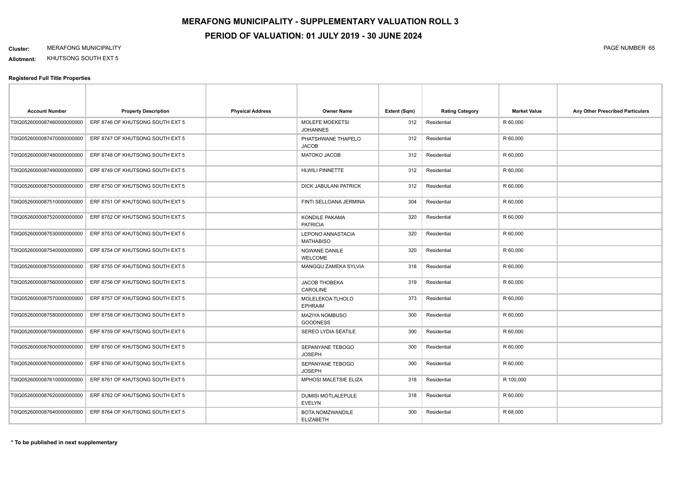**Allotment:** KHUTSONG SOUTH EXT 5

| <b>Account Number</b>      | <b>Property Description</b>      | <b>Physical Address</b> | <b>Owner Name</b>                            | Extent (Sqm) | <b>Rating Category</b> | <b>Market Value</b> | Any Other Prescribed Particulars |
|----------------------------|----------------------------------|-------------------------|----------------------------------------------|--------------|------------------------|---------------------|----------------------------------|
| T0IQ0526000087460000000000 | ERF 8746 OF KHUTSONG SOUTH EXT 5 |                         | <b>MOLEFE MOEKETSI</b><br><b>JOHANNES</b>    | 312          | Residential            | R 60,000            |                                  |
| T0IQ0526000087470000000000 | ERF 8747 OF KHUTSONG SOUTH EXT 5 |                         | PHATSHWANE THAPELO<br><b>JACOB</b>           | 312          | Residential            | R 60,000            |                                  |
| T0IQ0526000087480000000000 | ERF 8748 OF KHUTSONG SOUTH EXT 5 |                         | <b>MATOKO JACOB</b>                          | 312          | Residential            | R 60,000            |                                  |
| T0IQ0526000087490000000000 | ERF 8749 OF KHUTSONG SOUTH EXT 5 |                         | <b>HLWILI PINNETTE</b>                       | 312          | Residential            | R 60,000            |                                  |
| T0IQ0526000087500000000000 | ERF 8750 OF KHUTSONG SOUTH EXT 5 |                         | DICK JABULANI PATRICK                        | 312          | Residential            | R 60,000            |                                  |
| T0IQ0526000087510000000000 | ERF 8751 OF KHUTSONG SOUTH EXT 5 |                         | FINTI SELLOANA JERMINA                       | 304          | Residential            | R 60,000            |                                  |
| T0IQ0526000087520000000000 | ERF 8752 OF KHUTSONG SOUTH EXT 5 |                         | <b>KONDILE PAKAMA</b><br><b>PATRICIA</b>     | 320          | Residential            | R 60,000            |                                  |
| T0IQ0526000087530000000000 | ERF 8753 OF KHUTSONG SOUTH EXT 5 |                         | <b>LEPONO ANNASTACIA</b><br><b>MATHABISO</b> | 320          | Residential            | R 60,000            |                                  |
| T0IQ0526000087540000000000 | ERF 8754 OF KHUTSONG SOUTH EXT 5 |                         | NGWANE DANILE<br><b>WELCOME</b>              | 320          | Residential            | R 60,000            |                                  |
| T0IQ0526000087550000000000 | ERF 8755 OF KHUTSONG SOUTH EXT 5 |                         | <b>MANGQU ZAMEKA SYLVIA</b>                  | 318          | Residential            | R 60,000            |                                  |
| T0IQ0526000087560000000000 | ERF 8756 OF KHUTSONG SOUTH EXT 5 |                         | <b>JACOB THOBEKA</b><br>CAROLINE             | 319          | Residential            | R 60,000            |                                  |
| T0IQ0526000087570000000000 | ERF 8757 OF KHUTSONG SOUTH EXT 5 |                         | MOLELEKOA TLHOLO<br><b>EPHRAIM</b>           | 373          | Residential            | R 60,000            |                                  |
| T0IQ0526000087580000000000 | ERF 8758 OF KHUTSONG SOUTH EXT 5 |                         | MAZIYA NOMBUSO<br><b>GOODNESS</b>            | 300          | Residential            | R 60,000            |                                  |
| T0IQ0526000087590000000000 | ERF 8759 OF KHUTSONG SOUTH EXT 5 |                         | SEREO LYDIA SEATILE                          | 300          | Residential            | R 60,000            |                                  |
| T0IQ0526000087600000000000 | ERF 8760 OF KHUTSONG SOUTH EXT 5 |                         | SEPANYANE TEBOGO<br><b>JOSEPH</b>            | 300          | Residential            | R 60,000            |                                  |
| T0IQ0526000087600000000000 | ERF 8760 OF KHUTSONG SOUTH EXT 5 |                         | SEPANYANE TEBOGO<br><b>JOSEPH</b>            | 300          | Residential            | R 60,000            |                                  |
| T0IQ0526000087610000000000 | ERF 8761 OF KHUTSONG SOUTH EXT 5 |                         | MPHOSI MALETSIE ELIZA                        | 318          | Residential            | R 100,000           |                                  |
| T0IQ0526000087620000000000 | ERF 8762 OF KHUTSONG SOUTH EXT 5 |                         | <b>DUMISI MOTLALEPULE</b><br><b>EVELYN</b>   | 318          | Residential            | R 60,000            |                                  |
| T0IQ0526000087640000000000 | ERF 8764 OF KHUTSONG SOUTH EXT 5 |                         | BOTA NOMZWANDILE<br><b>ELIZABETH</b>         | 300          | Residential            | R 68,000            |                                  |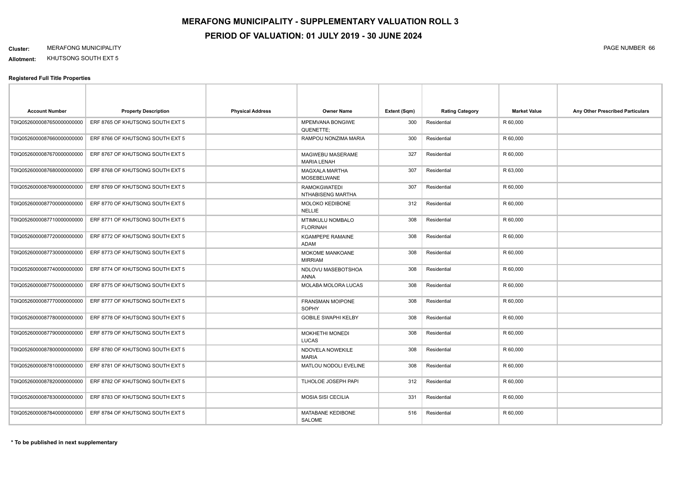**Allotment:** KHUTSONG SOUTH EXT 5

| <b>Account Number</b>      | <b>Property Description</b>      | <b>Physical Address</b> | <b>Owner Name</b>                           | Extent (Sqm) | <b>Rating Category</b> | <b>Market Value</b> | Any Other Prescribed Particulars |
|----------------------------|----------------------------------|-------------------------|---------------------------------------------|--------------|------------------------|---------------------|----------------------------------|
| T0IQ0526000087650000000000 | ERF 8765 OF KHUTSONG SOUTH EXT 5 |                         | MPEMVANA BONGIWE<br>QUENETTE:               | 300          | Residential            | R 60,000            |                                  |
| T0IQ0526000087660000000000 | ERF 8766 OF KHUTSONG SOUTH EXT 5 |                         | RAMPOU NONZIMA MARIA                        | 300          | Residential            | R 60,000            |                                  |
| T0IQ0526000087670000000000 | ERF 8767 OF KHUTSONG SOUTH EXT 5 |                         | MAGWEBU MASERAME<br><b>MARIA LENAH</b>      | 327          | Residential            | R 60,000            |                                  |
| T0IQ0526000087680000000000 | ERF 8768 OF KHUTSONG SOUTH EXT 5 |                         | <b>MAGXALA MARTHA</b><br><b>MOSEBELWANE</b> | 307          | Residential            | R 63,000            |                                  |
| T0IQ0526000087690000000000 | ERF 8769 OF KHUTSONG SOUTH EXT 5 |                         | <b>RAMOKGWATEDI</b><br>NTHABISENG MARTHA    | 307          | Residential            | R 60,000            |                                  |
| T0IQ0526000087700000000000 | ERF 8770 OF KHUTSONG SOUTH EXT 5 |                         | MOLOKO KEDIBONE<br><b>NELLIE</b>            | 312          | Residential            | R 60,000            |                                  |
| T0IQ0526000087710000000000 | ERF 8771 OF KHUTSONG SOUTH EXT 5 |                         | MTIMKULU NOMBALO<br><b>FLORINAH</b>         | 308          | Residential            | R 60,000            |                                  |
| T0IQ0526000087720000000000 | ERF 8772 OF KHUTSONG SOUTH EXT 5 |                         | <b>KGAMPEPE RAMAINE</b><br>ADAM             | 308          | Residential            | R 60,000            |                                  |
| T0IQ0526000087730000000000 | ERF 8773 OF KHUTSONG SOUTH EXT 5 |                         | MOKOME MANKOANE<br><b>MIRRIAM</b>           | 308          | Residential            | R 60,000            |                                  |
| T0IQ0526000087740000000000 | ERF 8774 OF KHUTSONG SOUTH EXT 5 |                         | NDLOVU MASEBOTSHOA<br>ANNA                  | 308          | Residential            | R 60,000            |                                  |
| T0IQ0526000087750000000000 | ERF 8775 OF KHUTSONG SOUTH EXT 5 |                         | MOLABA MOLORA LUCAS                         | 308          | Residential            | R 60,000            |                                  |
| T0IQ0526000087770000000000 | ERF 8777 OF KHUTSONG SOUTH EXT 5 |                         | <b>FRANSMAN MOIPONE</b><br><b>SOPHY</b>     | 308          | Residential            | R 60,000            |                                  |
| T0IQ0526000087780000000000 | ERF 8778 OF KHUTSONG SOUTH EXT 5 |                         | <b>GOBILE SWAPHI KELBY</b>                  | 308          | Residential            | R 60,000            |                                  |
| T0IQ0526000087790000000000 | ERF 8779 OF KHUTSONG SOUTH EXT 5 |                         | <b>MOKHETHI MONEDI</b><br><b>LUCAS</b>      | 308          | Residential            | R 60,000            |                                  |
| T0IQ0526000087800000000000 | ERF 8780 OF KHUTSONG SOUTH EXT 5 |                         | NDOVELA NOWEKILE<br><b>MARIA</b>            | 308          | Residential            | R 60,000            |                                  |
| T0IQ0526000087810000000000 | ERF 8781 OF KHUTSONG SOUTH EXT 5 |                         | MATLOU NODOLI EVELINE                       | 308          | Residential            | R 60,000            |                                  |
| T0IQ0526000087820000000000 | ERF 8782 OF KHUTSONG SOUTH EXT 5 |                         | TLHOLOE JOSEPH PAPI                         | 312          | Residential            | R 60,000            |                                  |
| T0IQ0526000087830000000000 | ERF 8783 OF KHUTSONG SOUTH EXT 5 |                         | <b>MOSIA SISI CECILIA</b>                   | 331          | Residential            | R 60,000            |                                  |
| T0IQ0526000087840000000000 | ERF 8784 OF KHUTSONG SOUTH EXT 5 |                         | MATABANE KEDIBONE<br><b>SALOME</b>          | 516          | Residential            | R 60,000            |                                  |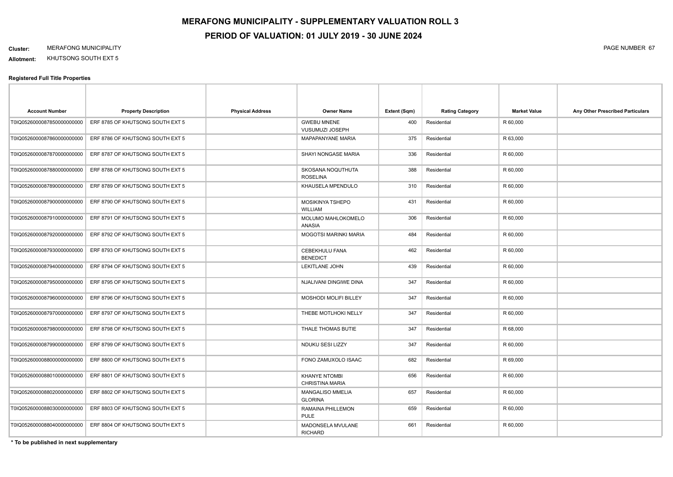**Allotment:** KHUTSONG SOUTH EXT 5

#### **Registered Full Title Properties**

| <b>Account Number</b>      | <b>Property Description</b>      | <b>Physical Address</b> | <b>Owner Name</b>                              | Extent (Sqm) | <b>Rating Category</b> | <b>Market Value</b> | Any Other Prescribed Particulars |
|----------------------------|----------------------------------|-------------------------|------------------------------------------------|--------------|------------------------|---------------------|----------------------------------|
| T0IQ0526000087850000000000 | ERF 8785 OF KHUTSONG SOUTH EXT 5 |                         | <b>GWEBU MNENE</b><br>VUSUMUZI JOSEPH          | 400          | Residential            | R 60,000            |                                  |
| T0IQ0526000087860000000000 | ERF 8786 OF KHUTSONG SOUTH EXT 5 |                         | <b>MAPAPANYANE MARIA</b>                       | 375          | Residential            | R 63,000            |                                  |
| T0IQ0526000087870000000000 | ERF 8787 OF KHUTSONG SOUTH EXT 5 |                         | SHAYI NONGASE MARIA                            | 336          | Residential            | R 60,000            |                                  |
| T0IQ0526000087880000000000 | ERF 8788 OF KHUTSONG SOUTH EXT 5 |                         | SKOSANA NOQUTHUTA<br><b>ROSELINA</b>           | 388          | Residential            | R 60,000            |                                  |
| T0IQ0526000087890000000000 | ERF 8789 OF KHUTSONG SOUTH EXT 5 |                         | KHAUSELA MPENDULO                              | 310          | Residential            | R 60,000            |                                  |
| T0IQ0526000087900000000000 | ERF 8790 OF KHUTSONG SOUTH EXT 5 |                         | MOSIKINYA TSHEPO<br>WILLIAM                    | 431          | Residential            | R 60,000            |                                  |
| T0IQ0526000087910000000000 | ERF 8791 OF KHUTSONG SOUTH EXT 5 |                         | MOLUMO MAHLOKOMELO<br>ANASIA                   | 306          | Residential            | R 60,000            |                                  |
| T0IQ0526000087920000000000 | ERF 8792 OF KHUTSONG SOUTH EXT 5 |                         | <b>MOGOTSI MARINKI MARIA</b>                   | 484          | Residential            | R 60,000            |                                  |
| T0IQ0526000087930000000000 | ERF 8793 OF KHUTSONG SOUTH EXT 5 |                         | <b>CEBEKHULU FANA</b><br><b>BENEDICT</b>       | 462          | Residential            | R 60,000            |                                  |
| T0IQ0526000087940000000000 | ERF 8794 OF KHUTSONG SOUTH EXT 5 |                         | LEKITLANE JOHN                                 | 439          | Residential            | R 60,000            |                                  |
| T0IQ0526000087950000000000 | ERF 8795 OF KHUTSONG SOUTH EXT 5 |                         | NJALIVANI DINGIWE DINA                         | 347          | Residential            | R 60,000            |                                  |
| T0IQ0526000087960000000000 | ERF 8796 OF KHUTSONG SOUTH EXT 5 |                         | MOSHODI MOLIFI BILLEY                          | 347          | Residential            | R 60,000            |                                  |
| T0IQ0526000087970000000000 | ERF 8797 OF KHUTSONG SOUTH EXT 5 |                         | THEBE MOTLHOKI NELLY                           | 347          | Residential            | R 60,000            |                                  |
| T0IQ0526000087980000000000 | ERF 8798 OF KHUTSONG SOUTH EXT 5 |                         | THALE THOMAS BUTIE                             | 347          | Residential            | R 68,000            |                                  |
| T0IQ0526000087990000000000 | ERF 8799 OF KHUTSONG SOUTH EXT 5 |                         | NDUKU SESI LIZZY                               | 347          | Residential            | R 60,000            |                                  |
| T0IQ0526000088000000000000 | ERF 8800 OF KHUTSONG SOUTH EXT 5 |                         | FONO ZAMUXOLO ISAAC                            | 682          | Residential            | R 69,000            |                                  |
| T0IQ0526000088010000000000 | ERF 8801 OF KHUTSONG SOUTH EXT 5 |                         | <b>KHANYE NTOMBI</b><br><b>CHRISTINA MARIA</b> | 656          | Residential            | R 60,000            |                                  |
| T0IQ0526000088020000000000 | ERF 8802 OF KHUTSONG SOUTH EXT 5 |                         | MANGALISO MMELIA<br><b>GLORINA</b>             | 657          | Residential            | R 60,000            |                                  |
| T0IQ0526000088030000000000 | ERF 8803 OF KHUTSONG SOUTH EXT 5 |                         | RAMAINA PHILLEMON<br><b>PULE</b>               | 659          | Residential            | R 60,000            |                                  |
| T0IQ0526000088040000000000 | ERF 8804 OF KHUTSONG SOUTH EXT 5 |                         | MADONSELA MVULANE<br><b>RICHARD</b>            | 661          | Residential            | R 60,000            |                                  |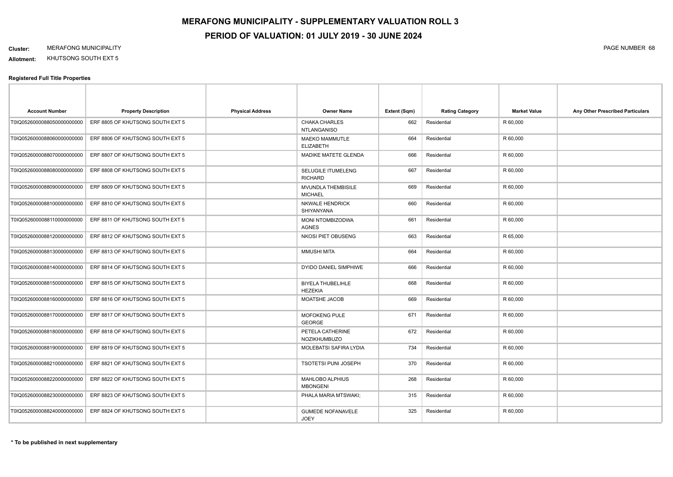**Allotment:** KHUTSONG SOUTH EXT 5

| <b>Account Number</b>      | <b>Property Description</b>      | <b>Physical Address</b> | <b>Owner Name</b>                          | Extent (Sqm) | <b>Rating Category</b> | <b>Market Value</b> | Any Other Prescribed Particulars |
|----------------------------|----------------------------------|-------------------------|--------------------------------------------|--------------|------------------------|---------------------|----------------------------------|
| T0IQ0526000088050000000000 | ERF 8805 OF KHUTSONG SOUTH EXT 5 |                         | CHAKA CHARLES<br><b>NTLANGANISO</b>        | 662          | Residential            | R 60,000            |                                  |
| T0IQ0526000088060000000000 | ERF 8806 OF KHUTSONG SOUTH EXT 5 |                         | <b>MAEKO MAMMUTLE</b><br><b>ELIZABETH</b>  | 664          | Residential            | R 60,000            |                                  |
| T0IQ0526000088070000000000 | ERF 8807 OF KHUTSONG SOUTH EXT 5 |                         | MADIKE MATETE GLENDA                       | 666          | Residential            | R 60,000            |                                  |
| T0IQ0526000088080000000000 | ERF 8808 OF KHUTSONG SOUTH EXT 5 |                         | SELUGILE ITUMELENG<br><b>RICHARD</b>       | 667          | Residential            | R 60,000            |                                  |
| T0IQ0526000088090000000000 | ERF 8809 OF KHUTSONG SOUTH EXT 5 |                         | MVUNDLA THEMBISILE<br><b>MICHAEL</b>       | 669          | Residential            | R 60,000            |                                  |
| T0IQ0526000088100000000000 | ERF 8810 OF KHUTSONG SOUTH EXT 5 |                         | <b>NKWALE HENDRICK</b><br>SHIYANYANA       | 660          | Residential            | R 60,000            |                                  |
| T0IQ0526000088110000000000 | ERF 8811 OF KHUTSONG SOUTH EXT 5 |                         | <b>MONI NTOMBIZODWA</b><br>AGNES           | 661          | Residential            | R 60,000            |                                  |
| T0IQ0526000088120000000000 | ERF 8812 OF KHUTSONG SOUTH EXT 5 |                         | NKOSI PIET OBUSENG                         | 663          | Residential            | R 65,000            |                                  |
| T0IQ0526000088130000000000 | ERF 8813 OF KHUTSONG SOUTH EXT 5 |                         | <b>MMUSHI MITA</b>                         | 664          | Residential            | R 60,000            |                                  |
| T0IQ0526000088140000000000 | ERF 8814 OF KHUTSONG SOUTH EXT 5 |                         | DYIDO DANIEL SIMPHIWE                      | 666          | Residential            | R 60,000            |                                  |
| T0IQ0526000088150000000000 | ERF 8815 OF KHUTSONG SOUTH EXT 5 |                         | <b>BIYELA THUBELIHLE</b><br><b>HEZEKIA</b> | 668          | Residential            | R 60,000            |                                  |
| T0IQ0526000088160000000000 | ERF 8816 OF KHUTSONG SOUTH EXT 5 |                         | MOATSHE JACOB                              | 669          | Residential            | R 60,000            |                                  |
| T0IQ0526000088170000000000 | ERF 8817 OF KHUTSONG SOUTH EXT 5 |                         | MOFOKENG PULE<br><b>GEORGE</b>             | 671          | Residential            | R 60,000            |                                  |
| T0IQ0526000088180000000000 | ERF 8818 OF KHUTSONG SOUTH EXT 5 |                         | PETELA CATHERINE<br><b>NOZIKHUMBUZO</b>    | 672          | Residential            | R 60,000            |                                  |
| T0IQ0526000088190000000000 | ERF 8819 OF KHUTSONG SOUTH EXT 5 |                         | MOLEBATSI SAFIRA LYDIA                     | 734          | Residential            | R 60,000            |                                  |
| T0IQ0526000088210000000000 | ERF 8821 OF KHUTSONG SOUTH EXT 5 |                         | <b>TSOTETSI PUNI JOSEPH</b>                | 370          | Residential            | R 60,000            |                                  |
| T0IQ0526000088220000000000 | ERF 8822 OF KHUTSONG SOUTH EXT 5 |                         | MAHLOBO ALPHIUS<br><b>MBONGENI</b>         | 268          | Residential            | R 60,000            |                                  |
| T0IQ0526000088230000000000 | ERF 8823 OF KHUTSONG SOUTH EXT 5 |                         | PHALA MARIA MTSWAKI;                       | 315          | Residential            | R 60,000            |                                  |
| T0IQ0526000088240000000000 | ERF 8824 OF KHUTSONG SOUTH EXT 5 |                         | <b>GUMEDE NOFANAVELE</b><br><b>JOEY</b>    | 325          | Residential            | R 60,000            |                                  |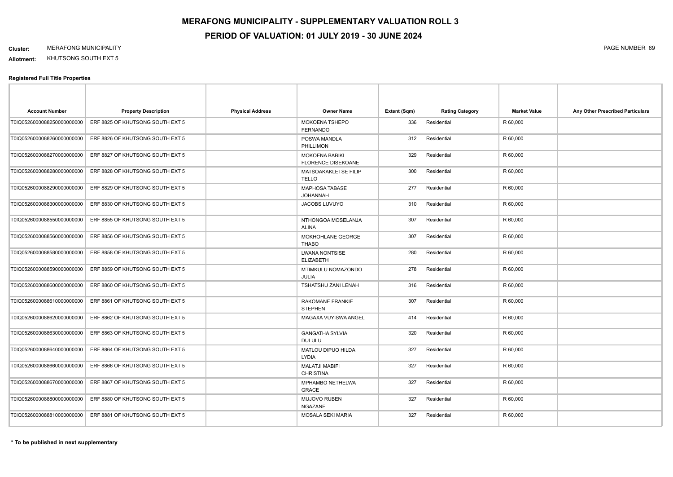**Allotment:** KHUTSONG SOUTH EXT 5

| <b>Account Number</b>      | <b>Property Description</b>      | <b>Physical Address</b> | <b>Owner Name</b>                                  | Extent (Sqm) | <b>Rating Category</b> | <b>Market Value</b> | Any Other Prescribed Particulars |
|----------------------------|----------------------------------|-------------------------|----------------------------------------------------|--------------|------------------------|---------------------|----------------------------------|
| T0IQ0526000088250000000000 | ERF 8825 OF KHUTSONG SOUTH EXT 5 |                         | MOKOENA TSHEPO<br><b>FERNANDO</b>                  | 336          | Residential            | R 60,000            |                                  |
| T0IQ0526000088260000000000 | ERF 8826 OF KHUTSONG SOUTH EXT 5 |                         | POSWA MANDLA<br>PHILLIMON                          | 312          | Residential            | R 60,000            |                                  |
| T0IQ0526000088270000000000 | ERF 8827 OF KHUTSONG SOUTH EXT 5 |                         | <b>MOKOENA BABIKI</b><br><b>FLORENCE DISEKOANE</b> | 329          | Residential            | R 60,000            |                                  |
| T0IQ0526000088280000000000 | ERF 8828 OF KHUTSONG SOUTH EXT 5 |                         | MATSOAKAKLETSE FILIP<br><b>TELLO</b>               | 300          | Residential            | R 60,000            |                                  |
| T0IQ0526000088290000000000 | ERF 8829 OF KHUTSONG SOUTH EXT 5 |                         | <b>MAPHOSA TABASE</b><br><b>HANNAHOL</b>           | 277          | Residential            | R 60,000            |                                  |
| T0IQ0526000088300000000000 | ERF 8830 OF KHUTSONG SOUTH EXT 5 |                         | JACOBS LUVUYO                                      | 310          | Residential            | R 60,000            |                                  |
| T0IQ0526000088550000000000 | ERF 8855 OF KHUTSONG SOUTH EXT 5 |                         | NTHONGOA MOSELANJA<br><b>ALINA</b>                 | 307          | Residential            | R 60,000            |                                  |
| T0IQ0526000088560000000000 | ERF 8856 OF KHUTSONG SOUTH EXT 5 |                         | MOKHOHLANE GEORGE<br><b>THABO</b>                  | 307          | Residential            | R 60,000            |                                  |
| T0IQ0526000088580000000000 | ERF 8858 OF KHUTSONG SOUTH EXT 5 |                         | <b>LWANA NONTSISE</b><br><b>ELIZABETH</b>          | 280          | Residential            | R 60,000            |                                  |
| T0IQ0526000088590000000000 | ERF 8859 OF KHUTSONG SOUTH EXT 5 |                         | MTIMKULU NOMAZONDO<br>JULIA                        | 278          | Residential            | R 60,000            |                                  |
| T0IQ0526000088600000000000 | ERF 8860 OF KHUTSONG SOUTH EXT 5 |                         | TSHATSHU ZANI LENAH                                | 316          | Residential            | R 60,000            |                                  |
| T0IQ0526000088610000000000 | ERF 8861 OF KHUTSONG SOUTH EXT 5 |                         | RAKOMANE FRANKIE<br><b>STEPHEN</b>                 | 307          | Residential            | R 60,000            |                                  |
| T0IQ0526000088620000000000 | ERF 8862 OF KHUTSONG SOUTH EXT 5 |                         | MAGAXA VUYISWA ANGEL                               | 414          | Residential            | R 60,000            |                                  |
| T0IQ0526000088630000000000 | ERF 8863 OF KHUTSONG SOUTH EXT 5 |                         | <b>GANGATHA SYLVIA</b><br><b>DULULU</b>            | 320          | Residential            | R 60,000            |                                  |
| T0IQ0526000088640000000000 | ERF 8864 OF KHUTSONG SOUTH EXT 5 |                         | MATLOU DIPUO HILDA<br>LYDIA                        | 327          | Residential            | R 60,000            |                                  |
| T0IQ0526000088660000000000 | ERF 8866 OF KHUTSONG SOUTH EXT 5 |                         | <b>MALATJI MABIFI</b><br><b>CHRISTINA</b>          | 327          | Residential            | R 60,000            |                                  |
| T0IQ0526000088670000000000 | ERF 8867 OF KHUTSONG SOUTH EXT 5 |                         | MPHAMBO NETHELWA<br><b>GRACE</b>                   | 327          | Residential            | R 60,000            |                                  |
| T0IQ0526000088800000000000 | ERF 8880 OF KHUTSONG SOUTH EXT 5 |                         | <b>MUJOVO RUBEN</b><br><b>NGAZANE</b>              | 327          | Residential            | R 60,000            |                                  |
| T0IQ0526000088810000000000 | ERF 8881 OF KHUTSONG SOUTH EXT 5 |                         | MOSALA SEKI MARIA                                  | 327          | Residential            | R 60,000            |                                  |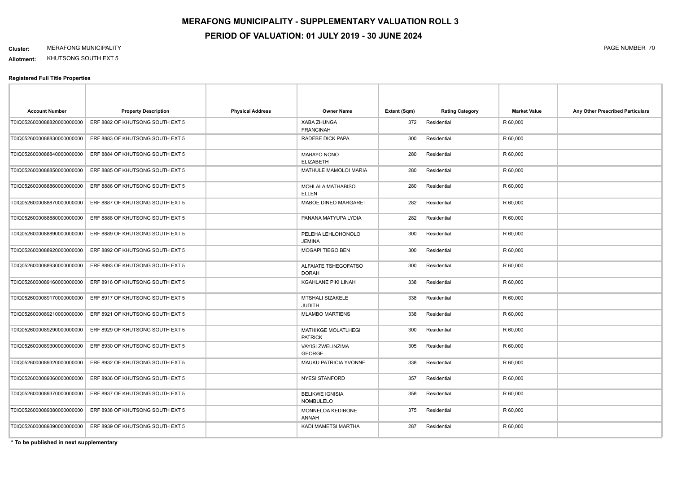**Allotment:** KHUTSONG SOUTH EXT 5

#### **Registered Full Title Properties**

| <b>Account Number</b>       | <b>Property Description</b>      | <b>Physical Address</b> | <b>Owner Name</b>                          | Extent (Sqm) | <b>Rating Category</b> | <b>Market Value</b> | Any Other Prescribed Particulars |
|-----------------------------|----------------------------------|-------------------------|--------------------------------------------|--------------|------------------------|---------------------|----------------------------------|
| T0IQ0526000088820000000000  | ERF 8882 OF KHUTSONG SOUTH EXT 5 |                         | XABA ZHUNGA<br><b>FRANCINAH</b>            | 372          | Residential            | R 60,000            |                                  |
| T0IQ0526000088830000000000  | ERF 8883 OF KHUTSONG SOUTH EXT 5 |                         | RADEBE DICK PAPA                           | 300          | Residential            | R 60,000            |                                  |
| T0IQ0526000088840000000000  | ERF 8884 OF KHUTSONG SOUTH EXT 5 |                         | MABAYO NONO<br><b>ELIZABETH</b>            | 280          | Residential            | R 60,000            |                                  |
| T0IQ0526000088850000000000  | ERF 8885 OF KHUTSONG SOUTH EXT 5 |                         | MATHULE MAMOLOI MARIA                      | 280          | Residential            | R 60,000            |                                  |
| T0IQ0526000088860000000000  | ERF 8886 OF KHUTSONG SOUTH EXT 5 |                         | MOHLALA MATHABISO<br><b>ELLEN</b>          | 280          | Residential            | R 60,000            |                                  |
| T0IQ0526000088870000000000  | ERF 8887 OF KHUTSONG SOUTH EXT 5 |                         | MABOE DINEO MARGARET                       | 282          | Residential            | R 60,000            |                                  |
| T0IQ0526000088880000000000  | ERF 8888 OF KHUTSONG SOUTH EXT 5 |                         | PANANA MATYUPA LYDIA                       | 282          | Residential            | R 60,000            |                                  |
| T0IQ0526000088890000000000  | ERF 8889 OF KHUTSONG SOUTH EXT 5 |                         | PELEHA LEHLOHONOLO<br><b>JEMINA</b>        | 300          | Residential            | R 60,000            |                                  |
| T0IQ0526000088920000000000  | ERF 8892 OF KHUTSONG SOUTH EXT 5 |                         | MOGAPI TIEGO BEN                           | 300          | Residential            | R 60,000            |                                  |
| T0IQ0526000088930000000000  | ERF 8893 OF KHUTSONG SOUTH EXT 5 |                         | ALFAIATE TSHEGOFATSO<br><b>DORAH</b>       | 300          | Residential            | R 60,000            |                                  |
| T0IQ0526000089160000000000  | ERF 8916 OF KHUTSONG SOUTH EXT 5 |                         | KGAHLANE PIKI LINAH                        | 338          | Residential            | R 60,000            |                                  |
| T0IQ0526000089170000000000  | ERF 8917 OF KHUTSONG SOUTH EXT 5 |                         | MTSHALI SIZAKELE<br><b>JUDITH</b>          | 338          | Residential            | R 60,000            |                                  |
| T0IQ0526000089210000000000  | ERF 8921 OF KHUTSONG SOUTH EXT 5 |                         | <b>MLAMBO MARTIENS</b>                     | 338          | Residential            | R 60,000            |                                  |
| T0IQ05260000892900000000000 | ERF 8929 OF KHUTSONG SOUTH EXT 5 |                         | MATHIKGE MOLATLHEGI<br><b>PATRICK</b>      | 300          | Residential            | R 60,000            |                                  |
| T0IQ05260000893000000000000 | ERF 8930 OF KHUTSONG SOUTH EXT 5 |                         | VAYISI ZWELINZIMA<br><b>GEORGE</b>         | 305          | Residential            | R 60,000            |                                  |
| T0IQ0526000089320000000000  | ERF 8932 OF KHUTSONG SOUTH EXT 5 |                         | MAUKU PATRICIA YVONNE                      | 338          | Residential            | R 60,000            |                                  |
| T0IQ0526000089360000000000  | ERF 8936 OF KHUTSONG SOUTH EXT 5 |                         | <b>NYESI STANFORD</b>                      | 357          | Residential            | R 60,000            |                                  |
| T0IQ0526000089370000000000  | ERF 8937 OF KHUTSONG SOUTH EXT 5 |                         | <b>BELIKWE IGNISIA</b><br><b>NOMBULELO</b> | 358          | Residential            | R 60,000            |                                  |
| T0IQ0526000089380000000000  | ERF 8938 OF KHUTSONG SOUTH EXT 5 |                         | MONNELOA KEDIBONE<br><b>ANNAH</b>          | 375          | Residential            | R 60,000            |                                  |
| T0IQ0526000089390000000000  | ERF 8939 OF KHUTSONG SOUTH EXT 5 |                         | KADI MAMETSI MARTHA                        | 287          | Residential            | R 60,000            |                                  |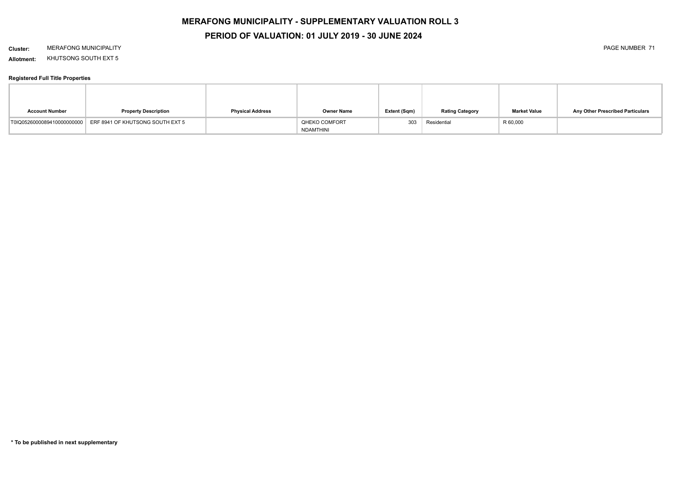# **MERAFONG MUNICIPALITY - SUPPLEMENTARY VALUATION ROLL 3**

### **PERIOD OF VALUATION: 01 JULY 2019 - 30 JUNE 2024**

#### **Cluster:** MERAFONG MUNICIPALITY PAGE NUMBER 71

**Allotment:** KHUTSONG SOUTH EXT 5

| <b>Account Number</b> | <b>Property Description</b>                                 | <b>Physical Address</b> | <b>Owner Name</b> | Extent (Sqm) | <b>Rating Category</b> | <b>Market Value</b> | Any Other Prescribed Particulars |
|-----------------------|-------------------------------------------------------------|-------------------------|-------------------|--------------|------------------------|---------------------|----------------------------------|
|                       | T0IQ0526000089410000000000 ERF 8941 OF KHUTSONG SOUTH EXT 5 |                         | QHEKO COMFORT     | 303          | Residential            | R 60,000            |                                  |
|                       |                                                             |                         | NDAMTHINI         |              |                        |                     |                                  |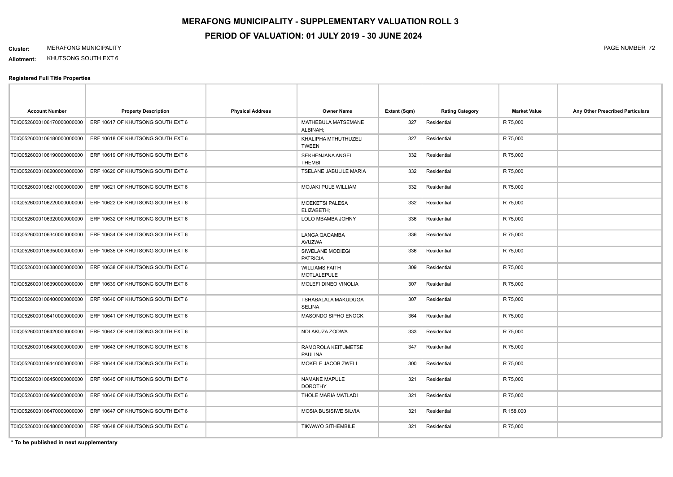**Allotment:** KHUTSONG SOUTH EXT 6

#### **Registered Full Title Properties**

| <b>Account Number</b>       | <b>Property Description</b>       | <b>Physical Address</b> | <b>Owner Name</b>                    | Extent (Sqm) | <b>Rating Category</b> | <b>Market Value</b> | Any Other Prescribed Particulars |
|-----------------------------|-----------------------------------|-------------------------|--------------------------------------|--------------|------------------------|---------------------|----------------------------------|
| T0IQ0526000106170000000000  | ERF 10617 OF KHUTSONG SOUTH EXT 6 |                         | MATHEBULA MATSEMANE<br>ALBINAH;      | 327          | Residential            | R 75,000            |                                  |
| T0IQ0526000106180000000000  | ERF 10618 OF KHUTSONG SOUTH EXT 6 |                         | KHALIPHA MTHUTHUZELI<br><b>TWEEN</b> | 327          | Residential            | R 75,000            |                                  |
| T0IQ0526000106190000000000  | ERF 10619 OF KHUTSONG SOUTH EXT 6 |                         | SEKHENJANA ANGEL<br>THEMBI           | 332          | Residential            | R 75,000            |                                  |
| T0IQ0526000106200000000000  | ERF 10620 OF KHUTSONG SOUTH EXT 6 |                         | TSELANE JABULILE MARIA               | 332          | Residential            | R 75,000            |                                  |
| T0IQ0526000106210000000000  | ERF 10621 OF KHUTSONG SOUTH EXT 6 |                         | MOJAKI PULE WILLIAM                  | 332          | Residential            | R 75,000            |                                  |
| T0IQ0526000106220000000000  | ERF 10622 OF KHUTSONG SOUTH EXT 6 |                         | <b>MOEKETSI PALESA</b><br>ELIZABETH; | 332          | Residential            | R 75,000            |                                  |
| T0IQ0526000106320000000000  | ERF 10632 OF KHUTSONG SOUTH EXT 6 |                         | LOLO MBAMBA JOHNY                    | 336          | Residential            | R 75,000            |                                  |
| T0IQ0526000106340000000000  | ERF 10634 OF KHUTSONG SOUTH EXT 6 |                         | LANGA QAQAMBA<br>AVUZWA              | 336          | Residential            | R 75,000            |                                  |
| T0IQ0526000106350000000000  | ERF 10635 OF KHUTSONG SOUTH EXT 6 |                         | SIWELANE MODIEGI<br><b>PATRICIA</b>  | 336          | Residential            | R 75,000            |                                  |
| T0IQ0526000106380000000000  | ERF 10638 OF KHUTSONG SOUTH EXT 6 |                         | <b>WILLIAMS FAITH</b><br>MOTLALEPULE | 309          | Residential            | R 75,000            |                                  |
| T0IQ05260001063900000000000 | ERF 10639 OF KHUTSONG SOUTH EXT 6 |                         | MOLEFI DINEO VINOLIA                 | 307          | Residential            | R 75,000            |                                  |
| T0IQ05260001064000000000000 | ERF 10640 OF KHUTSONG SOUTH EXT 6 |                         | TSHABALALA MAKUDUGA<br><b>SELINA</b> | 307          | Residential            | R 75,000            |                                  |
| T0IQ0526000106410000000000  | ERF 10641 OF KHUTSONG SOUTH EXT 6 |                         | MASONDO SIPHO ENOCK                  | 364          | Residential            | R 75,000            |                                  |
| T0IQ0526000106420000000000  | ERF 10642 OF KHUTSONG SOUTH EXT 6 |                         | NDLAKUZA ZODWA                       | 333          | Residential            | R 75,000            |                                  |
| T0IQ0526000106430000000000  | ERF 10643 OF KHUTSONG SOUTH EXT 6 |                         | RAMOROLA KEITUMETSE<br>PAULINA       | 347          | Residential            | R 75,000            |                                  |
| T0IQ0526000106440000000000  | ERF 10644 OF KHUTSONG SOUTH EXT 6 |                         | MOKELE JACOB ZWELI                   | 300          | Residential            | R 75,000            |                                  |
| T0IQ0526000106450000000000  | ERF 10645 OF KHUTSONG SOUTH EXT 6 |                         | NAMANE MAPULE<br><b>DOROTHY</b>      | 321          | Residential            | R 75,000            |                                  |
| T0IQ0526000106460000000000  | ERF 10646 OF KHUTSONG SOUTH EXT 6 |                         | THOLE MARIA MATLADI                  | 321          | Residential            | R 75,000            |                                  |
| T0IQ0526000106470000000000  | ERF 10647 OF KHUTSONG SOUTH EXT 6 |                         | MOSIA BUSISIWE SILVIA                | 321          | Residential            | R 158,000           |                                  |
| T0IQ0526000106480000000000  | ERF 10648 OF KHUTSONG SOUTH EXT 6 |                         | <b>TIKWAYO SITHEMBILE</b>            | 321          | Residential            | R 75,000            |                                  |

**\* To be published in next supplementary**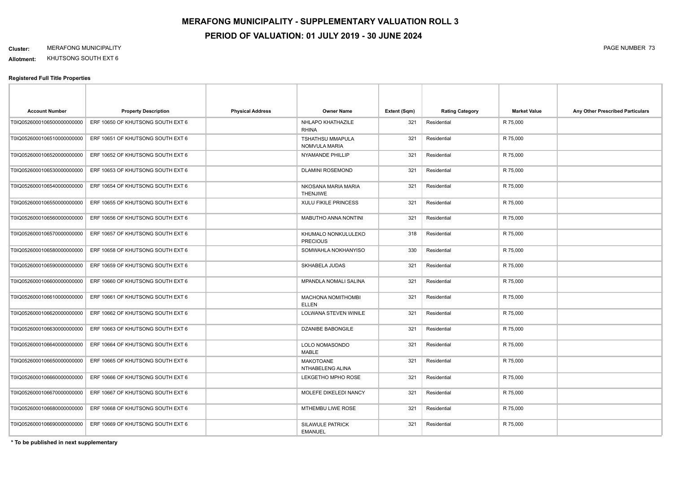**Allotment:** KHUTSONG SOUTH EXT 6

#### **Registered Full Title Properties**

| <b>Account Number</b>       | <b>Property Description</b>                                  | <b>Physical Address</b> | <b>Owner Name</b>                         | Extent (Sqm) | <b>Rating Category</b> | <b>Market Value</b> | Any Other Prescribed Particulars |
|-----------------------------|--------------------------------------------------------------|-------------------------|-------------------------------------------|--------------|------------------------|---------------------|----------------------------------|
| T0IQ05260001065000000000000 | ERF 10650 OF KHUTSONG SOUTH EXT 6                            |                         | NHLAPO KHATHAZILE<br><b>RHINA</b>         | 321          | Residential            | R 75,000            |                                  |
|                             | T0IQ0526000106510000000000 ERF 10651 OF KHUTSONG SOUTH EXT 6 |                         | <b>TSHATHSU MMAPULA</b><br>NOMVULA MARIA  | 321          | Residential            | R 75,000            |                                  |
| T0IQ0526000106520000000000  | ERF 10652 OF KHUTSONG SOUTH EXT 6                            |                         | NYAMANDE PHILLIP                          | 321          | Residential            | R 75,000            |                                  |
|                             | T0IQ0526000106530000000000 ERF 10653 OF KHUTSONG SOUTH EXT 6 |                         | <b>DLAMINI ROSEMOND</b>                   | 321          | Residential            | R 75,000            |                                  |
| T0IQ05260001065400000000000 | ERF 10654 OF KHUTSONG SOUTH EXT 6                            |                         | NKOSANA MARIA MARIA<br><b>THENJIWE</b>    | 321          | Residential            | R 75,000            |                                  |
| T0IQ0526000106550000000000  | ERF 10655 OF KHUTSONG SOUTH EXT 6                            |                         | <b>XULU FIKILE PRINCESS</b>               | 321          | Residential            | R 75,000            |                                  |
| T0IQ0526000106560000000000  | ERF 10656 OF KHUTSONG SOUTH EXT 6                            |                         | MABUTHO ANNA NONTINI                      | 321          | Residential            | R 75,000            |                                  |
|                             | T0IQ0526000106570000000000 ERF 10657 OF KHUTSONG SOUTH EXT 6 |                         | KHUMALO NONKULULEKO<br><b>PRECIOUS</b>    | 318          | Residential            | R 75,000            |                                  |
| T0IQ05260001065800000000000 | ERF 10658 OF KHUTSONG SOUTH EXT 6                            |                         | SOMWAHLA NOKHANYISO                       | 330          | Residential            | R 75,000            |                                  |
| T0IQ0526000106590000000000  | ERF 10659 OF KHUTSONG SOUTH EXT 6                            |                         | SKHABELA JUDAS                            | 321          | Residential            | R 75,000            |                                  |
| T0IQ05260001066000000000000 | ERF 10660 OF KHUTSONG SOUTH EXT 6                            |                         | MPANDLA NOMALI SALINA                     | 321          | Residential            | R 75,000            |                                  |
| T0IQ05260001066100000000000 | ERF 10661 OF KHUTSONG SOUTH EXT 6                            |                         | MACHONA NOMITHOMBI<br><b>ELLEN</b>        | 321          | Residential            | R 75,000            |                                  |
| T0IQ0526000106620000000000  | ERF 10662 OF KHUTSONG SOUTH EXT 6                            |                         | LOLWANA STEVEN WINILE                     | 321          | Residential            | R 75,000            |                                  |
| T0IQ05260001066300000000000 | ERF 10663 OF KHUTSONG SOUTH EXT 6                            |                         | <b>DZANIBE BABONGILE</b>                  | 321          | Residential            | R 75,000            |                                  |
| T0IQ0526000106640000000000  | ERF 10664 OF KHUTSONG SOUTH EXT 6                            |                         | LOLO NOMASONDO<br>MABLE                   | 321          | Residential            | R 75,000            |                                  |
| T0IQ0526000106650000000000  | ERF 10665 OF KHUTSONG SOUTH EXT 6                            |                         | MAKOTOANE<br>NTHABELENG ALINA             | 321          | Residential            | R 75,000            |                                  |
| T0IQ0526000106660000000000  | ERF 10666 OF KHUTSONG SOUTH EXT 6                            |                         | LEKGETHO MPHO ROSE                        | 321          | Residential            | R 75,000            |                                  |
| T0IQ05260001066700000000000 | ERF 10667 OF KHUTSONG SOUTH EXT 6                            |                         | MOLEFE DIKELEDI NANCY                     | 321          | Residential            | R 75,000            |                                  |
| T0IQ0526000106680000000000  | ERF 10668 OF KHUTSONG SOUTH EXT 6                            |                         | MTHEMBU LIWE ROSE                         | 321          | Residential            | R 75,000            |                                  |
|                             | T0IQ0526000106690000000000 ERF 10669 OF KHUTSONG SOUTH EXT 6 |                         | <b>SILAWULE PATRICK</b><br><b>EMANUEL</b> | 321          | Residential            | R 75,000            |                                  |

**\* To be published in next supplementary**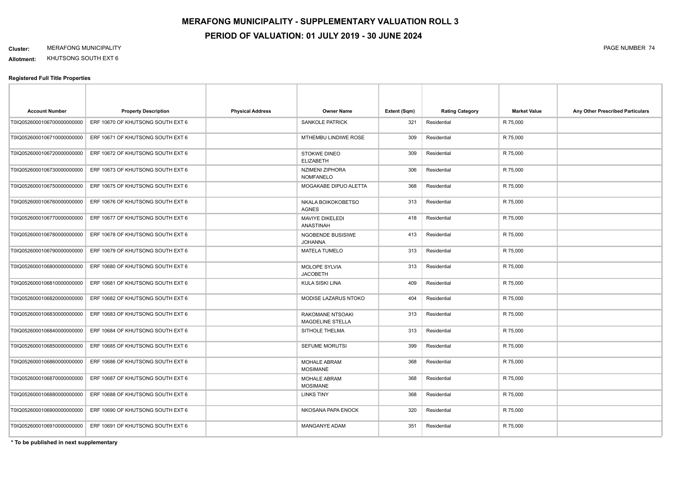**Allotment:** KHUTSONG SOUTH EXT 6

#### **Registered Full Title Properties**

| <b>Account Number</b>      | <b>Property Description</b>       | <b>Physical Address</b> | <b>Owner Name</b>                           | Extent (Sqm) | <b>Rating Category</b> | <b>Market Value</b> | Any Other Prescribed Particulars |
|----------------------------|-----------------------------------|-------------------------|---------------------------------------------|--------------|------------------------|---------------------|----------------------------------|
| T0IQ0526000106700000000000 | ERF 10670 OF KHUTSONG SOUTH EXT 6 |                         | <b>SANKOLE PATRICK</b>                      | 321          | Residential            | R 75,000            |                                  |
| T0IQ0526000106710000000000 | ERF 10671 OF KHUTSONG SOUTH EXT 6 |                         | MTHEMBU LINDIWE ROSE                        | 309          | Residential            | R 75,000            |                                  |
| T0IQ0526000106720000000000 | ERF 10672 OF KHUTSONG SOUTH EXT 6 |                         | <b>STOKWE DINEO</b><br><b>ELIZABETH</b>     | 309          | Residential            | R 75,000            |                                  |
| T0IQ0526000106730000000000 | ERF 10673 OF KHUTSONG SOUTH EXT 6 |                         | <b>NZIMENI ZIPHORA</b><br><b>NOMFANELO</b>  | 306          | Residential            | R 75,000            |                                  |
| T0IQ0526000106750000000000 | ERF 10675 OF KHUTSONG SOUTH EXT 6 |                         | MOGAKABE DIPUO ALETTA                       | 368          | Residential            | R 75,000            |                                  |
| T0IQ0526000106760000000000 | ERF 10676 OF KHUTSONG SOUTH EXT 6 |                         | NKALA BOIKOKOBETSO<br><b>AGNES</b>          | 313          | Residential            | R 75,000            |                                  |
| T0IQ0526000106770000000000 | ERF 10677 OF KHUTSONG SOUTH EXT 6 |                         | <b>MAVIYE DIKELEDI</b><br><b>ANASTINAH</b>  | 418          | Residential            | R 75,000            |                                  |
| T0IQ0526000106780000000000 | ERF 10678 OF KHUTSONG SOUTH EXT 6 |                         | <b>NGOBENDE BUSISIWE</b><br><b>JOHANNA</b>  | 413          | Residential            | R 75,000            |                                  |
| T0IQ0526000106790000000000 | ERF 10679 OF KHUTSONG SOUTH EXT 6 |                         | <b>MATELA TUMELO</b>                        | 313          | Residential            | R 75,000            |                                  |
| T0IQ0526000106800000000000 | ERF 10680 OF KHUTSONG SOUTH EXT 6 |                         | <b>MOLOPE SYLVIA</b><br><b>JACOBETH</b>     | 313          | Residential            | R 75,000            |                                  |
| T0IQ0526000106810000000000 | ERF 10681 OF KHUTSONG SOUTH EXT 6 |                         | KULA SISKI LINA                             | 409          | Residential            | R 75,000            |                                  |
| T0IQ0526000106820000000000 | ERF 10682 OF KHUTSONG SOUTH EXT 6 |                         | MODISE LAZARUS NTOKO                        | 404          | Residential            | R 75,000            |                                  |
| T0IQ0526000106830000000000 | ERF 10683 OF KHUTSONG SOUTH EXT 6 |                         | RAKOMANE NTSOAKI<br><b>MAGDELINE STELLA</b> | 313          | Residential            | R 75,000            |                                  |
| T0IQ0526000106840000000000 | ERF 10684 OF KHUTSONG SOUTH EXT 6 |                         | SITHOLE THELMA                              | 313          | Residential            | R 75,000            |                                  |
| T0IQ0526000106850000000000 | ERF 10685 OF KHUTSONG SOUTH EXT 6 |                         | SEFUME MORUTSI                              | 399          | Residential            | R 75,000            |                                  |
| T0IQ0526000106860000000000 | ERF 10686 OF KHUTSONG SOUTH EXT 6 |                         | <b>MOHALE ABRAM</b><br><b>MOSIMANE</b>      | 368          | Residential            | R 75,000            |                                  |
| T0IQ0526000106870000000000 | ERF 10687 OF KHUTSONG SOUTH EXT 6 |                         | <b>MOHALE ABRAM</b><br><b>MOSIMANE</b>      | 368          | Residential            | R 75,000            |                                  |
| T0IQ0526000106880000000000 | ERF 10688 OF KHUTSONG SOUTH EXT 6 |                         | <b>LINKS TINY</b>                           | 368          | Residential            | R 75,000            |                                  |
| T0IQ0526000106900000000000 | ERF 10690 OF KHUTSONG SOUTH EXT 6 |                         | NKOSANA PAPA ENOCK                          | 320          | Residential            | R 75,000            |                                  |
| T0IQ0526000106910000000000 | ERF 10691 OF KHUTSONG SOUTH EXT 6 |                         | <b>MANGANYE ADAM</b>                        | 351          | Residential            | R 75,000            |                                  |

**\* To be published in next supplementary**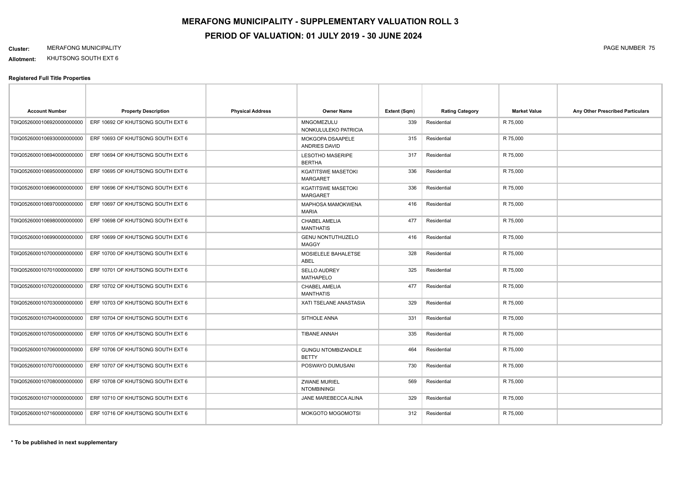**Allotment:** KHUTSONG SOUTH EXT 6

| <b>Account Number</b>       | <b>Property Description</b>       | <b>Physical Address</b> | <b>Owner Name</b>                            | Extent (Sqm) | <b>Rating Category</b> | <b>Market Value</b> | Any Other Prescribed Particulars |
|-----------------------------|-----------------------------------|-------------------------|----------------------------------------------|--------------|------------------------|---------------------|----------------------------------|
| T0IQ0526000106920000000000  | ERF 10692 OF KHUTSONG SOUTH EXT 6 |                         | MNGOMEZULU<br>NONKULULEKO PATRICIA           | 339          | Residential            | R 75,000            |                                  |
| T0IQ0526000106930000000000  | ERF 10693 OF KHUTSONG SOUTH EXT 6 |                         | MOKGOPA DSAAPELE<br>ANDRIES DAVID            | 315          | Residential            | R 75,000            |                                  |
| T0IQ0526000106940000000000  | ERF 10694 OF KHUTSONG SOUTH EXT 6 |                         | <b>LESOTHO MASERIPE</b><br><b>BERTHA</b>     | 317          | Residential            | R 75,000            |                                  |
| T0IQ0526000106950000000000  | ERF 10695 OF KHUTSONG SOUTH EXT 6 |                         | <b>KGATITSWE MASETOKI</b><br><b>MARGARET</b> | 336          | Residential            | R 75,000            |                                  |
| T0IQ0526000106960000000000  | ERF 10696 OF KHUTSONG SOUTH EXT 6 |                         | <b>KGATITSWE MASETOKI</b><br><b>MARGARET</b> | 336          | Residential            | R 75,000            |                                  |
| T0IQ0526000106970000000000  | ERF 10697 OF KHUTSONG SOUTH EXT 6 |                         | MAPHOSA MAMOKWENA<br><b>MARIA</b>            | 416          | Residential            | R 75,000            |                                  |
| T0IQ0526000106980000000000  | ERF 10698 OF KHUTSONG SOUTH EXT 6 |                         | CHABEL AMELIA<br><b>MANTHATIS</b>            | 477          | Residential            | R 75,000            |                                  |
| T0IQ05260001069900000000000 | ERF 10699 OF KHUTSONG SOUTH EXT 6 |                         | <b>GENU NONTUTHUZELO</b><br><b>MAGGY</b>     | 416          | Residential            | R 75,000            |                                  |
| T0IQ05260001070000000000000 | ERF 10700 OF KHUTSONG SOUTH EXT 6 |                         | MOSIELELE BAHALETSE<br>ABEL                  | 328          | Residential            | R 75,000            |                                  |
| T0IQ0526000107010000000000  | ERF 10701 OF KHUTSONG SOUTH EXT 6 |                         | <b>SELLO AUDREY</b><br><b>MATHAPELO</b>      | 325          | Residential            | R 75,000            |                                  |
| T0IQ0526000107020000000000  | ERF 10702 OF KHUTSONG SOUTH EXT 6 |                         | CHABEL AMELIA<br><b>MANTHATIS</b>            | 477          | Residential            | R 75,000            |                                  |
| T0IQ0526000107030000000000  | ERF 10703 OF KHUTSONG SOUTH EXT 6 |                         | XATI TSELANE ANASTASIA                       | 329          | Residential            | R 75,000            |                                  |
| T0IQ0526000107040000000000  | ERF 10704 OF KHUTSONG SOUTH EXT 6 |                         | SITHOLE ANNA                                 | 331          | Residential            | R 75,000            |                                  |
| T0IQ0526000107050000000000  | ERF 10705 OF KHUTSONG SOUTH EXT 6 |                         | <b>TIBANE ANNAH</b>                          | 335          | Residential            | R 75,000            |                                  |
| T0IQ0526000107060000000000  | ERF 10706 OF KHUTSONG SOUTH EXT 6 |                         | <b>GUNGU NTOMBIZANDILE</b><br><b>BETTY</b>   | 464          | Residential            | R 75,000            |                                  |
| T0IQ0526000107070000000000  | ERF 10707 OF KHUTSONG SOUTH EXT 6 |                         | POSWAYO DUMUSANI                             | 730          | Residential            | R 75,000            |                                  |
| T0IQ0526000107080000000000  | ERF 10708 OF KHUTSONG SOUTH EXT 6 |                         | <b>ZWANE MURIEL</b><br><b>NTOMBININGI</b>    | 569          | Residential            | R 75,000            |                                  |
| T0IQ0526000107100000000000  | ERF 10710 OF KHUTSONG SOUTH EXT 6 |                         | JANE MAREBECCA ALINA                         | 329          | Residential            | R 75,000            |                                  |
| T0IQ0526000107160000000000  | ERF 10716 OF KHUTSONG SOUTH EXT 6 |                         | MOKGOTO MOGOMOTSI                            | 312          | Residential            | R 75,000            |                                  |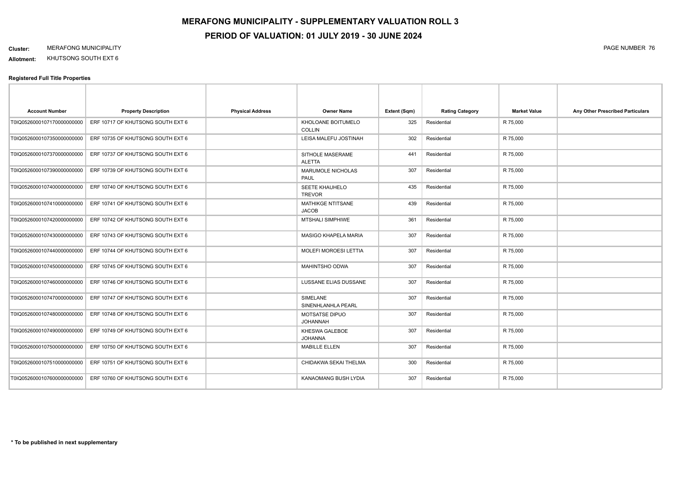**Allotment:** KHUTSONG SOUTH EXT 6

| <b>Account Number</b>      | <b>Property Description</b>       | <b>Physical Address</b> | <b>Owner Name</b>                        | Extent (Sqm) | <b>Rating Category</b> | <b>Market Value</b> | Any Other Prescribed Particulars |
|----------------------------|-----------------------------------|-------------------------|------------------------------------------|--------------|------------------------|---------------------|----------------------------------|
| T0IQ0526000107170000000000 | ERF 10717 OF KHUTSONG SOUTH EXT 6 |                         | KHOLOANE BOITUMELO<br><b>COLLIN</b>      | 325          | Residential            | R 75,000            |                                  |
| T0IQ0526000107350000000000 | ERF 10735 OF KHUTSONG SOUTH EXT 6 |                         | LEISA MALEFU JOSTINAH                    | 302          | Residential            | R 75,000            |                                  |
| T0IQ0526000107370000000000 | ERF 10737 OF KHUTSONG SOUTH EXT 6 |                         | SITHOLE MASERAME<br><b>ALETTA</b>        | 441          | Residential            | R 75,000            |                                  |
| T0IQ0526000107390000000000 | ERF 10739 OF KHUTSONG SOUTH EXT 6 |                         | MARUMOLE NICHOLAS<br>PAUL                | 307          | Residential            | R 75,000            |                                  |
| T0IQ0526000107400000000000 | ERF 10740 OF KHUTSONG SOUTH EXT 6 |                         | <b>SEETE KHAUHELO</b><br><b>TREVOR</b>   | 435          | Residential            | R 75,000            |                                  |
| T0IQ0526000107410000000000 | ERF 10741 OF KHUTSONG SOUTH EXT 6 |                         | <b>MATHIKGE NTITSANE</b><br><b>JACOB</b> | 439          | Residential            | R 75,000            |                                  |
| T0IQ0526000107420000000000 | ERF 10742 OF KHUTSONG SOUTH EXT 6 |                         | <b>MTSHALI SIMPHIWE</b>                  | 361          | Residential            | R 75,000            |                                  |
| T0IQ0526000107430000000000 | ERF 10743 OF KHUTSONG SOUTH EXT 6 |                         | <b>MASIGO KHAPELA MARIA</b>              | 307          | Residential            | R 75,000            |                                  |
| T0IQ0526000107440000000000 | ERF 10744 OF KHUTSONG SOUTH EXT 6 |                         | <b>MOLEFI MOROESI LETTIA</b>             | 307          | Residential            | R 75,000            |                                  |
| T0IQ0526000107450000000000 | ERF 10745 OF KHUTSONG SOUTH EXT 6 |                         | MAHINTSHO ODWA                           | 307          | Residential            | R 75,000            |                                  |
| T0IQ0526000107460000000000 | ERF 10746 OF KHUTSONG SOUTH EXT 6 |                         | LUSSANE ELIAS DUSSANE                    | 307          | Residential            | R 75,000            |                                  |
| T0IQ0526000107470000000000 | ERF 10747 OF KHUTSONG SOUTH EXT 6 |                         | SIMELANE<br>SINENHLANHLA PEARL           | 307          | Residential            | R 75,000            |                                  |
| T0IQ0526000107480000000000 | ERF 10748 OF KHUTSONG SOUTH EXT 6 |                         | <b>MOTSATSE DIPUO</b><br><b>JOHANNAH</b> | 307          | Residential            | R 75,000            |                                  |
| T0IQ0526000107490000000000 | ERF 10749 OF KHUTSONG SOUTH EXT 6 |                         | KHESWA GALEBOE<br><b>JOHANNA</b>         | 307          | Residential            | R 75,000            |                                  |
| T0IQ0526000107500000000000 | ERF 10750 OF KHUTSONG SOUTH EXT 6 |                         | <b>MABILLE ELLEN</b>                     | 307          | Residential            | R 75,000            |                                  |
| T0IQ0526000107510000000000 | ERF 10751 OF KHUTSONG SOUTH EXT 6 |                         | CHIDAKWA SEKAI THELMA                    | 300          | Residential            | R 75,000            |                                  |
| T0IQ0526000107600000000000 | ERF 10760 OF KHUTSONG SOUTH EXT 6 |                         | KANAOMANG BUSH LYDIA                     | 307          | Residential            | R 75,000            |                                  |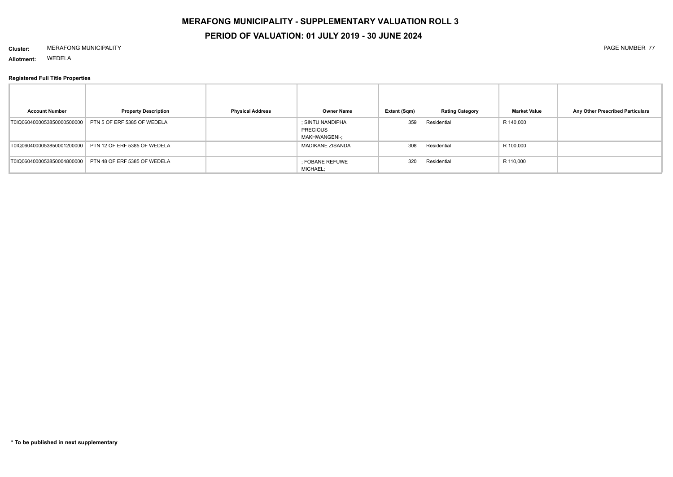# **MERAFONG MUNICIPALITY - SUPPLEMENTARY VALUATION ROLL 3**

# **PERIOD OF VALUATION: 01 JULY 2019 - 30 JUNE 2024**

#### **Cluster:** MERAFONG MUNICIPALITY PAGE NUMBER 77

**Allotment:** WEDELA

| <b>Account Number</b>      | <b>Property Description</b>  | <b>Physical Address</b> | <b>Owner Name</b>                                           | Extent (Sqm) | <b>Rating Category</b> | <b>Market Value</b> | Any Other Prescribed Particulars |
|----------------------------|------------------------------|-------------------------|-------------------------------------------------------------|--------------|------------------------|---------------------|----------------------------------|
| T0IQ0604000053850000500000 | PTN 5 OF ERF 5385 OF WEDELA  |                         | ; SINTU NANDIPHA<br><b>PRECIOUS</b><br><b>MAKHWANGENI-;</b> | 359          | Residential            | R 140,000           |                                  |
| T0IQ0604000053850001200000 | PTN 12 OF ERF 5385 OF WEDELA |                         | <b>MADIKANE ZISANDA</b>                                     | 308          | Residential            | R 100,000           |                                  |
| T0IQ0604000053850004800000 | PTN 48 OF ERF 5385 OF WEDELA |                         | ; FOBANE REFUWE<br>MICHAEL;                                 | 320          | Residential            | R 110,000           |                                  |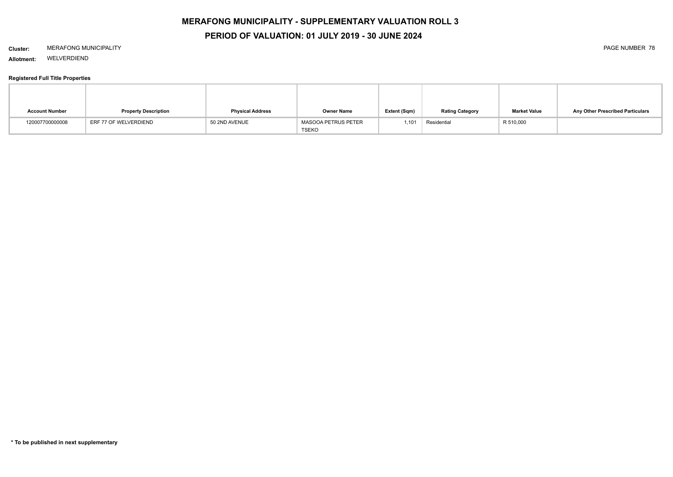# **MERAFONG MUNICIPALITY - SUPPLEMENTARY VALUATION ROLL 3**

# **PERIOD OF VALUATION: 01 JULY 2019 - 30 JUNE 2024**

#### **Cluster:** MERAFONG MUNICIPALITY PAGE NUMBER 78

**Allotment:** WELVERDIEND

| <b>Account Number</b> | <b>Property Description</b> | <b>Physical Address</b> | <b>Owner Name</b>                   | Extent (Sqm) | <b>Rating Category</b> | <b>Market Value</b> | Any Other Prescribed Particulars |
|-----------------------|-----------------------------|-------------------------|-------------------------------------|--------------|------------------------|---------------------|----------------------------------|
| 120007700000008       | ERF 77 OF WELVERDIEND       | 50 2ND AVENUE           | <b>MASOOA PETRUS PETER</b><br>TSEKO | 1,101        | Residential            | R 510,000           |                                  |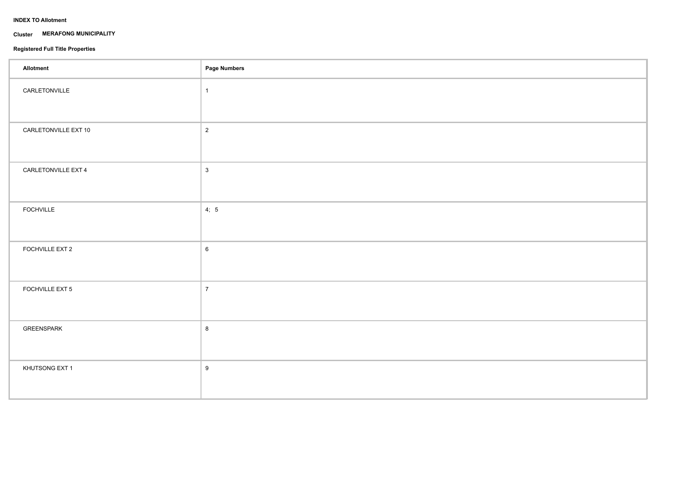## **INDEX TO Allotment**

#### **Cluster MERAFONG MUNICIPALITY**

| <b>Allotment</b>     | Page Numbers     |
|----------------------|------------------|
| CARLETONVILLE        | $\overline{1}$   |
| CARLETONVILLE EXT 10 | $\sqrt{2}$       |
| CARLETONVILLE EXT 4  | $\mathbf{3}$     |
| <b>FOCHVILLE</b>     | 4; 5             |
| FOCHVILLE EXT 2      | $\,6\,$          |
| FOCHVILLE EXT 5      | $\overline{7}$   |
| GREENSPARK           | 8                |
| KHUTSONG EXT 1       | $\boldsymbol{9}$ |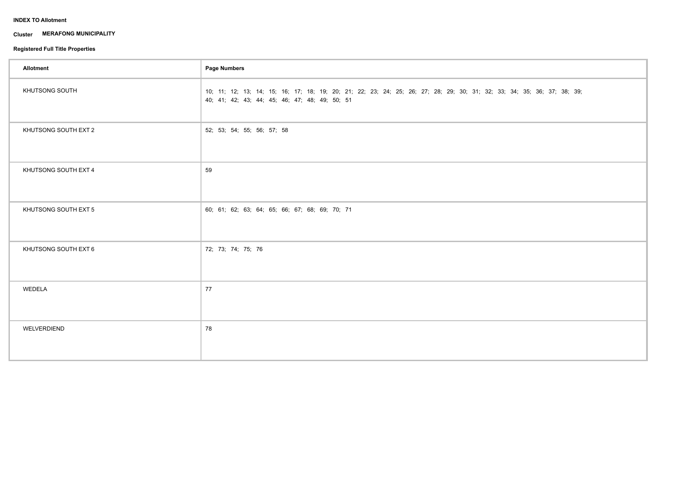## **INDEX TO Allotment**

#### **Cluster MERAFONG MUNICIPALITY**

| Allotment            | Page Numbers                                                                                                                                                              |
|----------------------|---------------------------------------------------------------------------------------------------------------------------------------------------------------------------|
| KHUTSONG SOUTH       | 10; 11; 12; 13; 14; 15; 16; 17; 18; 19; 20; 21; 22; 23; 24; 25; 26; 27; 28; 29; 30; 31; 32; 33; 34; 35; 36; 37; 38; 39;<br>40; 41; 42; 43; 44; 45; 46; 47; 48; 49; 50; 51 |
| KHUTSONG SOUTH EXT 2 | 52; 53; 54; 55; 56; 57; 58                                                                                                                                                |
| KHUTSONG SOUTH EXT 4 | 59                                                                                                                                                                        |
| KHUTSONG SOUTH EXT 5 | 60; 61; 62; 63; 64; 65; 66; 67; 68; 69; 70; 71                                                                                                                            |
| KHUTSONG SOUTH EXT 6 | 72; 73; 74; 75; 76                                                                                                                                                        |
| WEDELA               | 77                                                                                                                                                                        |
| WELVERDIEND          | 78                                                                                                                                                                        |